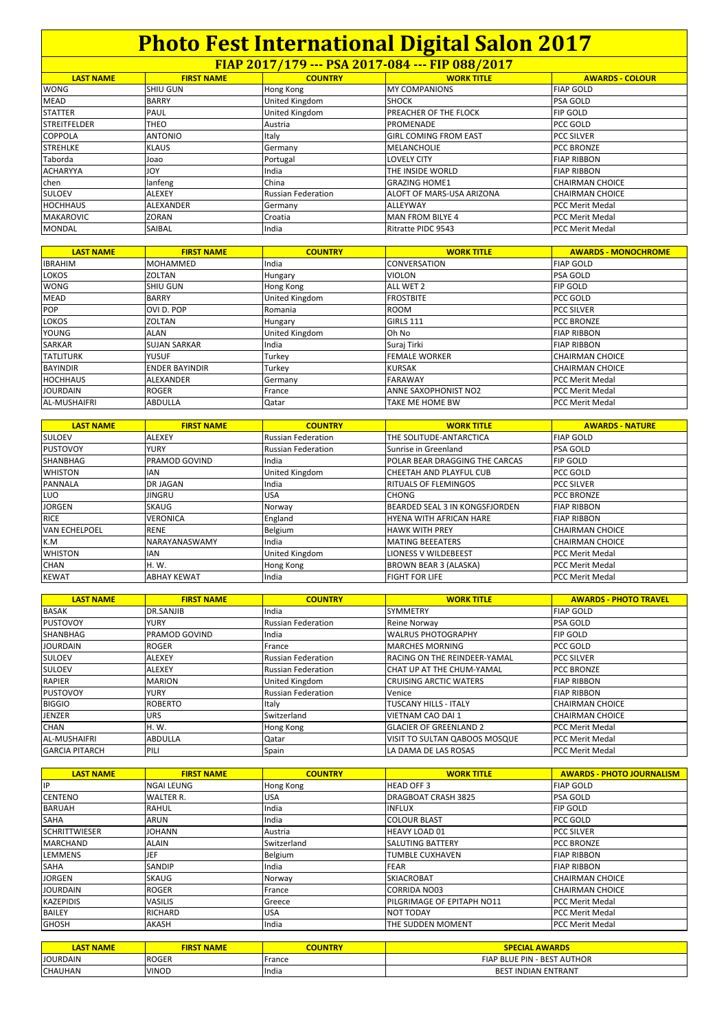| FIAP 2017/179 --- PSA 2017-084 --- FIP 088/2017 |                   |                           |                              |                        |  |
|-------------------------------------------------|-------------------|---------------------------|------------------------------|------------------------|--|
| <b>LAST NAME</b>                                | <b>FIRST NAME</b> | <b>COUNTRY</b>            | <b>WORK TITLE</b>            | <b>AWARDS - COLOUR</b> |  |
| <b>WONG</b>                                     | <b>SHIU GUN</b>   | Hong Kong                 | <b>MY COMPANIONS</b>         | <b>FIAP GOLD</b>       |  |
| <b>MEAD</b>                                     | <b>BARRY</b>      | United Kingdom            | <b>SHOCK</b>                 | <b>PSA GOLD</b>        |  |
| <b>STATTER</b>                                  | PAUL              | United Kingdom            | <b>PREACHER OF THE FLOCK</b> | <b>FIP GOLD</b>        |  |
| <b>STREITFELDER</b>                             | <b>THEO</b>       | Austria                   | <b>PROMENADE</b>             | PCC GOLD               |  |
| <b>COPPOLA</b>                                  | <b>ANTONIO</b>    | Italy                     | <b>GIRL COMING FROM EAST</b> | <b>PCC SILVER</b>      |  |
| <b>STREHLKE</b>                                 | <b>KLAUS</b>      | Germany                   | <b>MELANCHOLIE</b>           | <b>PCC BRONZE</b>      |  |
| Taborda                                         | Joao              | Portugal                  | <b>LOVELY CITY</b>           | <b>FIAP RIBBON</b>     |  |
| <b>ACHARYYA</b>                                 | <b>JOY</b>        | India                     | THE INSIDE WORLD             | <b>FIAP RIBBON</b>     |  |
| chen                                            | lanfeng           | China                     | <b>GRAZING HOME1</b>         | <b>CHAIRMAN CHOICE</b> |  |
| <b>SULOEV</b>                                   | <b>ALEXEY</b>     | <b>Russian Federation</b> | ALOFT OF MARS-USA ARIZONA    | <b>CHAIRMAN CHOICE</b> |  |
| <b>HOCHHAUS</b>                                 | <b>ALEXANDER</b>  | Germany                   | ALLEYWAY                     | <b>PCC Merit Medal</b> |  |
| <b>MAKAROVIC</b>                                | <b>ZORAN</b>      | Croatia                   | MAN FROM BILYE 4             | <b>PCC Merit Medal</b> |  |
| <b>MONDAL</b>                                   | <b>SAIBAL</b>     | India                     | Ritratte PIDC 9543           | <b>PCC Merit Medal</b> |  |

| <b>LAST NAME</b>    | <b>FIRST NAME</b>     | <b>COUNTRY</b>        | <b>WORK TITLE</b>           | <b>AWARDS - MONOCHROME</b> |
|---------------------|-----------------------|-----------------------|-----------------------------|----------------------------|
| <b>IBRAHIM</b>      | <b>MOHAMMED</b>       | India                 | <b>CONVERSATION</b>         | <b>FIAP GOLD</b>           |
| <b>LOKOS</b>        | ZOLTAN                | <b>Hungary</b>        | <b>VIOLON</b>               | <b>PSA GOLD</b>            |
| <b>WONG</b>         | <b>SHIU GUN</b>       | Hong Kong             | ALL WET 2                   | <b>FIP GOLD</b>            |
| <b>MEAD</b>         | <b>BARRY</b>          | <b>United Kingdom</b> | <b>FROSTBITE</b>            | PCC GOLD                   |
| <b>POP</b>          | OVI D. POP            | Romania               | <b>ROOM</b>                 | <b>PCC SILVER</b>          |
| <b>LOKOS</b>        | <b>ZOLTAN</b>         | <b>Hungary</b>        | <b>GIRLS 111</b>            | <b>PCC BRONZE</b>          |
| YOUNG               | ALAN                  | <b>United Kingdom</b> | Oh No                       | <b>FIAP RIBBON</b>         |
| SARKAR              | <b>SUJAN SARKAR</b>   | India                 | Suraj Tirki                 | <b>FIAP RIBBON</b>         |
| <b>TATLITURK</b>    | <b>YUSUF</b>          | Turkey                | <b>FEMALE WORKER</b>        | <b>CHAIRMAN CHOICE</b>     |
| <b>BAYINDIR</b>     | <b>ENDER BAYINDIR</b> | Turkey                | <b>KURSAK</b>               | <b>CHAIRMAN CHOICE</b>     |
| <b>HOCHHAUS</b>     | ALEXANDER             | Germany               | <b>FARAWAY</b>              | <b>PCC Merit Medal</b>     |
| <b>JOURDAIN</b>     | <b>ROGER</b>          | France                | <b>ANNE SAXOPHONIST NO2</b> | <b>PCC Merit Medal</b>     |
| <b>AL-MUSHAIFRI</b> | <b>ABDULLA</b>        | Qatar                 | <b>TAKE ME HOME BW</b>      | <b>PCC Merit Medal</b>     |

| <b>LAST NAME</b>     | <b>FIRST NAME</b>    | <b>COUNTRY</b>            | <b>WORK TITLE</b>                     | <b>AWARDS - NATURE</b> |
|----------------------|----------------------|---------------------------|---------------------------------------|------------------------|
| <b>SULOEV</b>        | <b>ALEXEY</b>        | <b>Russian Federation</b> | THE SOLITUDE-ANTARCTICA               | <b>FIAP GOLD</b>       |
| <b>PUSTOVOY</b>      | <b>YURY</b>          | <b>Russian Federation</b> | Sunrise in Greenland                  | <b>PSA GOLD</b>        |
| <b>SHANBHAG</b>      | <b>PRAMOD GOVIND</b> | India                     | POLAR BEAR DRAGGING THE CARCAS        | <b>FIP GOLD</b>        |
| <b>WHISTON</b>       | <b>IAN</b>           | United Kingdom            | CHEETAH AND PLAYFUL CUB               | PCC GOLD               |
| <b>PANNALA</b>       | <b>DR JAGAN</b>      | India                     | <b>RITUALS OF FLEMINGOS</b>           | <b>PCC SILVER</b>      |
| LUO                  | <b>JINGRU</b>        | USA                       | <b>CHONG</b>                          | <b>PCC BRONZE</b>      |
| <b>JORGEN</b>        | SKAUG                | Norway                    | <b>BEARDED SEAL 3 IN KONGSFJORDEN</b> | <b>FIAP RIBBON</b>     |
| <b>RICE</b>          | <b>VERONICA</b>      | England                   | <b>HYENA WITH AFRICAN HARE</b>        | <b>FIAP RIBBON</b>     |
| <b>VAN ECHELPOEL</b> | <b>RENE</b>          | Belgium                   | <b>HAWK WITH PREY</b>                 | <b>CHAIRMAN CHOICE</b> |
| K.M                  | <b>NARAYANASWAMY</b> | India                     | <b>MATING BEEEATERS</b>               | <b>CHAIRMAN CHOICE</b> |
| <b>WHISTON</b>       | <b>IAN</b>           | United Kingdom            | <b>LIONESS V WILDEBEEST</b>           | <b>PCC Merit Medal</b> |
| <b>CHAN</b>          | H. W.                | Hong Kong                 | <b>BROWN BEAR 3 (ALASKA)</b>          | <b>PCC Merit Medal</b> |
| <b>KEWAT</b>         | <b>ABHAY KEWAT</b>   | India                     | <b>FIGHT FOR LIFE</b>                 | <b>PCC Merit Medal</b> |

| <b>LAST NAME</b>      | <b>FIRST NAME</b>    | <b>COUNTRY</b>            | <b>WORK TITLE</b>                | <b>AWARDS - PHOTO TRAVEL</b> |
|-----------------------|----------------------|---------------------------|----------------------------------|------------------------------|
| <b>BASAK</b>          | <b>DR.SANJIB</b>     | India                     | <b>SYMMETRY</b>                  | <b>FIAP GOLD</b>             |
| <b>PUSTOVOY</b>       | <b>YURY</b>          | <b>Russian Federation</b> | Reine Norway                     | <b>PSA GOLD</b>              |
| <b>SHANBHAG</b>       | <b>PRAMOD GOVIND</b> | India                     | <b>WALRUS PHOTOGRAPHY</b>        | <b>FIP GOLD</b>              |
| <b>JOURDAIN</b>       | <b>ROGER</b>         | France                    | <b>MARCHES MORNING</b>           | <b>PCC GOLD</b>              |
| <b>SULOEV</b>         | <b>ALEXEY</b>        | <b>Russian Federation</b> | RACING ON THE REINDEER-YAMAL     | <b>PCC SILVER</b>            |
| <b>SULOEV</b>         | <b>ALEXEY</b>        | <b>Russian Federation</b> | <b>CHAT UP AT THE CHUM-YAMAL</b> | <b>IPCC BRONZE</b>           |
| <b>RAPIER</b>         | <b>MARION</b>        | United Kingdom            | <b>CRUISING ARCTIC WATERS</b>    | <b>FIAP RIBBON</b>           |
| <b>PUSTOVOY</b>       | <b>YURY</b>          | <b>Russian Federation</b> | Venice                           | <b>FIAP RIBBON</b>           |
| <b>BIGGIO</b>         | <b>ROBERTO</b>       | Italy                     | <b>TUSCANY HILLS - ITALY</b>     | <b>CHAIRMAN CHOICE</b>       |
| <b>JENZER</b>         | <b>URS</b>           | Switzerland               | <b>VIETNAM CAO DAI 1</b>         | <b>CHAIRMAN CHOICE</b>       |
| <b>CHAN</b>           | H. W.                | Hong Kong                 | <b>GLACIER OF GREENLAND 2</b>    | <b>PCC Merit Medal</b>       |
| AL-MUSHAIFRI          | <b>ABDULLA</b>       | Qatar                     | VISIT TO SULTAN QABOOS MOSQUE    | <b>PCC Merit Medal</b>       |
| <b>GARCIA PITARCH</b> | PILI                 | Spain                     | LA DAMA DE LAS ROSAS             | <b>PCC Merit Medal</b>       |

| <b>LAST NAME</b>     | <b>FIRST NAME</b> | <b>COUNTRY</b> | <b>WORK TITLE</b>                 | <b>AWARDS - PHOTO JOURNALISM</b> |
|----------------------|-------------------|----------------|-----------------------------------|----------------------------------|
| <b>IP</b>            | NGAI LEUNG        | Hong Kong      | <b>HEAD OFF 3</b>                 | <b>FIAP GOLD</b>                 |
| <b>CENTENO</b>       | WALTER R.         | USA            | <b>DRAGBOAT CRASH 3825</b>        | <b>PSA GOLD</b>                  |
| <b>BARUAH</b>        | <b>RAHUL</b>      | India          | <b>INFLUX</b>                     | <b>FIP GOLD</b>                  |
| SAHA                 | ARUN              | India          | <b>COLOUR BLAST</b>               | PCC GOLD                         |
| <b>SCHRITTWIESER</b> | <b>JOHANN</b>     | Austria        | <b>HEAVY LOAD 01</b>              | <b>PCC SILVER</b>                |
| <b>MARCHAND</b>      | <b>ALAIN</b>      | Switzerland    | <b>SALUTING BATTERY</b>           | <b>PCC BRONZE</b>                |
| <b>LEMMENS</b>       | JEF               | Belgium        | <b>TUMBLE CUXHAVEN</b>            | <b>FIAP RIBBON</b>               |
| SAHA                 | <b>SANDIP</b>     | India          | <b>FEAR</b>                       | <b>FIAP RIBBON</b>               |
| <b>JORGEN</b>        | SKAUG             | Norway         | <b>SKIACROBAT</b>                 | <b>CHAIRMAN CHOICE</b>           |
| <b>JOURDAIN</b>      | <b>ROGER</b>      | France         | <b>CORRIDA NO03</b>               | <b>CHAIRMAN CHOICE</b>           |
| <b>KAZEPIDIS</b>     | <b>VASILIS</b>    | Greece         | <b>PILGRIMAGE OF EPITAPH NO11</b> | <b>PCC Merit Medal</b>           |
| <b>BAILEY</b>        | <b>RICHARD</b>    | <b>USA</b>     | NOT TODAY                         | <b>PCC Merit Medal</b>           |
| <b>GHOSH</b>         | <b>AKASH</b>      | India          | THE SUDDEN MOMENT                 | <b>PCC Merit Medal</b>           |

| <b>NAME</b><br>'AS | <b>NAME</b><br>'IRST | <b>COUNTRY</b> | <b>AWARDS</b><br><b>CIAL</b>                    |
|--------------------|----------------------|----------------|-------------------------------------------------|
| <b>JOURDAIN</b>    | <b>ROGER</b>         | France         | <b>AUTHOR</b><br>- BEST<br><b>FIAP BLUE PIN</b> |
| <b>CHAUHAN</b>     | <b>VINOD</b>         | India          | <b>INDIAN ENTRANT</b><br>DEC <sup>-</sup>       |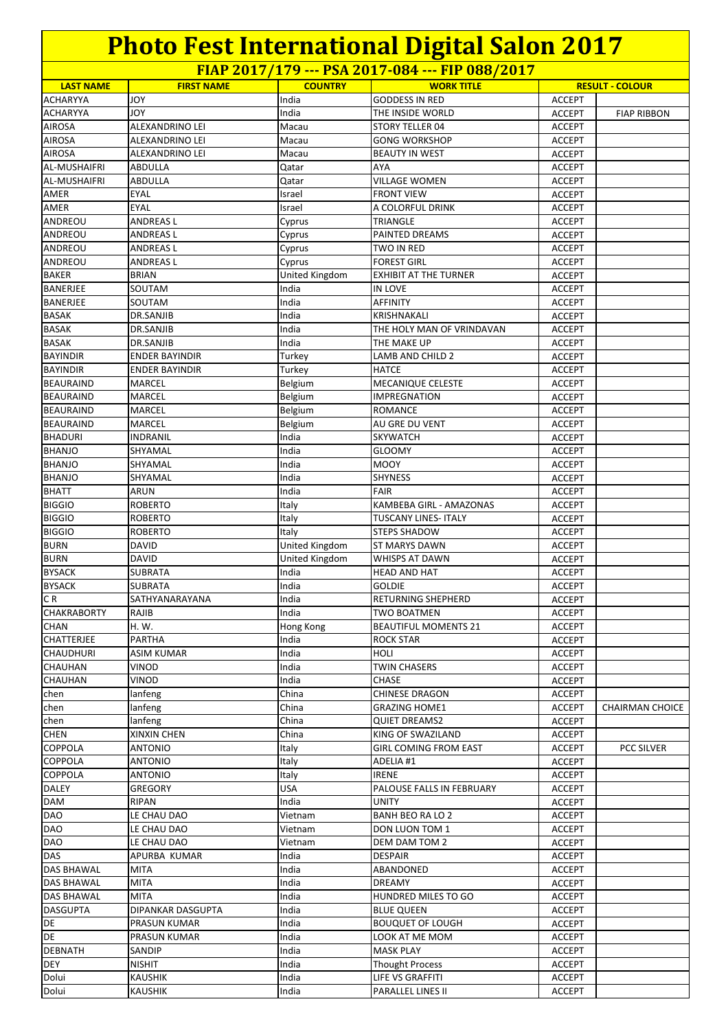| FIAP 2017/179 --- PSA 2017-084 --- FIP 088/2017 |                        |                  |                                               |                                |                        |
|-------------------------------------------------|------------------------|------------------|-----------------------------------------------|--------------------------------|------------------------|
| <b>LAST NAME</b>                                | <b>FIRST NAME</b>      | <b>COUNTRY</b>   | <b>WORK TITLE</b>                             |                                | <b>RESULT - COLOUR</b> |
| <b>ACHARYYA</b>                                 | <b>JOY</b>             | India            | <b>GODDESS IN RED</b>                         | <b>ACCEPT</b>                  |                        |
| ACHARYYA                                        | <b>JOY</b>             | India            | THE INSIDE WORLD                              | <b>ACCEPT</b>                  | <b>FIAP RIBBON</b>     |
| <b>AIROSA</b>                                   | ALEXANDRINO LEI        | Macau            | STORY TELLER 04                               | <b>ACCEPT</b>                  |                        |
| <b>AIROSA</b>                                   | ALEXANDRINO LEI        | Macau            | <b>GONG WORKSHOP</b>                          | <b>ACCEPT</b>                  |                        |
| <b>AIROSA</b>                                   | ALEXANDRINO LEI        | Macau            | <b>BEAUTY IN WEST</b>                         | <b>ACCEPT</b>                  |                        |
| <b>AL-MUSHAIFRI</b>                             | ABDULLA                | Qatar            | AYA                                           | <b>ACCEPT</b>                  |                        |
| AL-MUSHAIFRI                                    | ABDULLA                | Qatar            | <b>VILLAGE WOMEN</b>                          | <b>ACCEPT</b>                  |                        |
| AMER                                            | EYAL<br>EYAL           | Israel<br>Israel | <b>FRONT VIEW</b><br>A COLORFUL DRINK         | <b>ACCEPT</b><br><b>ACCEPT</b> |                        |
| AMER<br>ANDREOU                                 | <b>ANDREASL</b>        |                  | TRIANGLE                                      | <b>ACCEPT</b>                  |                        |
| ANDREOU                                         | <b>ANDREASL</b>        | Cyprus<br>Cyprus | PAINTED DREAMS                                | <b>ACCEPT</b>                  |                        |
| ANDREOU                                         | <b>ANDREASL</b>        | Cyprus           | TWO IN RED                                    | <b>ACCEPT</b>                  |                        |
| ANDREOU                                         | ANDREAS L              | Cyprus           | <b>FOREST GIRL</b>                            | <b>ACCEPT</b>                  |                        |
| <b>BAKER</b>                                    | <b>BRIAN</b>           | United Kingdom   | <b>EXHIBIT AT THE TURNER</b>                  | <b>ACCEPT</b>                  |                        |
| BANERJEE                                        | SOUTAM                 | India            | IN LOVE                                       | <b>ACCEPT</b>                  |                        |
| <b>BANERJEE</b>                                 | SOUTAM                 | India            | <b>AFFINITY</b>                               | <b>ACCEPT</b>                  |                        |
| <b>BASAK</b>                                    | DR.SANJIB              | India            | KRISHNAKALI                                   | <b>ACCEPT</b>                  |                        |
| <b>BASAK</b>                                    | DR.SANJIB              | India            | THE HOLY MAN OF VRINDAVAN                     | <b>ACCEPT</b>                  |                        |
| <b>BASAK</b>                                    | DR.SANJIB              | India            | THE MAKE UP                                   | <b>ACCEPT</b>                  |                        |
| <b>BAYINDIR</b>                                 | <b>ENDER BAYINDIR</b>  | Turkey           | LAMB AND CHILD 2                              | <b>ACCEPT</b>                  |                        |
| <b>BAYINDIR</b>                                 | <b>ENDER BAYINDIR</b>  | Turkey           | <b>HATCE</b>                                  | <b>ACCEPT</b>                  |                        |
| <b>BEAURAIND</b>                                | MARCEL                 | Belgium          | MECANIQUE CELESTE                             | <b>ACCEPT</b>                  |                        |
| <b>BEAURAIND</b>                                | MARCEL                 | Belgium          | <b>IMPREGNATION</b>                           | <b>ACCEPT</b>                  |                        |
| <b>BEAURAIND</b>                                | MARCEL                 | Belgium          | <b>ROMANCE</b>                                | <b>ACCEPT</b>                  |                        |
| <b>BEAURAIND</b>                                | MARCEL                 | Belgium          | AU GRE DU VENT                                | <b>ACCEPT</b>                  |                        |
| <b>BHADURI</b>                                  | <b>INDRANIL</b>        | India            | <b>SKYWATCH</b>                               | <b>ACCEPT</b>                  |                        |
| <b>BHANJO</b>                                   | SHYAMAL                | India            | <b>GLOOMY</b>                                 | <b>ACCEPT</b>                  |                        |
| <b>BHANJO</b>                                   | SHYAMAL                | India            | <b>MOOY</b>                                   | <b>ACCEPT</b>                  |                        |
| <b>BHANJO</b>                                   | SHYAMAL                | India            | <b>SHYNESS</b><br>FAIR                        | <b>ACCEPT</b>                  |                        |
| <b>BHATT</b><br><b>BIGGIO</b>                   | ARUN<br><b>ROBERTO</b> | India<br>Italy   | KAMBEBA GIRL - AMAZONAS                       | <b>ACCEPT</b><br><b>ACCEPT</b> |                        |
| <b>BIGGIO</b>                                   | <b>ROBERTO</b>         | Italy            | <b>TUSCANY LINES- ITALY</b>                   | <b>ACCEPT</b>                  |                        |
| <b>BIGGIO</b>                                   | <b>ROBERTO</b>         | Italy            | <b>STEPS SHADOW</b>                           | <b>ACCEPT</b>                  |                        |
| <b>BURN</b>                                     | DAVID                  | United Kingdom   | <b>ST MARYS DAWN</b>                          | <b>ACCEPT</b>                  |                        |
| <b>BURN</b>                                     | DAVID                  | United Kingdom   | <b>WHISPS AT DAWN</b>                         | <b>ACCEPT</b>                  |                        |
| <b>BYSACK</b>                                   | SUBRATA                | India            | <b>HEAD AND HAT</b>                           | <b>ACCEPT</b>                  |                        |
| <b>BYSACK</b>                                   | SUBRATA                | India            | <b>GOLDIE</b>                                 | <b>ACCEPT</b>                  |                        |
| C R                                             | SATHYANARAYANA         | India            | RETURNING SHEPHERD                            | <b>ACCEPT</b>                  |                        |
| <b>CHAKRABORTY</b>                              | RAJIB                  | India            | <b>TWO BOATMEN</b>                            | <b>ACCEPT</b>                  |                        |
| <b>CHAN</b>                                     | H. W.                  | <b>Hong Kong</b> | <b>BEAUTIFUL MOMENTS 21</b>                   | <b>ACCEPT</b>                  |                        |
| CHATTERJEE                                      | PARTHA                 | India            | ROCK STAR                                     | <b>ACCEPT</b>                  |                        |
| <b>CHAUDHURI</b>                                | ASIM KUMAR             | India            | HOLI                                          | <b>ACCEPT</b>                  |                        |
| CHAUHAN                                         | VINOD                  | India            | <b>TWIN CHASERS</b>                           | <b>ACCEPT</b>                  |                        |
| CHAUHAN                                         | VINOD                  | India            | <b>CHASE</b>                                  | <b>ACCEPT</b>                  |                        |
| chen                                            | lanfeng                | China            | <b>CHINESE DRAGON</b><br><b>GRAZING HOME1</b> | <b>ACCEPT</b>                  |                        |
| chen<br>chen                                    | lanfeng                | China<br>China   | <b>QUIET DREAMS2</b>                          | <b>ACCEPT</b><br><b>ACCEPT</b> | <b>CHAIRMAN CHOICE</b> |
| <b>CHEN</b>                                     | lanfeng<br>XINXIN CHEN | China            | KING OF SWAZILAND                             | <b>ACCEPT</b>                  |                        |
| <b>COPPOLA</b>                                  | <b>ANTONIO</b>         | Italy            | <b>GIRL COMING FROM EAST</b>                  | <b>ACCEPT</b>                  | PCC SILVER             |
| COPPOLA                                         | <b>ANTONIO</b>         | Italy            | ADELIA #1                                     | <b>ACCEPT</b>                  |                        |
| COPPOLA                                         | <b>ANTONIO</b>         | Italy            | <b>IRENE</b>                                  | <b>ACCEPT</b>                  |                        |
| <b>DALEY</b>                                    | GREGORY                | <b>USA</b>       | PALOUSE FALLS IN FEBRUARY                     | <b>ACCEPT</b>                  |                        |
| DAM                                             | RIPAN                  | India            | UNITY                                         | <b>ACCEPT</b>                  |                        |
| DAO                                             | LE CHAU DAO            | Vietnam          | BANH BEO RA LO 2                              | <b>ACCEPT</b>                  |                        |
| DAO                                             | LE CHAU DAO            | Vietnam          | DON LUON TOM 1                                | <b>ACCEPT</b>                  |                        |
| DAO                                             | LE CHAU DAO            | Vietnam          | DEM DAM TOM 2                                 | <b>ACCEPT</b>                  |                        |
| DAS                                             | APURBA KUMAR           | India            | <b>DESPAIR</b>                                | <b>ACCEPT</b>                  |                        |
| <b>DAS BHAWAL</b>                               | MITA                   | India            | ABANDONED                                     | <b>ACCEPT</b>                  |                        |
| DAS BHAWAL                                      | MITA                   | India            | <b>DREAMY</b>                                 | <b>ACCEPT</b>                  |                        |
| DAS BHAWAL                                      | MITA                   | India            | HUNDRED MILES TO GO                           | ACCEPT                         |                        |
| <b>DASGUPTA</b>                                 | DIPANKAR DASGUPTA      | India            | <b>BLUE QUEEN</b>                             | <b>ACCEPT</b>                  |                        |
| DE                                              | PRASUN KUMAR           | India            | <b>BOUQUET OF LOUGH</b>                       | <b>ACCEPT</b>                  |                        |
| DE<br><b>DEBNATH</b>                            | PRASUN KUMAR<br>SANDIP | India<br>India   | LOOK AT ME MOM<br><b>MASK PLAY</b>            | <b>ACCEPT</b><br><b>ACCEPT</b> |                        |
| <b>DEY</b>                                      | NISHIT                 | India            | <b>Thought Process</b>                        | <b>ACCEPT</b>                  |                        |
| Dolui                                           | <b>KAUSHIK</b>         | India            | LIFE VS GRAFFITI                              | <b>ACCEPT</b>                  |                        |
|                                                 |                        |                  |                                               |                                |                        |

**Dolui** KAUSHIK **India PARALLEL LINES II** ACCEPT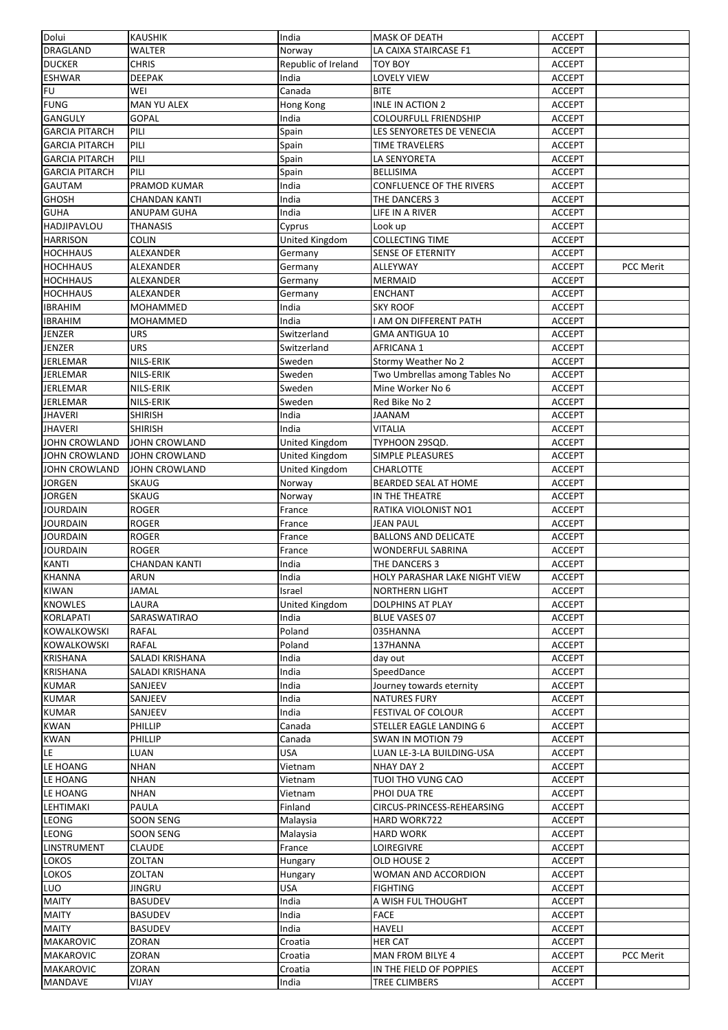| Dolui                 | <b>KAUSHIK</b>       | India                 | <b>MASK OF DEATH</b>                 | <b>ACCEPT</b> |                  |
|-----------------------|----------------------|-----------------------|--------------------------------------|---------------|------------------|
| DRAGLAND              | WALTER               | Norway                | LA CAIXA STAIRCASE F1                | <b>ACCEPT</b> |                  |
| <b>DUCKER</b>         | <b>CHRIS</b>         | Republic of Ireland   | <b>TOY BOY</b>                       | <b>ACCEPT</b> |                  |
| <b>ESHWAR</b>         | DEEPAK               | India                 | LOVELY VIEW                          | <b>ACCEPT</b> |                  |
| FU                    | WEI                  | Canada                | <b>BITE</b>                          | <b>ACCEPT</b> |                  |
| <b>FUNG</b>           | MAN YU ALEX          | Hong Kong             | <b>INLE IN ACTION 2</b>              | <b>ACCEPT</b> |                  |
| <b>GANGULY</b>        | <b>GOPAL</b>         | India                 | <b>COLOURFULL FRIENDSHIP</b>         | <b>ACCEPT</b> |                  |
| <b>GARCIA PITARCH</b> | PILI                 | Spain                 | LES SENYORETES DE VENECIA            | <b>ACCEPT</b> |                  |
| <b>GARCIA PITARCH</b> | PILI                 | Spain                 | TIME TRAVELERS                       | <b>ACCEPT</b> |                  |
| <b>GARCIA PITARCH</b> | PILI                 | Spain                 | LA SENYORETA                         | <b>ACCEPT</b> |                  |
| <b>GARCIA PITARCH</b> | PILI                 | Spain                 | BELLISIMA                            | <b>ACCEPT</b> |                  |
| <b>GAUTAM</b>         | PRAMOD KUMAR         | India                 | <b>CONFLUENCE OF THE RIVERS</b>      |               |                  |
| <b>GHOSH</b>          |                      | India                 |                                      | <b>ACCEPT</b> |                  |
|                       | <b>CHANDAN KANTI</b> |                       | THE DANCERS 3                        | <b>ACCEPT</b> |                  |
| <b>GUHA</b>           | ANUPAM GUHA          | India                 | LIFE IN A RIVER                      | <b>ACCEPT</b> |                  |
| <b>HADJIPAVLOU</b>    | <b>THANASIS</b>      | Cyprus                | Look up                              | <b>ACCEPT</b> |                  |
| <b>HARRISON</b>       | <b>COLIN</b>         | <b>United Kingdom</b> | <b>COLLECTING TIME</b>               | <b>ACCEPT</b> |                  |
| <b>HOCHHAUS</b>       | ALEXANDER            | Germany               | <b>SENSE OF ETERNITY</b>             | <b>ACCEPT</b> |                  |
| <b>HOCHHAUS</b>       | ALEXANDER            | Germany               | ALLEYWAY                             | <b>ACCEPT</b> | <b>PCC Merit</b> |
| <b>HOCHHAUS</b>       | ALEXANDER            | Germany               | <b>MERMAID</b>                       | <b>ACCEPT</b> |                  |
| <b>HOCHHAUS</b>       | <b>ALEXANDER</b>     | Germany               | <b>ENCHANT</b>                       | <b>ACCEPT</b> |                  |
| <b>IBRAHIM</b>        | MOHAMMED             | India                 | <b>SKY ROOF</b>                      | <b>ACCEPT</b> |                  |
| <b>IBRAHIM</b>        | MOHAMMED             | India                 | I AM ON DIFFERENT PATH               | <b>ACCEPT</b> |                  |
| <b>JENZER</b>         | URS                  | Switzerland           | GMA ANTIGUA 10                       | <b>ACCEPT</b> |                  |
| <b>JENZER</b>         | URS                  | Switzerland           | <b>AFRICANA 1</b>                    | <b>ACCEPT</b> |                  |
| <b>JERLEMAR</b>       | NILS-ERIK            | Sweden                | Stormy Weather No 2                  | <b>ACCEPT</b> |                  |
| <b>JERLEMAR</b>       | NILS-ERIK            | Sweden                | Two Umbrellas among Tables No        | <b>ACCEPT</b> |                  |
| <b>JERLEMAR</b>       | NILS-ERIK            | Sweden                | Mine Worker No 6                     | <b>ACCEPT</b> |                  |
| <b>JERLEMAR</b>       | NILS-ERIK            | Sweden                | Red Bike No 2                        | <b>ACCEPT</b> |                  |
| <b>JHAVERI</b>        | <b>SHIRISH</b>       | India                 | MANAAL                               | <b>ACCEPT</b> |                  |
| <b>JHAVERI</b>        | <b>SHIRISH</b>       | India                 | <b>VITALIA</b>                       | <b>ACCEPT</b> |                  |
|                       |                      |                       |                                      |               |                  |
| <b>JOHN CROWLAND</b>  | JOHN CROWLAND        | United Kingdom        | TYPHOON 29SQD.                       | <b>ACCEPT</b> |                  |
| <b>JOHN CROWLAND</b>  | JOHN CROWLAND        | United Kingdom        | SIMPLE PLEASURES                     | <b>ACCEPT</b> |                  |
| <b>JOHN CROWLAND</b>  | JOHN CROWLAND        | United Kingdom        | <b>CHARLOTTE</b>                     | <b>ACCEPT</b> |                  |
| <b>JORGEN</b>         | <b>SKAUG</b>         | Norway                | BEARDED SEAL AT HOME                 | <b>ACCEPT</b> |                  |
| <b>JORGEN</b>         | SKAUG                | Norway                | IN THE THEATRE                       | <b>ACCEPT</b> |                  |
| <b>JOURDAIN</b>       | <b>ROGER</b>         | France                | RATIKA VIOLONIST NO1                 | <b>ACCEPT</b> |                  |
| <b>JOURDAIN</b>       | <b>ROGER</b>         | France                | JEAN PAUL                            | <b>ACCEPT</b> |                  |
| <b>JOURDAIN</b>       | <b>ROGER</b>         | France                | <b>BALLONS AND DELICATE</b>          | <b>ACCEPT</b> |                  |
| <b>JOURDAIN</b>       | <b>ROGER</b>         | France                | <b>WONDERFUL SABRINA</b>             | <b>ACCEPT</b> |                  |
| <b>KANTI</b>          | <b>CHANDAN KANTI</b> | India                 | THE DANCERS 3                        | <b>ACCEPT</b> |                  |
| <b>KHANNA</b>         | ARUN                 | India                 | <b>HOLY PARASHAR LAKE NIGHT VIEW</b> | <b>ACCEPT</b> |                  |
| <b>KIWAN</b>          | <b>JAMAL</b>         | Israel                | <b>NORTHERN LIGHT</b>                | <b>ACCEPT</b> |                  |
| <b>KNOWLES</b>        | LAURA                | United Kingdom        | <b>DOLPHINS AT PLAY</b>              | <b>ACCEPT</b> |                  |
| <b>KORLAPATI</b>      | SARASWATIRAO         | India                 | <b>BLUE VASES 07</b>                 | <b>ACCEPT</b> |                  |
| <b>KOWALKOWSKI</b>    | <b>RAFAL</b>         | Poland                | 035HANNA                             | <b>ACCEPT</b> |                  |
| KOWALKOWSKI           | RAFAL                | Poland                | 137HANNA                             | <b>ACCEPT</b> |                  |
| <b>KRISHANA</b>       | SALADI KRISHANA      | India                 | day out                              | <b>ACCEPT</b> |                  |
| <b>KRISHANA</b>       | SALADI KRISHANA      | India                 | SpeedDance                           | <b>ACCEPT</b> |                  |
| <b>KUMAR</b>          | SANJEEV              | India                 | Journey towards eternity             | <b>ACCEPT</b> |                  |
| <b>KUMAR</b>          | SANJEEV              | India                 | <b>NATURES FURY</b>                  | <b>ACCEPT</b> |                  |
| <b>KUMAR</b>          | SANJEEV              | India                 | FESTIVAL OF COLOUR                   | <b>ACCEPT</b> |                  |
| <b>KWAN</b>           | PHILLIP              | Canada                | STELLER EAGLE LANDING 6              |               |                  |
| <b>KWAN</b>           | PHILLIP              |                       | <b>SWAN IN MOTION 79</b>             | <b>ACCEPT</b> |                  |
|                       |                      | Canada                |                                      | <b>ACCEPT</b> |                  |
| LE                    | LUAN                 | <b>USA</b>            | LUAN LE-3-LA BUILDING-USA            | <b>ACCEPT</b> |                  |
| LE HOANG              | <b>NHAN</b>          | Vietnam               | NHAY DAY 2                           | <b>ACCEPT</b> |                  |
| LE HOANG              | <b>NHAN</b>          | Vietnam               | TUOI THO VUNG CAO                    | <b>ACCEPT</b> |                  |
| LE HOANG              | NHAN                 | Vietnam               | PHOI DUA TRE                         | <b>ACCEPT</b> |                  |
| LEHTIMAKI             | PAULA                | Finland               | CIRCUS-PRINCESS-REHEARSING           | <b>ACCEPT</b> |                  |
| <b>LEONG</b>          | <b>SOON SENG</b>     | Malaysia              | HARD WORK722                         | <b>ACCEPT</b> |                  |
| LEONG                 | SOON SENG            | Malaysia              | <b>HARD WORK</b>                     | <b>ACCEPT</b> |                  |
| LINSTRUMENT           | <b>CLAUDE</b>        | France                | LOIREGIVRE                           | <b>ACCEPT</b> |                  |
| <b>LOKOS</b>          | ZOLTAN               | Hungary               | OLD HOUSE 2                          | <b>ACCEPT</b> |                  |
| LOKOS                 | ZOLTAN               | Hungary               | WOMAN AND ACCORDION                  | <b>ACCEPT</b> |                  |
| LUO                   | JINGRU               | USA                   | <b>FIGHTING</b>                      | <b>ACCEPT</b> |                  |
| <b>MAITY</b>          | <b>BASUDEV</b>       | India                 | A WISH FUL THOUGHT                   | <b>ACCEPT</b> |                  |
| <b>MAITY</b>          | <b>BASUDEV</b>       | India                 | FACE                                 | <b>ACCEPT</b> |                  |
| <b>MAITY</b>          | <b>BASUDEV</b>       | India                 | <b>HAVELI</b>                        | <b>ACCEPT</b> |                  |
| <b>MAKAROVIC</b>      | ZORAN                | Croatia               | <b>HER CAT</b>                       | <b>ACCEPT</b> |                  |
| <b>MAKAROVIC</b>      | ZORAN                | Croatia               | MAN FROM BILYE 4                     | <b>ACCEPT</b> | PCC Merit        |
| <b>MAKAROVIC</b>      | ZORAN                | Croatia               | IN THE FIELD OF POPPIES              | <b>ACCEPT</b> |                  |
| MANDAVE               | VIJAY                | India                 | TREE CLIMBERS                        | <b>ACCEPT</b> |                  |
|                       |                      |                       |                                      |               |                  |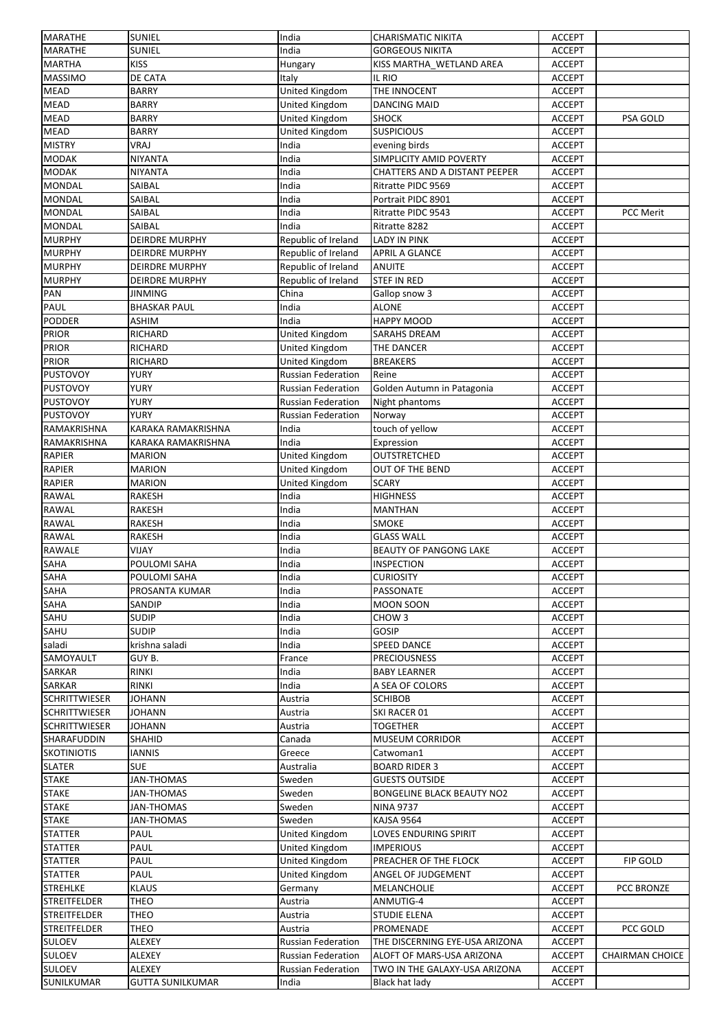|                      | <b>SUNIEL</b>         | India                     | <b>CHARISMATIC NIKITA</b>         | <b>ACCEPT</b> |                        |
|----------------------|-----------------------|---------------------------|-----------------------------------|---------------|------------------------|
| <b>MARATHE</b>       | <b>SUNIEL</b>         | India                     | <b>GORGEOUS NIKITA</b>            | <b>ACCEPT</b> |                        |
| <b>MARTHA</b>        | <b>KISS</b>           | Hungary                   | KISS MARTHA_WETLAND AREA          | <b>ACCEPT</b> |                        |
| <b>MASSIMO</b>       | DE CATA               | Italy                     | IL RIO                            | <b>ACCEPT</b> |                        |
| <b>MEAD</b>          | <b>BARRY</b>          | United Kingdom            | THE INNOCENT                      | <b>ACCEPT</b> |                        |
| <b>MEAD</b>          | <b>BARRY</b>          | United Kingdom            | <b>DANCING MAID</b>               | <b>ACCEPT</b> |                        |
| <b>MEAD</b>          | <b>BARRY</b>          | United Kingdom            | SHOCK                             | <b>ACCEPT</b> | PSA GOLD               |
| <b>MEAD</b>          | <b>BARRY</b>          | United Kingdom            | <b>SUSPICIOUS</b>                 | <b>ACCEPT</b> |                        |
| <b>MISTRY</b>        | VRAJ                  | India                     | evening birds                     | <b>ACCEPT</b> |                        |
| <b>MODAK</b>         | NIYANTA               | India                     | SIMPLICITY AMID POVERTY           | <b>ACCEPT</b> |                        |
| <b>MODAK</b>         | NIYANTA               | India                     | CHATTERS AND A DISTANT PEEPER     | <b>ACCEPT</b> |                        |
|                      | SAIBAL                | India                     | Ritratte PIDC 9569                |               |                        |
| <b>MONDAL</b>        |                       |                           |                                   | <b>ACCEPT</b> |                        |
| <b>MONDAL</b>        | SAIBAL                | India                     | Portrait PIDC 8901                | <b>ACCEPT</b> |                        |
| <b>MONDAL</b>        | SAIBAL                | India                     | Ritratte PIDC 9543                | <b>ACCEPT</b> | PCC Merit              |
| <b>MONDAL</b>        | SAIBAL                | India                     | Ritratte 8282                     | <b>ACCEPT</b> |                        |
| <b>MURPHY</b>        | <b>DEIRDRE MURPHY</b> | Republic of Ireland       | LADY IN PINK                      | <b>ACCEPT</b> |                        |
| <b>MURPHY</b>        | <b>DEIRDRE MURPHY</b> | Republic of Ireland       | <b>APRIL A GLANCE</b>             | <b>ACCEPT</b> |                        |
| <b>MURPHY</b>        | <b>DEIRDRE MURPHY</b> | Republic of Ireland       | <b>ANUITE</b>                     | <b>ACCEPT</b> |                        |
| <b>MURPHY</b>        | <b>DEIRDRE MURPHY</b> | Republic of Ireland       | <b>STEF IN RED</b>                | <b>ACCEPT</b> |                        |
| PAN                  | <b>JINMING</b>        | China                     | Gallop snow 3                     | <b>ACCEPT</b> |                        |
| PAUL                 | <b>BHASKAR PAUL</b>   | India                     | <b>ALONE</b>                      | <b>ACCEPT</b> |                        |
| <b>PODDER</b>        | <b>ASHIM</b>          | India                     | HAPPY MOOD                        | <b>ACCEPT</b> |                        |
| <b>PRIOR</b>         | RICHARD               | United Kingdom            | SARAHS DREAM                      | <b>ACCEPT</b> |                        |
| <b>PRIOR</b>         | RICHARD               | United Kingdom            | THE DANCER                        | <b>ACCEPT</b> |                        |
| <b>PRIOR</b>         | RICHARD               | <b>United Kingdom</b>     | <b>BREAKERS</b>                   | <b>ACCEPT</b> |                        |
| <b>PUSTOVOY</b>      | <b>YURY</b>           | <b>Russian Federation</b> | Reine                             | <b>ACCEPT</b> |                        |
|                      |                       |                           |                                   |               |                        |
| <b>PUSTOVOY</b>      | YURY                  | <b>Russian Federation</b> | Golden Autumn in Patagonia        | <b>ACCEPT</b> |                        |
| <b>PUSTOVOY</b>      | YURY                  | Russian Federation        | Night phantoms                    | <b>ACCEPT</b> |                        |
| <b>PUSTOVOY</b>      | YURY                  | Russian Federation        | Norway                            | <b>ACCEPT</b> |                        |
| RAMAKRISHNA          | KARAKA RAMAKRISHNA    | India                     | touch of yellow                   | <b>ACCEPT</b> |                        |
| RAMAKRISHNA          | KARAKA RAMAKRISHNA    | India                     | Expression                        | <b>ACCEPT</b> |                        |
| RAPIER               | <b>MARION</b>         | United Kingdom            | OUTSTRETCHED                      | <b>ACCEPT</b> |                        |
| <b>RAPIER</b>        | <b>MARION</b>         | United Kingdom            | <b>OUT OF THE BEND</b>            | <b>ACCEPT</b> |                        |
| <b>RAPIER</b>        | <b>MARION</b>         | United Kingdom            | <b>SCARY</b>                      | <b>ACCEPT</b> |                        |
| <b>RAWAL</b>         | RAKESH                | India                     | <b>HIGHNESS</b>                   | <b>ACCEPT</b> |                        |
| <b>RAWAL</b>         | <b>RAKESH</b>         | India                     | <b>MANTHAN</b>                    | <b>ACCEPT</b> |                        |
| <b>RAWAL</b>         | <b>RAKESH</b>         | India                     | <b>SMOKE</b>                      | <b>ACCEPT</b> |                        |
| <b>RAWAL</b>         | <b>RAKESH</b>         | India                     | <b>GLASS WALL</b>                 | <b>ACCEPT</b> |                        |
| <b>RAWALE</b>        | VIJAY                 | India                     | <b>BEAUTY OF PANGONG LAKE</b>     | <b>ACCEPT</b> |                        |
| SAHA                 | POULOMI SAHA          | India                     | <b>INSPECTION</b>                 | <b>ACCEPT</b> |                        |
| <b>SAHA</b>          | POULOMI SAHA          | India                     | <b>CURIOSITY</b>                  | <b>ACCEPT</b> |                        |
|                      |                       |                           |                                   |               |                        |
|                      |                       |                           |                                   |               |                        |
| <b>SAHA</b>          | PROSANTA KUMAR        | India                     | PASSONATE                         | <b>ACCEPT</b> |                        |
| <b>SAHA</b>          | SANDIP                | India                     | <b>MOON SOON</b>                  | <b>ACCEPT</b> |                        |
| SAHU                 | <b>SUDIP</b>          | India                     | CHOW <sub>3</sub>                 | <b>ACCEPT</b> |                        |
| SAHU                 | <b>SUDIP</b>          | India                     | GOSIP                             | <b>ACCEPT</b> |                        |
| saladi               | krishna saladi        | India                     | <b>SPEED DANCE</b>                | <b>ACCEPT</b> |                        |
| SAMOYAULT            | GUY B.                | France                    | <b>PRECIOUSNESS</b>               | <b>ACCEPT</b> |                        |
| SARKAR               | RINKI                 | India                     | <b>BABY LEARNER</b>               | <b>ACCEPT</b> |                        |
| <b>SARKAR</b>        | RINKI                 | India                     | A SEA OF COLORS                   | <b>ACCEPT</b> |                        |
| <b>SCHRITTWIESER</b> | <b>JOHANN</b>         | Austria                   | <b>SCHIBOB</b>                    | <b>ACCEPT</b> |                        |
| <b>SCHRITTWIESER</b> | <b>JOHANN</b>         | Austria                   | SKI RACER 01                      | <b>ACCEPT</b> |                        |
| <b>SCHRITTWIESER</b> | <b>JOHANN</b>         | Austria                   | <b>TOGETHER</b>                   | <b>ACCEPT</b> |                        |
| SHARAFUDDIN          | <b>SHAHID</b>         | Canada                    | <b>MUSEUM CORRIDOR</b>            | <b>ACCEPT</b> |                        |
|                      |                       |                           |                                   |               |                        |
| <b>SKOTINIOTIS</b>   | IANNIS                | Greece                    | Catwoman1                         | <b>ACCEPT</b> |                        |
| <b>SLATER</b>        | <b>SUE</b>            | Australia                 | <b>BOARD RIDER 3</b>              | <b>ACCEPT</b> |                        |
| <b>STAKE</b>         | JAN-THOMAS            | Sweden                    | <b>GUESTS OUTSIDE</b>             | <b>ACCEPT</b> |                        |
| <b>STAKE</b>         | JAN-THOMAS            | Sweden                    | <b>BONGELINE BLACK BEAUTY NO2</b> | <b>ACCEPT</b> |                        |
| <b>STAKE</b>         | JAN-THOMAS            | Sweden                    | <b>NINA 9737</b>                  | <b>ACCEPT</b> |                        |
| <b>STAKE</b>         | JAN-THOMAS            | Sweden                    | KAJSA 9564                        | <b>ACCEPT</b> |                        |
| <b>STATTER</b>       | PAUL                  | <b>United Kingdom</b>     | LOVES ENDURING SPIRIT             | <b>ACCEPT</b> |                        |
| <b>STATTER</b>       | PAUL                  | United Kingdom            | <b>IMPERIOUS</b>                  | <b>ACCEPT</b> |                        |
| <b>STATTER</b>       | PAUL                  | United Kingdom            | PREACHER OF THE FLOCK             | <b>ACCEPT</b> | FIP GOLD               |
| <b>STATTER</b>       | PAUL                  | United Kingdom            | ANGEL OF JUDGEMENT                | <b>ACCEPT</b> |                        |
| <b>STREHLKE</b>      | <b>KLAUS</b>          | Germany                   | MELANCHOLIE                       | <b>ACCEPT</b> | PCC BRONZE             |
| <b>STREITFELDER</b>  | THEO                  | Austria                   | ANMUTIG-4                         | <b>ACCEPT</b> |                        |
| <b>STREITFELDER</b>  | THEO                  | Austria                   | STUDIE ELENA                      | <b>ACCEPT</b> |                        |
| <b>STREITFELDER</b>  | THEO                  | Austria                   | PROMENADE                         | <b>ACCEPT</b> | PCC GOLD               |
| <b>SULOEV</b>        | ALEXEY                | Russian Federation        | THE DISCERNING EYE-USA ARIZONA    | <b>ACCEPT</b> |                        |
| <b>SULOEV</b>        | ALEXEY                | <b>Russian Federation</b> | ALOFT OF MARS-USA ARIZONA         | <b>ACCEPT</b> | <b>CHAIRMAN CHOICE</b> |
| <b>SULOEV</b>        | ALEXEY                | <b>Russian Federation</b> | TWO IN THE GALAXY-USA ARIZONA     | <b>ACCEPT</b> |                        |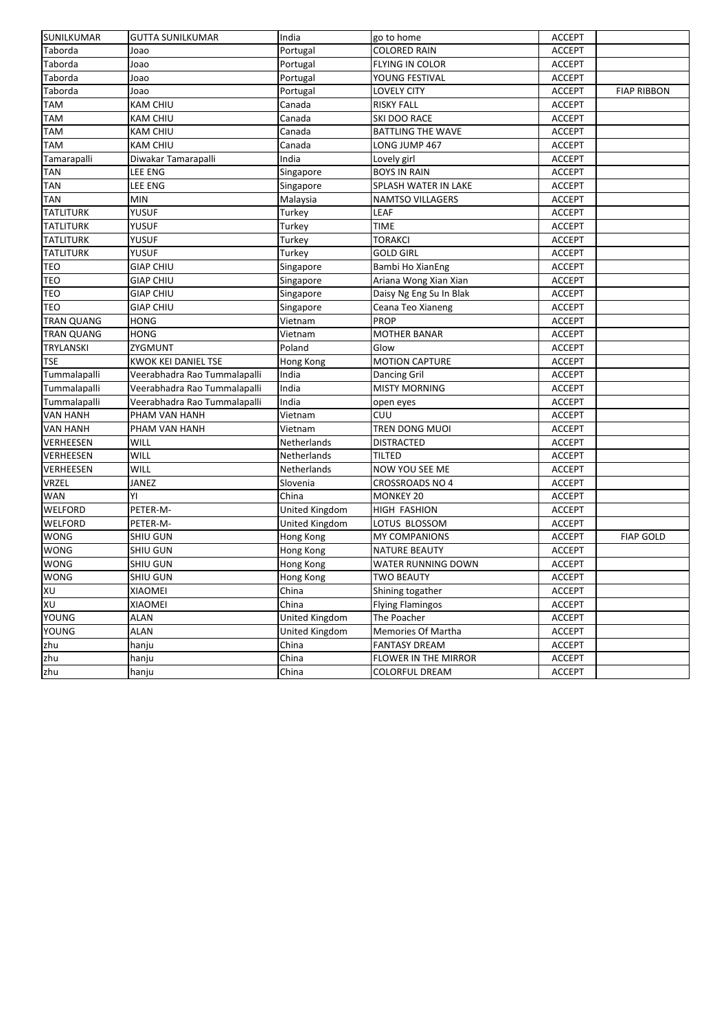| Taborda<br><b>COLORED RAIN</b><br><b>ACCEPT</b><br>Joao<br>Portugal<br>Taborda<br>FLYING IN COLOR<br>Joao<br>Portugal<br><b>ACCEPT</b><br>Taborda<br>YOUNG FESTIVAL<br><b>ACCEPT</b><br>Joao<br>Portugal<br>Taborda<br><b>LOVELY CITY</b><br><b>ACCEPT</b><br><b>FIAP RIBBON</b><br>Joao<br>Portugal<br>TAM<br>KAM CHIU<br>Canada<br><b>RISKY FALL</b><br><b>ACCEPT</b><br><b>TAM</b><br><b>KAM CHIU</b><br>Canada<br><b>ACCEPT</b><br>SKI DOO RACE<br>TAM<br><b>KAM CHIU</b><br>Canada<br><b>BATTLING THE WAVE</b><br><b>ACCEPT</b><br>TAM<br><b>KAM CHIU</b><br>Canada<br>LONG JUMP 467<br><b>ACCEPT</b><br>Tamarapalli<br>Diwakar Tamarapalli<br>India<br>Lovely girl<br><b>ACCEPT</b><br><b>LEE ENG</b><br><b>ACCEPT</b><br>TAN<br>Singapore<br><b>BOYS IN RAIN</b><br>LEE ENG<br>SPLASH WATER IN LAKE<br>TAN<br>Singapore<br><b>ACCEPT</b><br>TAN<br>MIN<br>Malaysia<br><b>ACCEPT</b><br><b>NAMTSO VILLAGERS</b><br><b>TATLITURK</b><br>YUSUF<br>LEAF<br>Turkey<br><b>ACCEPT</b><br><b>TATLITURK</b><br><b>YUSUF</b><br><b>TIME</b><br>Turkey<br><b>ACCEPT</b><br><b>TATLITURK</b><br>YUSUF<br><b>TORAKCI</b><br><b>ACCEPT</b><br>Turkey<br><b>TATLITURK</b><br>YUSUF<br><b>GOLD GIRL</b><br><b>ACCEPT</b><br>Turkey<br><b>GIAP CHIU</b><br>Bambi Ho XianEng<br><b>ACCEPT</b><br>TEO<br>Singapore<br><b>TEO</b><br><b>GIAP CHIU</b><br>Ariana Wong Xian Xian<br>Singapore<br><b>ACCEPT</b><br><b>TEO</b><br><b>GIAP CHIU</b><br>Daisy Ng Eng Su In Blak<br><b>ACCEPT</b><br>Singapore<br>TEO<br><b>GIAP CHIU</b><br>Singapore<br>Ceana Teo Xianeng<br><b>ACCEPT</b><br><b>TRAN QUANG</b><br><b>HONG</b><br>Vietnam<br><b>PROP</b><br><b>ACCEPT</b><br><b>HONG</b><br><b>TRAN QUANG</b><br>Vietnam<br><b>MOTHER BANAR</b><br><b>ACCEPT</b><br><b>TRYLANSKI</b><br>ZYGMUNT<br>Poland<br>Glow<br><b>ACCEPT</b><br><b>TSE</b><br><b>KWOK KEI DANIEL TSE</b><br><b>MOTION CAPTURE</b><br>Hong Kong<br><b>ACCEPT</b><br>Tummalapalli<br>Veerabhadra Rao Tummalapalli<br>India<br>Dancing Gril<br><b>ACCEPT</b><br>India<br>Tummalapalli<br>Veerabhadra Rao Tummalapalli<br><b>MISTY MORNING</b><br><b>ACCEPT</b><br>Tummalapalli<br>Veerabhadra Rao Tummalapalli<br>India<br><b>ACCEPT</b><br>open eyes<br><b>VAN HANH</b><br>PHAM VAN HANH<br>Vietnam<br>CUU<br><b>ACCEPT</b><br><b>VAN HANH</b><br>PHAM VAN HANH<br>Vietnam<br>TREN DONG MUOI<br><b>ACCEPT</b><br>VERHEESEN<br><b>WILL</b><br><b>DISTRACTED</b><br><b>ACCEPT</b><br>Netherlands<br><b>VERHEESEN</b><br>WILL<br>Netherlands<br>TILTED<br><b>ACCEPT</b><br>WILL<br><b>VERHEESEN</b><br>Netherlands<br>NOW YOU SEE ME<br><b>ACCEPT</b><br><b>VRZEL</b><br><b>JANEZ</b><br>Slovenia<br><b>CROSSROADS NO 4</b><br><b>ACCEPT</b><br>YI<br>WAN<br>China<br><b>MONKEY 20</b><br><b>ACCEPT</b><br>WELFORD<br>PETER-M-<br>United Kingdom<br><b>ACCEPT</b><br>HIGH FASHION<br>WELFORD<br>United Kingdom<br>LOTUS BLOSSOM<br><b>ACCEPT</b><br>PETER-M-<br><b>WONG</b><br>Hong Kong<br><b>ACCEPT</b><br><b>FIAP GOLD</b><br>SHIU GUN<br><b>MY COMPANIONS</b><br><b>WONG</b><br><b>SHIU GUN</b><br>Hong Kong<br><b>NATURE BEAUTY</b><br><b>ACCEPT</b><br><b>WONG</b><br><b>SHIU GUN</b><br>WATER RUNNING DOWN<br><b>ACCEPT</b><br>Hong Kong<br>SHIU GUN<br><b>TWO BEAUTY</b><br><b>ACCEPT</b><br>Hong Kong<br>XU<br>Shining togather<br>XIAOMEI<br><b>ACCEPT</b><br>China<br>XU<br>XIAOMEI<br>China<br><b>Flying Flamingos</b><br><b>ACCEPT</b><br>United Kingdom<br><b>YOUNG</b><br>The Poacher<br><b>ALAN</b><br><b>ACCEPT</b><br><b>YOUNG</b><br><b>ALAN</b><br>United Kingdom<br>Memories Of Martha<br><b>ACCEPT</b><br>zhu<br>China<br><b>FANTASY DREAM</b><br><b>ACCEPT</b><br>hanju<br>FLOWER IN THE MIRROR<br><b>ACCEPT</b><br>hanju<br>China<br><b>COLORFUL DREAM</b><br>China<br><b>ACCEPT</b><br>hanju | SUNILKUMAR  | <b>GUTTA SUNILKUMAR</b> | India | go to home | <b>ACCEPT</b> |  |
|----------------------------------------------------------------------------------------------------------------------------------------------------------------------------------------------------------------------------------------------------------------------------------------------------------------------------------------------------------------------------------------------------------------------------------------------------------------------------------------------------------------------------------------------------------------------------------------------------------------------------------------------------------------------------------------------------------------------------------------------------------------------------------------------------------------------------------------------------------------------------------------------------------------------------------------------------------------------------------------------------------------------------------------------------------------------------------------------------------------------------------------------------------------------------------------------------------------------------------------------------------------------------------------------------------------------------------------------------------------------------------------------------------------------------------------------------------------------------------------------------------------------------------------------------------------------------------------------------------------------------------------------------------------------------------------------------------------------------------------------------------------------------------------------------------------------------------------------------------------------------------------------------------------------------------------------------------------------------------------------------------------------------------------------------------------------------------------------------------------------------------------------------------------------------------------------------------------------------------------------------------------------------------------------------------------------------------------------------------------------------------------------------------------------------------------------------------------------------------------------------------------------------------------------------------------------------------------------------------------------------------------------------------------------------------------------------------------------------------------------------------------------------------------------------------------------------------------------------------------------------------------------------------------------------------------------------------------------------------------------------------------------------------------------------------------------------------------------------------------------------------------------------------------------------------------------------------------------------------------------------------------------------------------------------------------------------------------------------------------------------------------------------------------------------------------------------------------------------------------------------------------------------------------------------------------------------------------------------------------------------------------------------------------------------------------------------------------------------------------------------------------------|-------------|-------------------------|-------|------------|---------------|--|
|                                                                                                                                                                                                                                                                                                                                                                                                                                                                                                                                                                                                                                                                                                                                                                                                                                                                                                                                                                                                                                                                                                                                                                                                                                                                                                                                                                                                                                                                                                                                                                                                                                                                                                                                                                                                                                                                                                                                                                                                                                                                                                                                                                                                                                                                                                                                                                                                                                                                                                                                                                                                                                                                                                                                                                                                                                                                                                                                                                                                                                                                                                                                                                                                                                                                                                                                                                                                                                                                                                                                                                                                                                                                                                                                                                      |             |                         |       |            |               |  |
|                                                                                                                                                                                                                                                                                                                                                                                                                                                                                                                                                                                                                                                                                                                                                                                                                                                                                                                                                                                                                                                                                                                                                                                                                                                                                                                                                                                                                                                                                                                                                                                                                                                                                                                                                                                                                                                                                                                                                                                                                                                                                                                                                                                                                                                                                                                                                                                                                                                                                                                                                                                                                                                                                                                                                                                                                                                                                                                                                                                                                                                                                                                                                                                                                                                                                                                                                                                                                                                                                                                                                                                                                                                                                                                                                                      |             |                         |       |            |               |  |
|                                                                                                                                                                                                                                                                                                                                                                                                                                                                                                                                                                                                                                                                                                                                                                                                                                                                                                                                                                                                                                                                                                                                                                                                                                                                                                                                                                                                                                                                                                                                                                                                                                                                                                                                                                                                                                                                                                                                                                                                                                                                                                                                                                                                                                                                                                                                                                                                                                                                                                                                                                                                                                                                                                                                                                                                                                                                                                                                                                                                                                                                                                                                                                                                                                                                                                                                                                                                                                                                                                                                                                                                                                                                                                                                                                      |             |                         |       |            |               |  |
|                                                                                                                                                                                                                                                                                                                                                                                                                                                                                                                                                                                                                                                                                                                                                                                                                                                                                                                                                                                                                                                                                                                                                                                                                                                                                                                                                                                                                                                                                                                                                                                                                                                                                                                                                                                                                                                                                                                                                                                                                                                                                                                                                                                                                                                                                                                                                                                                                                                                                                                                                                                                                                                                                                                                                                                                                                                                                                                                                                                                                                                                                                                                                                                                                                                                                                                                                                                                                                                                                                                                                                                                                                                                                                                                                                      |             |                         |       |            |               |  |
|                                                                                                                                                                                                                                                                                                                                                                                                                                                                                                                                                                                                                                                                                                                                                                                                                                                                                                                                                                                                                                                                                                                                                                                                                                                                                                                                                                                                                                                                                                                                                                                                                                                                                                                                                                                                                                                                                                                                                                                                                                                                                                                                                                                                                                                                                                                                                                                                                                                                                                                                                                                                                                                                                                                                                                                                                                                                                                                                                                                                                                                                                                                                                                                                                                                                                                                                                                                                                                                                                                                                                                                                                                                                                                                                                                      |             |                         |       |            |               |  |
|                                                                                                                                                                                                                                                                                                                                                                                                                                                                                                                                                                                                                                                                                                                                                                                                                                                                                                                                                                                                                                                                                                                                                                                                                                                                                                                                                                                                                                                                                                                                                                                                                                                                                                                                                                                                                                                                                                                                                                                                                                                                                                                                                                                                                                                                                                                                                                                                                                                                                                                                                                                                                                                                                                                                                                                                                                                                                                                                                                                                                                                                                                                                                                                                                                                                                                                                                                                                                                                                                                                                                                                                                                                                                                                                                                      |             |                         |       |            |               |  |
|                                                                                                                                                                                                                                                                                                                                                                                                                                                                                                                                                                                                                                                                                                                                                                                                                                                                                                                                                                                                                                                                                                                                                                                                                                                                                                                                                                                                                                                                                                                                                                                                                                                                                                                                                                                                                                                                                                                                                                                                                                                                                                                                                                                                                                                                                                                                                                                                                                                                                                                                                                                                                                                                                                                                                                                                                                                                                                                                                                                                                                                                                                                                                                                                                                                                                                                                                                                                                                                                                                                                                                                                                                                                                                                                                                      |             |                         |       |            |               |  |
|                                                                                                                                                                                                                                                                                                                                                                                                                                                                                                                                                                                                                                                                                                                                                                                                                                                                                                                                                                                                                                                                                                                                                                                                                                                                                                                                                                                                                                                                                                                                                                                                                                                                                                                                                                                                                                                                                                                                                                                                                                                                                                                                                                                                                                                                                                                                                                                                                                                                                                                                                                                                                                                                                                                                                                                                                                                                                                                                                                                                                                                                                                                                                                                                                                                                                                                                                                                                                                                                                                                                                                                                                                                                                                                                                                      |             |                         |       |            |               |  |
|                                                                                                                                                                                                                                                                                                                                                                                                                                                                                                                                                                                                                                                                                                                                                                                                                                                                                                                                                                                                                                                                                                                                                                                                                                                                                                                                                                                                                                                                                                                                                                                                                                                                                                                                                                                                                                                                                                                                                                                                                                                                                                                                                                                                                                                                                                                                                                                                                                                                                                                                                                                                                                                                                                                                                                                                                                                                                                                                                                                                                                                                                                                                                                                                                                                                                                                                                                                                                                                                                                                                                                                                                                                                                                                                                                      |             |                         |       |            |               |  |
|                                                                                                                                                                                                                                                                                                                                                                                                                                                                                                                                                                                                                                                                                                                                                                                                                                                                                                                                                                                                                                                                                                                                                                                                                                                                                                                                                                                                                                                                                                                                                                                                                                                                                                                                                                                                                                                                                                                                                                                                                                                                                                                                                                                                                                                                                                                                                                                                                                                                                                                                                                                                                                                                                                                                                                                                                                                                                                                                                                                                                                                                                                                                                                                                                                                                                                                                                                                                                                                                                                                                                                                                                                                                                                                                                                      |             |                         |       |            |               |  |
|                                                                                                                                                                                                                                                                                                                                                                                                                                                                                                                                                                                                                                                                                                                                                                                                                                                                                                                                                                                                                                                                                                                                                                                                                                                                                                                                                                                                                                                                                                                                                                                                                                                                                                                                                                                                                                                                                                                                                                                                                                                                                                                                                                                                                                                                                                                                                                                                                                                                                                                                                                                                                                                                                                                                                                                                                                                                                                                                                                                                                                                                                                                                                                                                                                                                                                                                                                                                                                                                                                                                                                                                                                                                                                                                                                      |             |                         |       |            |               |  |
|                                                                                                                                                                                                                                                                                                                                                                                                                                                                                                                                                                                                                                                                                                                                                                                                                                                                                                                                                                                                                                                                                                                                                                                                                                                                                                                                                                                                                                                                                                                                                                                                                                                                                                                                                                                                                                                                                                                                                                                                                                                                                                                                                                                                                                                                                                                                                                                                                                                                                                                                                                                                                                                                                                                                                                                                                                                                                                                                                                                                                                                                                                                                                                                                                                                                                                                                                                                                                                                                                                                                                                                                                                                                                                                                                                      |             |                         |       |            |               |  |
|                                                                                                                                                                                                                                                                                                                                                                                                                                                                                                                                                                                                                                                                                                                                                                                                                                                                                                                                                                                                                                                                                                                                                                                                                                                                                                                                                                                                                                                                                                                                                                                                                                                                                                                                                                                                                                                                                                                                                                                                                                                                                                                                                                                                                                                                                                                                                                                                                                                                                                                                                                                                                                                                                                                                                                                                                                                                                                                                                                                                                                                                                                                                                                                                                                                                                                                                                                                                                                                                                                                                                                                                                                                                                                                                                                      |             |                         |       |            |               |  |
|                                                                                                                                                                                                                                                                                                                                                                                                                                                                                                                                                                                                                                                                                                                                                                                                                                                                                                                                                                                                                                                                                                                                                                                                                                                                                                                                                                                                                                                                                                                                                                                                                                                                                                                                                                                                                                                                                                                                                                                                                                                                                                                                                                                                                                                                                                                                                                                                                                                                                                                                                                                                                                                                                                                                                                                                                                                                                                                                                                                                                                                                                                                                                                                                                                                                                                                                                                                                                                                                                                                                                                                                                                                                                                                                                                      |             |                         |       |            |               |  |
|                                                                                                                                                                                                                                                                                                                                                                                                                                                                                                                                                                                                                                                                                                                                                                                                                                                                                                                                                                                                                                                                                                                                                                                                                                                                                                                                                                                                                                                                                                                                                                                                                                                                                                                                                                                                                                                                                                                                                                                                                                                                                                                                                                                                                                                                                                                                                                                                                                                                                                                                                                                                                                                                                                                                                                                                                                                                                                                                                                                                                                                                                                                                                                                                                                                                                                                                                                                                                                                                                                                                                                                                                                                                                                                                                                      |             |                         |       |            |               |  |
|                                                                                                                                                                                                                                                                                                                                                                                                                                                                                                                                                                                                                                                                                                                                                                                                                                                                                                                                                                                                                                                                                                                                                                                                                                                                                                                                                                                                                                                                                                                                                                                                                                                                                                                                                                                                                                                                                                                                                                                                                                                                                                                                                                                                                                                                                                                                                                                                                                                                                                                                                                                                                                                                                                                                                                                                                                                                                                                                                                                                                                                                                                                                                                                                                                                                                                                                                                                                                                                                                                                                                                                                                                                                                                                                                                      |             |                         |       |            |               |  |
|                                                                                                                                                                                                                                                                                                                                                                                                                                                                                                                                                                                                                                                                                                                                                                                                                                                                                                                                                                                                                                                                                                                                                                                                                                                                                                                                                                                                                                                                                                                                                                                                                                                                                                                                                                                                                                                                                                                                                                                                                                                                                                                                                                                                                                                                                                                                                                                                                                                                                                                                                                                                                                                                                                                                                                                                                                                                                                                                                                                                                                                                                                                                                                                                                                                                                                                                                                                                                                                                                                                                                                                                                                                                                                                                                                      |             |                         |       |            |               |  |
|                                                                                                                                                                                                                                                                                                                                                                                                                                                                                                                                                                                                                                                                                                                                                                                                                                                                                                                                                                                                                                                                                                                                                                                                                                                                                                                                                                                                                                                                                                                                                                                                                                                                                                                                                                                                                                                                                                                                                                                                                                                                                                                                                                                                                                                                                                                                                                                                                                                                                                                                                                                                                                                                                                                                                                                                                                                                                                                                                                                                                                                                                                                                                                                                                                                                                                                                                                                                                                                                                                                                                                                                                                                                                                                                                                      |             |                         |       |            |               |  |
|                                                                                                                                                                                                                                                                                                                                                                                                                                                                                                                                                                                                                                                                                                                                                                                                                                                                                                                                                                                                                                                                                                                                                                                                                                                                                                                                                                                                                                                                                                                                                                                                                                                                                                                                                                                                                                                                                                                                                                                                                                                                                                                                                                                                                                                                                                                                                                                                                                                                                                                                                                                                                                                                                                                                                                                                                                                                                                                                                                                                                                                                                                                                                                                                                                                                                                                                                                                                                                                                                                                                                                                                                                                                                                                                                                      |             |                         |       |            |               |  |
|                                                                                                                                                                                                                                                                                                                                                                                                                                                                                                                                                                                                                                                                                                                                                                                                                                                                                                                                                                                                                                                                                                                                                                                                                                                                                                                                                                                                                                                                                                                                                                                                                                                                                                                                                                                                                                                                                                                                                                                                                                                                                                                                                                                                                                                                                                                                                                                                                                                                                                                                                                                                                                                                                                                                                                                                                                                                                                                                                                                                                                                                                                                                                                                                                                                                                                                                                                                                                                                                                                                                                                                                                                                                                                                                                                      |             |                         |       |            |               |  |
|                                                                                                                                                                                                                                                                                                                                                                                                                                                                                                                                                                                                                                                                                                                                                                                                                                                                                                                                                                                                                                                                                                                                                                                                                                                                                                                                                                                                                                                                                                                                                                                                                                                                                                                                                                                                                                                                                                                                                                                                                                                                                                                                                                                                                                                                                                                                                                                                                                                                                                                                                                                                                                                                                                                                                                                                                                                                                                                                                                                                                                                                                                                                                                                                                                                                                                                                                                                                                                                                                                                                                                                                                                                                                                                                                                      |             |                         |       |            |               |  |
|                                                                                                                                                                                                                                                                                                                                                                                                                                                                                                                                                                                                                                                                                                                                                                                                                                                                                                                                                                                                                                                                                                                                                                                                                                                                                                                                                                                                                                                                                                                                                                                                                                                                                                                                                                                                                                                                                                                                                                                                                                                                                                                                                                                                                                                                                                                                                                                                                                                                                                                                                                                                                                                                                                                                                                                                                                                                                                                                                                                                                                                                                                                                                                                                                                                                                                                                                                                                                                                                                                                                                                                                                                                                                                                                                                      |             |                         |       |            |               |  |
|                                                                                                                                                                                                                                                                                                                                                                                                                                                                                                                                                                                                                                                                                                                                                                                                                                                                                                                                                                                                                                                                                                                                                                                                                                                                                                                                                                                                                                                                                                                                                                                                                                                                                                                                                                                                                                                                                                                                                                                                                                                                                                                                                                                                                                                                                                                                                                                                                                                                                                                                                                                                                                                                                                                                                                                                                                                                                                                                                                                                                                                                                                                                                                                                                                                                                                                                                                                                                                                                                                                                                                                                                                                                                                                                                                      |             |                         |       |            |               |  |
|                                                                                                                                                                                                                                                                                                                                                                                                                                                                                                                                                                                                                                                                                                                                                                                                                                                                                                                                                                                                                                                                                                                                                                                                                                                                                                                                                                                                                                                                                                                                                                                                                                                                                                                                                                                                                                                                                                                                                                                                                                                                                                                                                                                                                                                                                                                                                                                                                                                                                                                                                                                                                                                                                                                                                                                                                                                                                                                                                                                                                                                                                                                                                                                                                                                                                                                                                                                                                                                                                                                                                                                                                                                                                                                                                                      |             |                         |       |            |               |  |
|                                                                                                                                                                                                                                                                                                                                                                                                                                                                                                                                                                                                                                                                                                                                                                                                                                                                                                                                                                                                                                                                                                                                                                                                                                                                                                                                                                                                                                                                                                                                                                                                                                                                                                                                                                                                                                                                                                                                                                                                                                                                                                                                                                                                                                                                                                                                                                                                                                                                                                                                                                                                                                                                                                                                                                                                                                                                                                                                                                                                                                                                                                                                                                                                                                                                                                                                                                                                                                                                                                                                                                                                                                                                                                                                                                      |             |                         |       |            |               |  |
|                                                                                                                                                                                                                                                                                                                                                                                                                                                                                                                                                                                                                                                                                                                                                                                                                                                                                                                                                                                                                                                                                                                                                                                                                                                                                                                                                                                                                                                                                                                                                                                                                                                                                                                                                                                                                                                                                                                                                                                                                                                                                                                                                                                                                                                                                                                                                                                                                                                                                                                                                                                                                                                                                                                                                                                                                                                                                                                                                                                                                                                                                                                                                                                                                                                                                                                                                                                                                                                                                                                                                                                                                                                                                                                                                                      |             |                         |       |            |               |  |
|                                                                                                                                                                                                                                                                                                                                                                                                                                                                                                                                                                                                                                                                                                                                                                                                                                                                                                                                                                                                                                                                                                                                                                                                                                                                                                                                                                                                                                                                                                                                                                                                                                                                                                                                                                                                                                                                                                                                                                                                                                                                                                                                                                                                                                                                                                                                                                                                                                                                                                                                                                                                                                                                                                                                                                                                                                                                                                                                                                                                                                                                                                                                                                                                                                                                                                                                                                                                                                                                                                                                                                                                                                                                                                                                                                      |             |                         |       |            |               |  |
|                                                                                                                                                                                                                                                                                                                                                                                                                                                                                                                                                                                                                                                                                                                                                                                                                                                                                                                                                                                                                                                                                                                                                                                                                                                                                                                                                                                                                                                                                                                                                                                                                                                                                                                                                                                                                                                                                                                                                                                                                                                                                                                                                                                                                                                                                                                                                                                                                                                                                                                                                                                                                                                                                                                                                                                                                                                                                                                                                                                                                                                                                                                                                                                                                                                                                                                                                                                                                                                                                                                                                                                                                                                                                                                                                                      |             |                         |       |            |               |  |
|                                                                                                                                                                                                                                                                                                                                                                                                                                                                                                                                                                                                                                                                                                                                                                                                                                                                                                                                                                                                                                                                                                                                                                                                                                                                                                                                                                                                                                                                                                                                                                                                                                                                                                                                                                                                                                                                                                                                                                                                                                                                                                                                                                                                                                                                                                                                                                                                                                                                                                                                                                                                                                                                                                                                                                                                                                                                                                                                                                                                                                                                                                                                                                                                                                                                                                                                                                                                                                                                                                                                                                                                                                                                                                                                                                      |             |                         |       |            |               |  |
|                                                                                                                                                                                                                                                                                                                                                                                                                                                                                                                                                                                                                                                                                                                                                                                                                                                                                                                                                                                                                                                                                                                                                                                                                                                                                                                                                                                                                                                                                                                                                                                                                                                                                                                                                                                                                                                                                                                                                                                                                                                                                                                                                                                                                                                                                                                                                                                                                                                                                                                                                                                                                                                                                                                                                                                                                                                                                                                                                                                                                                                                                                                                                                                                                                                                                                                                                                                                                                                                                                                                                                                                                                                                                                                                                                      |             |                         |       |            |               |  |
|                                                                                                                                                                                                                                                                                                                                                                                                                                                                                                                                                                                                                                                                                                                                                                                                                                                                                                                                                                                                                                                                                                                                                                                                                                                                                                                                                                                                                                                                                                                                                                                                                                                                                                                                                                                                                                                                                                                                                                                                                                                                                                                                                                                                                                                                                                                                                                                                                                                                                                                                                                                                                                                                                                                                                                                                                                                                                                                                                                                                                                                                                                                                                                                                                                                                                                                                                                                                                                                                                                                                                                                                                                                                                                                                                                      |             |                         |       |            |               |  |
|                                                                                                                                                                                                                                                                                                                                                                                                                                                                                                                                                                                                                                                                                                                                                                                                                                                                                                                                                                                                                                                                                                                                                                                                                                                                                                                                                                                                                                                                                                                                                                                                                                                                                                                                                                                                                                                                                                                                                                                                                                                                                                                                                                                                                                                                                                                                                                                                                                                                                                                                                                                                                                                                                                                                                                                                                                                                                                                                                                                                                                                                                                                                                                                                                                                                                                                                                                                                                                                                                                                                                                                                                                                                                                                                                                      |             |                         |       |            |               |  |
|                                                                                                                                                                                                                                                                                                                                                                                                                                                                                                                                                                                                                                                                                                                                                                                                                                                                                                                                                                                                                                                                                                                                                                                                                                                                                                                                                                                                                                                                                                                                                                                                                                                                                                                                                                                                                                                                                                                                                                                                                                                                                                                                                                                                                                                                                                                                                                                                                                                                                                                                                                                                                                                                                                                                                                                                                                                                                                                                                                                                                                                                                                                                                                                                                                                                                                                                                                                                                                                                                                                                                                                                                                                                                                                                                                      |             |                         |       |            |               |  |
|                                                                                                                                                                                                                                                                                                                                                                                                                                                                                                                                                                                                                                                                                                                                                                                                                                                                                                                                                                                                                                                                                                                                                                                                                                                                                                                                                                                                                                                                                                                                                                                                                                                                                                                                                                                                                                                                                                                                                                                                                                                                                                                                                                                                                                                                                                                                                                                                                                                                                                                                                                                                                                                                                                                                                                                                                                                                                                                                                                                                                                                                                                                                                                                                                                                                                                                                                                                                                                                                                                                                                                                                                                                                                                                                                                      |             |                         |       |            |               |  |
|                                                                                                                                                                                                                                                                                                                                                                                                                                                                                                                                                                                                                                                                                                                                                                                                                                                                                                                                                                                                                                                                                                                                                                                                                                                                                                                                                                                                                                                                                                                                                                                                                                                                                                                                                                                                                                                                                                                                                                                                                                                                                                                                                                                                                                                                                                                                                                                                                                                                                                                                                                                                                                                                                                                                                                                                                                                                                                                                                                                                                                                                                                                                                                                                                                                                                                                                                                                                                                                                                                                                                                                                                                                                                                                                                                      |             |                         |       |            |               |  |
|                                                                                                                                                                                                                                                                                                                                                                                                                                                                                                                                                                                                                                                                                                                                                                                                                                                                                                                                                                                                                                                                                                                                                                                                                                                                                                                                                                                                                                                                                                                                                                                                                                                                                                                                                                                                                                                                                                                                                                                                                                                                                                                                                                                                                                                                                                                                                                                                                                                                                                                                                                                                                                                                                                                                                                                                                                                                                                                                                                                                                                                                                                                                                                                                                                                                                                                                                                                                                                                                                                                                                                                                                                                                                                                                                                      |             |                         |       |            |               |  |
|                                                                                                                                                                                                                                                                                                                                                                                                                                                                                                                                                                                                                                                                                                                                                                                                                                                                                                                                                                                                                                                                                                                                                                                                                                                                                                                                                                                                                                                                                                                                                                                                                                                                                                                                                                                                                                                                                                                                                                                                                                                                                                                                                                                                                                                                                                                                                                                                                                                                                                                                                                                                                                                                                                                                                                                                                                                                                                                                                                                                                                                                                                                                                                                                                                                                                                                                                                                                                                                                                                                                                                                                                                                                                                                                                                      |             |                         |       |            |               |  |
|                                                                                                                                                                                                                                                                                                                                                                                                                                                                                                                                                                                                                                                                                                                                                                                                                                                                                                                                                                                                                                                                                                                                                                                                                                                                                                                                                                                                                                                                                                                                                                                                                                                                                                                                                                                                                                                                                                                                                                                                                                                                                                                                                                                                                                                                                                                                                                                                                                                                                                                                                                                                                                                                                                                                                                                                                                                                                                                                                                                                                                                                                                                                                                                                                                                                                                                                                                                                                                                                                                                                                                                                                                                                                                                                                                      |             |                         |       |            |               |  |
|                                                                                                                                                                                                                                                                                                                                                                                                                                                                                                                                                                                                                                                                                                                                                                                                                                                                                                                                                                                                                                                                                                                                                                                                                                                                                                                                                                                                                                                                                                                                                                                                                                                                                                                                                                                                                                                                                                                                                                                                                                                                                                                                                                                                                                                                                                                                                                                                                                                                                                                                                                                                                                                                                                                                                                                                                                                                                                                                                                                                                                                                                                                                                                                                                                                                                                                                                                                                                                                                                                                                                                                                                                                                                                                                                                      |             |                         |       |            |               |  |
|                                                                                                                                                                                                                                                                                                                                                                                                                                                                                                                                                                                                                                                                                                                                                                                                                                                                                                                                                                                                                                                                                                                                                                                                                                                                                                                                                                                                                                                                                                                                                                                                                                                                                                                                                                                                                                                                                                                                                                                                                                                                                                                                                                                                                                                                                                                                                                                                                                                                                                                                                                                                                                                                                                                                                                                                                                                                                                                                                                                                                                                                                                                                                                                                                                                                                                                                                                                                                                                                                                                                                                                                                                                                                                                                                                      | <b>WONG</b> |                         |       |            |               |  |
|                                                                                                                                                                                                                                                                                                                                                                                                                                                                                                                                                                                                                                                                                                                                                                                                                                                                                                                                                                                                                                                                                                                                                                                                                                                                                                                                                                                                                                                                                                                                                                                                                                                                                                                                                                                                                                                                                                                                                                                                                                                                                                                                                                                                                                                                                                                                                                                                                                                                                                                                                                                                                                                                                                                                                                                                                                                                                                                                                                                                                                                                                                                                                                                                                                                                                                                                                                                                                                                                                                                                                                                                                                                                                                                                                                      |             |                         |       |            |               |  |
|                                                                                                                                                                                                                                                                                                                                                                                                                                                                                                                                                                                                                                                                                                                                                                                                                                                                                                                                                                                                                                                                                                                                                                                                                                                                                                                                                                                                                                                                                                                                                                                                                                                                                                                                                                                                                                                                                                                                                                                                                                                                                                                                                                                                                                                                                                                                                                                                                                                                                                                                                                                                                                                                                                                                                                                                                                                                                                                                                                                                                                                                                                                                                                                                                                                                                                                                                                                                                                                                                                                                                                                                                                                                                                                                                                      |             |                         |       |            |               |  |
|                                                                                                                                                                                                                                                                                                                                                                                                                                                                                                                                                                                                                                                                                                                                                                                                                                                                                                                                                                                                                                                                                                                                                                                                                                                                                                                                                                                                                                                                                                                                                                                                                                                                                                                                                                                                                                                                                                                                                                                                                                                                                                                                                                                                                                                                                                                                                                                                                                                                                                                                                                                                                                                                                                                                                                                                                                                                                                                                                                                                                                                                                                                                                                                                                                                                                                                                                                                                                                                                                                                                                                                                                                                                                                                                                                      |             |                         |       |            |               |  |
|                                                                                                                                                                                                                                                                                                                                                                                                                                                                                                                                                                                                                                                                                                                                                                                                                                                                                                                                                                                                                                                                                                                                                                                                                                                                                                                                                                                                                                                                                                                                                                                                                                                                                                                                                                                                                                                                                                                                                                                                                                                                                                                                                                                                                                                                                                                                                                                                                                                                                                                                                                                                                                                                                                                                                                                                                                                                                                                                                                                                                                                                                                                                                                                                                                                                                                                                                                                                                                                                                                                                                                                                                                                                                                                                                                      |             |                         |       |            |               |  |
|                                                                                                                                                                                                                                                                                                                                                                                                                                                                                                                                                                                                                                                                                                                                                                                                                                                                                                                                                                                                                                                                                                                                                                                                                                                                                                                                                                                                                                                                                                                                                                                                                                                                                                                                                                                                                                                                                                                                                                                                                                                                                                                                                                                                                                                                                                                                                                                                                                                                                                                                                                                                                                                                                                                                                                                                                                                                                                                                                                                                                                                                                                                                                                                                                                                                                                                                                                                                                                                                                                                                                                                                                                                                                                                                                                      |             |                         |       |            |               |  |
|                                                                                                                                                                                                                                                                                                                                                                                                                                                                                                                                                                                                                                                                                                                                                                                                                                                                                                                                                                                                                                                                                                                                                                                                                                                                                                                                                                                                                                                                                                                                                                                                                                                                                                                                                                                                                                                                                                                                                                                                                                                                                                                                                                                                                                                                                                                                                                                                                                                                                                                                                                                                                                                                                                                                                                                                                                                                                                                                                                                                                                                                                                                                                                                                                                                                                                                                                                                                                                                                                                                                                                                                                                                                                                                                                                      | zhu         |                         |       |            |               |  |
|                                                                                                                                                                                                                                                                                                                                                                                                                                                                                                                                                                                                                                                                                                                                                                                                                                                                                                                                                                                                                                                                                                                                                                                                                                                                                                                                                                                                                                                                                                                                                                                                                                                                                                                                                                                                                                                                                                                                                                                                                                                                                                                                                                                                                                                                                                                                                                                                                                                                                                                                                                                                                                                                                                                                                                                                                                                                                                                                                                                                                                                                                                                                                                                                                                                                                                                                                                                                                                                                                                                                                                                                                                                                                                                                                                      | zhu         |                         |       |            |               |  |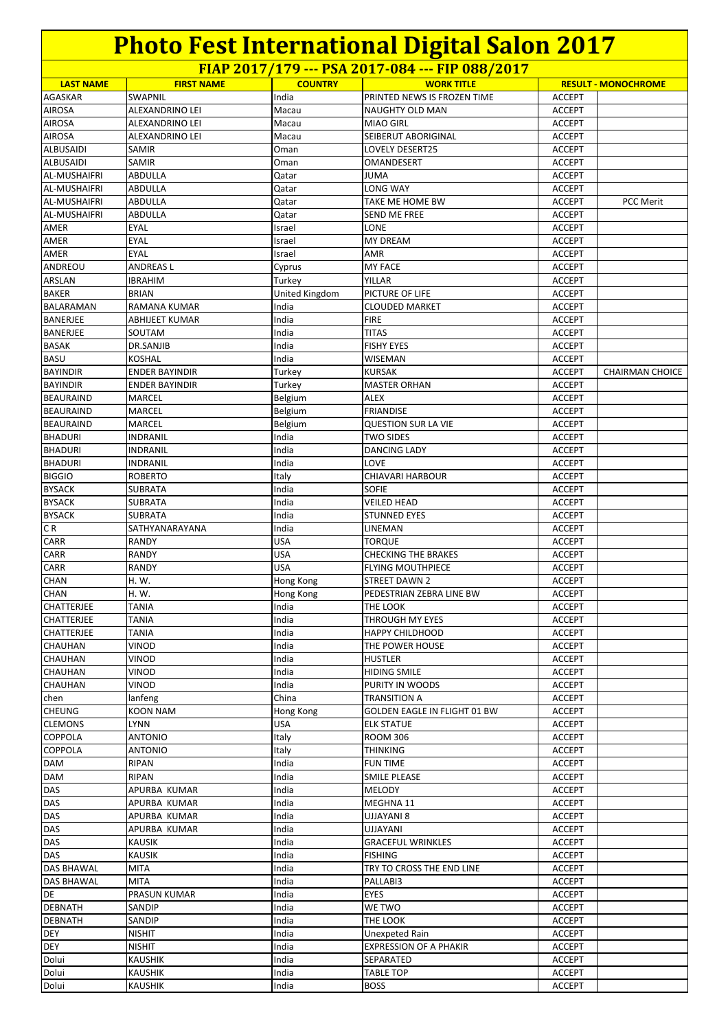$\frac{1}{100}$  **FIRST NAME COUNTRY** WORK TITLE AGASKAR SWAPNIL **India** PRINTED NEWS IS FROZEN TIME ACCEPT AIROSA ALEXANDRINO LEI Macau NAUGHTY OLD MAN ACCEPT AIROSA ALEXANDRINO LEI Macau MIAO GIRL ACCEPT AIROSA | ALEXANDRINO LEI | Macau SEIBERUT ABORIGINAL | ACCEPT ALBUSAIDI SAMIR Oman LOVELY DESERT25 ACCEPT ALBUSAIDI |SAMIR |Oman |OMANDESERT ACCEPT AL-MUSHAIFRI ABDULLA Qatar JUMA ACCEPT AL-MUSHAIFRI ABDULLA Qatar LONG WAY ACCEPT AL-MUSHAIFRI ABDULLA Qatar TAKE ME HOME BW ACCEPT PCC Merit AL-MUSHAIFRI ABDULLA **Qatar** SEND ME FREE ACCEPT AMER EYAL Israel LONE ACCEPT AMER EYAL Israel MY DREAM ACCEPT AMER EYAL Israel AMR ACCEPT ANDREOU ANDREAS L Cyprus MY FACE ACCEPT ARSLAN |IBRAHIM | |Turkey | YILLAR | ACCEPT BAKER BRIAN BRIAN United Kingdom PICTURE OF LIFE ACCEPT BALARAMAN RAMANA KUMAR India CLOUDED MARKET ACCEPT BANERJEE ABHIJEET KUMAR India FIRE FIRE ACCEPT BANERJEE |SOUTAM | |India | |TITAS | ACCEPT BASAK DR.SANJIB India FISHY EYES ACCEPT BASU KOSHAL India WISEMAN ACCEPT BAYINDIR ENDER BAYINDIR Turkey KURSAK ACCEPT CHAIRMAN CHOICE<br>BAYINDIR ENDER BAYINDIR Turkey MASTER ORHAN ACCEPT BAYINDIR ENDER BAYINDIR Turkey MASTER ORHAN BEAURAIND MARCEL Belgium ALEX ACCEPT BEAURAIND MARCEL Belgium FRIANDISE ACCEPT BEAURAIND MARCEL Belgium QUESTION SUR LA VIE ACCEPT BHADURI INDRANIL India TWO SIDES ACCEPT BHADURI INDRANIL India DANCING LADY ACCEPT BHADURI |INDRANIL | |India |LOVE | ACCEPT BIGGIO ROBERTO Italy CHIAVARI HARBOUR ACCEPT BYSACK SUBRATA India SOFIE ACCEPT BYSACK SUBRATA India VEILED HEAD ACCEPT BYSACK SUBRATA | India | STUNNED EYES | ACCEPT CR SATHYANARAYANA | India | LINEMAN | ACCEPT CARR RANDY USA TORQUE ACCEPT CARR RANDY USA CHECKING THE BRAKES ACCEPT CARR RANDY VISA FLYING MOUTHPIECE ACCEPT CHAN H. W. Hong Kong STREET DAWN 2 ACCEPT CHAN H. W. Hong Kong PEDESTRIAN ZEBRA LINE BW ACCEPT CHATTERJEE TANIA India THE LOOK ACCEPT CHATTERJEE TANIA **India** India THROUGH MY EYES ACCEPT CHATTERJEE TANIA INDIANA (India HAPPY CHILDHOOD | ACCEPT CHAUHAN VINOD India THE POWER HOUSE ACCEPT CHAUHAN |VINOD | |India |HUSTLER | ACCEPT CHAUHAN VINOD India HIDING SMILE ACCEPT CHAUHAN VINOD India PURITY IN WOODS CHAUHAN VINOD chen lanfeng China TRANSITION A ACCEPT CHEUNG KOON NAM Hong Kong GOLDEN EAGLE IN FLIGHT 01 BW ACCEPT CLEMONS LYNN USA ELK STATUE ACCEPT COPPOLA |ANTONIO | Italy | ROOM 306 | ACCEPT COPPOLA |ANTONIO | Italy | THINKING | ACCEPT DAM RIPAN India FUN TIME ACCEPT DAM RIPAN RIPAN India SMILE PLEASE SMILE PORT SMILE PORT ACCEPT DAS APURBA KUMAR India MELODY ACCEPT DAS APURBA KUMAR India MEGHNA 11 ACCEPT DAS APURBA KUMAR India | UJJAYANI 8 | ACCEPT DAS APURBA KUMAR India UJJAYANI ACCEPT **DAS KAUSIK India GRACEFUL WRINKLES ACCEPT** DAS KAUSIK India FISHING ACCEPT DAS BHAWAL MITA INDIA INDIA INDIA INDIA TRY TO CROSS THE END LINE ACCEPT DAS BHAWAL MITA India PALLABI3 ACCEPT DE PRASUN KUMAR India EYES ACCEPT DEBNATH SANDIP India WE TWO NOTES ACCEPT DEBNATH SANDIP India THE LOOK | ACCEPT **DEY** NISHIT **India** Unexpeted Rain **India** Unexpeted Rain **ACCEPT** DEY **INISHIT INIT** India **EXPRESSION OF A PHAKIR ACCEPT** Dolui KAUSHIK India SEPARATED ACCEPT Dolui KAUSHIK India TABLE TOP ACCEPT Dolui KAUSHIK India BOSS ACCEPT **FIAP 2017/179 --- PSA 2017-084 --- FIP 088/2017 RESULT - MONOCHROME**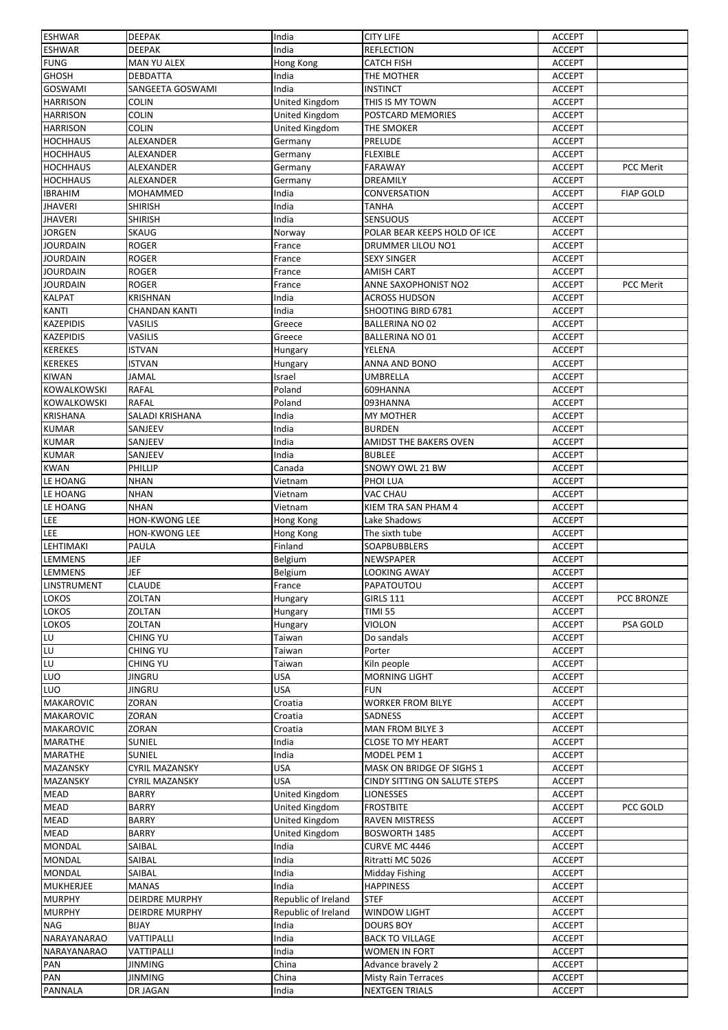| <b>ESHWAR</b>      | <b>DEEPAK</b>                | India                 | <b>CITY LIFE</b>              | <b>ACCEPT</b>                  |                  |
|--------------------|------------------------------|-----------------------|-------------------------------|--------------------------------|------------------|
| <b>ESHWAR</b>      | <b>DEEPAK</b>                | India                 | <b>REFLECTION</b>             | <b>ACCEPT</b>                  |                  |
| <b>FUNG</b>        | MAN YU ALEX                  | Hong Kong             | <b>CATCH FISH</b>             | <b>ACCEPT</b>                  |                  |
| <b>GHOSH</b>       | <b>DEBDATTA</b>              | India                 | THE MOTHER                    | <b>ACCEPT</b>                  |                  |
| GOSWAMI            | SANGEETA GOSWAMI             | India                 | <b>INSTINCT</b>               | <b>ACCEPT</b>                  |                  |
| <b>HARRISON</b>    | <b>COLIN</b>                 | United Kingdom        | THIS IS MY TOWN               | <b>ACCEPT</b>                  |                  |
| <b>HARRISON</b>    | <b>COLIN</b>                 | United Kingdom        | POSTCARD MEMORIES             | <b>ACCEPT</b>                  |                  |
| <b>HARRISON</b>    | <b>COLIN</b>                 | United Kingdom        | THE SMOKER                    | ACCEPT                         |                  |
| <b>HOCHHAUS</b>    | ALEXANDER                    | Germany               | PRELUDE                       | <b>ACCEPT</b>                  |                  |
| <b>HOCHHAUS</b>    | ALEXANDER                    | Germany               | <b>FLEXIBLE</b>               | <b>ACCEPT</b>                  |                  |
| <b>HOCHHAUS</b>    | ALEXANDER                    | Germany               | <b>FARAWAY</b>                | <b>ACCEPT</b>                  | PCC Merit        |
| <b>HOCHHAUS</b>    | <b>ALEXANDER</b>             | Germany               | DREAMILY                      | <b>ACCEPT</b>                  |                  |
| <b>IBRAHIM</b>     | MOHAMMED                     | India                 | CONVERSATION                  | <b>ACCEPT</b>                  | <b>FIAP GOLD</b> |
| <b>JHAVERI</b>     | <b>SHIRISH</b>               | India                 | <b>TANHA</b>                  | <b>ACCEPT</b>                  |                  |
| <b>JHAVERI</b>     | <b>SHIRISH</b>               | India                 | SENSUOUS                      | <b>ACCEPT</b>                  |                  |
| <b>JORGEN</b>      | <b>SKAUG</b>                 | Norway                | POLAR BEAR KEEPS HOLD OF ICE  | <b>ACCEPT</b>                  |                  |
| <b>JOURDAIN</b>    | <b>ROGER</b>                 |                       | DRUMMER LILOU NO1             | <b>ACCEPT</b>                  |                  |
| <b>JOURDAIN</b>    | <b>ROGER</b>                 | France                |                               |                                |                  |
|                    | <b>ROGER</b>                 | France                | <b>SEXY SINGER</b>            | <b>ACCEPT</b>                  |                  |
| <b>JOURDAIN</b>    |                              | France                | <b>AMISH CART</b>             | <b>ACCEPT</b>                  |                  |
| <b>JOURDAIN</b>    | <b>ROGER</b>                 | France                | ANNE SAXOPHONIST NO2          | <b>ACCEPT</b>                  | <b>PCC Merit</b> |
| <b>KALPAT</b>      | <b>KRISHNAN</b>              | India                 | <b>ACROSS HUDSON</b>          | <b>ACCEPT</b>                  |                  |
| KANTI              | <b>CHANDAN KANTI</b>         | India                 | SHOOTING BIRD 6781            | <b>ACCEPT</b>                  |                  |
| <b>KAZEPIDIS</b>   | VASILIS                      | Greece                | <b>BALLERINA NO 02</b>        | <b>ACCEPT</b>                  |                  |
| <b>KAZEPIDIS</b>   | VASILIS                      | Greece                | BALLERINA NO 01               | <b>ACCEPT</b>                  |                  |
| <b>KEREKES</b>     | <b>ISTVAN</b>                | Hungary               | YELENA                        | <b>ACCEPT</b>                  |                  |
| <b>KEREKES</b>     | ISTVAN                       | Hungary               | ANNA AND BONO                 | <b>ACCEPT</b>                  |                  |
| <b>KIWAN</b>       | <b>JAMAL</b>                 | Israel                | UMBRELLA                      | <b>ACCEPT</b>                  |                  |
| KOWALKOWSKI        | <b>RAFAL</b>                 | Poland                | 609HANNA                      | <b>ACCEPT</b>                  |                  |
| KOWALKOWSKI        | <b>RAFAL</b>                 | Poland                | 093HANNA                      | <b>ACCEPT</b>                  |                  |
| <b>KRISHANA</b>    | SALADI KRISHANA              | India                 | MY MOTHER                     | <b>ACCEPT</b>                  |                  |
| <b>KUMAR</b>       | SANJEEV                      | India                 | <b>BURDEN</b>                 | <b>ACCEPT</b>                  |                  |
| <b>KUMAR</b>       | SANJEEV                      | India                 | AMIDST THE BAKERS OVEN        | <b>ACCEPT</b>                  |                  |
| <b>KUMAR</b>       | SANJEEV                      | India                 | <b>BUBLEE</b>                 | <b>ACCEPT</b>                  |                  |
| <b>KWAN</b>        | PHILLIP                      | Canada                | SNOWY OWL 21 BW               | <b>ACCEPT</b>                  |                  |
| LE HOANG           | <b>NHAN</b>                  | Vietnam               | PHOI LUA                      | <b>ACCEPT</b>                  |                  |
| LE HOANG           | <b>NHAN</b>                  | Vietnam               | VAC CHAU                      | <b>ACCEPT</b>                  |                  |
| LE HOANG           | <b>NHAN</b>                  | Vietnam               |                               | <b>ACCEPT</b>                  |                  |
|                    | <b>HON-KWONG LEE</b>         |                       | KIEM TRA SAN PHAM 4           |                                |                  |
| LEE                |                              | Hong Kong             | Lake Shadows                  | <b>ACCEPT</b>                  |                  |
| LEE                | HON-KWONG LEE                | Hong Kong             | The sixth tube                | <b>ACCEPT</b>                  |                  |
| LEHTIMAKI          | PAULA                        | Finland               | SOAPBUBBLERS                  | <b>ACCEPT</b>                  |                  |
| LEMMENS            | JEF                          | Belgium               | NEWSPAPER                     | <b>ACCEPT</b>                  |                  |
| <b>LEMMENS</b>     | JEF                          | Belgium               | LOOKING AWAY                  | <b>ACCEPT</b>                  |                  |
| <b>LINSTRUMENT</b> | <b>CLAUDE</b>                | France                | PAPATOUTOU                    | <b>ACCEPT</b>                  |                  |
| LOKOS              | ZOLTAN                       | Hungary               | <b>GIRLS 111</b>              | <b>ACCEPT</b>                  | PCC BRONZE       |
| LOKOS              | ZOLTAN                       | Hungary               | <b>TIMI 55</b>                | <b>ACCEPT</b>                  |                  |
| LOKOS              | <b>ZOLTAN</b>                | Hungary               | <b>VIOLON</b>                 | <b>ACCEPT</b>                  | PSA GOLD         |
| LU                 | CHING YU                     | Taiwan                | Do sandals                    | <b>ACCEPT</b>                  |                  |
| LU                 | CHING YU                     | Taiwan                | Porter                        | <b>ACCEPT</b>                  |                  |
| LU                 | CHING YU                     | Taiwan                | Kiln people                   | <b>ACCEPT</b>                  |                  |
| LUO                | <b>JINGRU</b>                | USA                   | <b>MORNING LIGHT</b>          | <b>ACCEPT</b>                  |                  |
| LUO                | <b>JINGRU</b>                | <b>USA</b>            | <b>FUN</b>                    | <b>ACCEPT</b>                  |                  |
| <b>MAKAROVIC</b>   | <b>ZORAN</b>                 | Croatia               | WORKER FROM BILYE             | <b>ACCEPT</b>                  |                  |
| <b>MAKAROVIC</b>   | ZORAN                        | Croatia               | SADNESS                       | <b>ACCEPT</b>                  |                  |
| <b>MAKAROVIC</b>   | ZORAN                        | Croatia               | <b>MAN FROM BILYE 3</b>       | <b>ACCEPT</b>                  |                  |
| <b>MARATHE</b>     | <b>SUNIEL</b>                | India                 | <b>CLOSE TO MY HEART</b>      | <b>ACCEPT</b>                  |                  |
| <b>MARATHE</b>     | SUNIEL                       | India                 | MODEL PEM 1                   | <b>ACCEPT</b>                  |                  |
| MAZANSKY           | CYRIL MAZANSKY               | <b>USA</b>            | MASK ON BRIDGE OF SIGHS 1     | <b>ACCEPT</b>                  |                  |
| MAZANSKY           | <b>CYRIL MAZANSKY</b>        | <b>USA</b>            | CINDY SITTING ON SALUTE STEPS | <b>ACCEPT</b>                  |                  |
| MEAD               |                              | United Kingdom        |                               |                                |                  |
| <b>MEAD</b>        | <b>BARRY</b><br><b>BARRY</b> | <b>United Kingdom</b> | LIONESSES<br><b>FROSTBITE</b> | <b>ACCEPT</b><br><b>ACCEPT</b> | PCC GOLD         |
|                    |                              |                       |                               |                                |                  |
| MEAD               | <b>BARRY</b>                 | United Kingdom        | <b>RAVEN MISTRESS</b>         | <b>ACCEPT</b>                  |                  |
| MEAD               | <b>BARRY</b>                 | United Kingdom        | <b>BOSWORTH 1485</b>          | <b>ACCEPT</b>                  |                  |
| <b>MONDAL</b>      | SAIBAL                       | India                 | CURVE MC 4446                 | <b>ACCEPT</b>                  |                  |
| <b>MONDAL</b>      | SAIBAL                       | India                 | Ritratti MC 5026              | <b>ACCEPT</b>                  |                  |
| <b>MONDAL</b>      | SAIBAL                       | India                 | Midday Fishing                | <b>ACCEPT</b>                  |                  |
| <b>MUKHERJEE</b>   | <b>MANAS</b>                 | India                 | <b>HAPPINESS</b>              | <b>ACCEPT</b>                  |                  |
| <b>MURPHY</b>      | DEIRDRE MURPHY               | Republic of Ireland   | <b>STEF</b>                   | ACCEPT                         |                  |
| <b>MURPHY</b>      | <b>DEIRDRE MURPHY</b>        | Republic of Ireland   | <b>WINDOW LIGHT</b>           | <b>ACCEPT</b>                  |                  |
| <b>NAG</b>         | <b>BIJAY</b>                 | India                 | <b>DOURS BOY</b>              | <b>ACCEPT</b>                  |                  |
| NARAYANARAO        | VATTIPALLI                   | India                 | <b>BACK TO VILLAGE</b>        | <b>ACCEPT</b>                  |                  |
| NARAYANARAO        | VATTIPALLI                   | India                 | WOMEN IN FORT                 | <b>ACCEPT</b>                  |                  |
| PAN                | JINMING                      | China                 | Advance bravely 2             | <b>ACCEPT</b>                  |                  |
| PAN                | <b>JINMING</b>               | China                 | Misty Rain Terraces           | <b>ACCEPT</b>                  |                  |
| <b>PANNALA</b>     | DR JAGAN                     | India                 | <b>NEXTGEN TRIALS</b>         | <b>ACCEPT</b>                  |                  |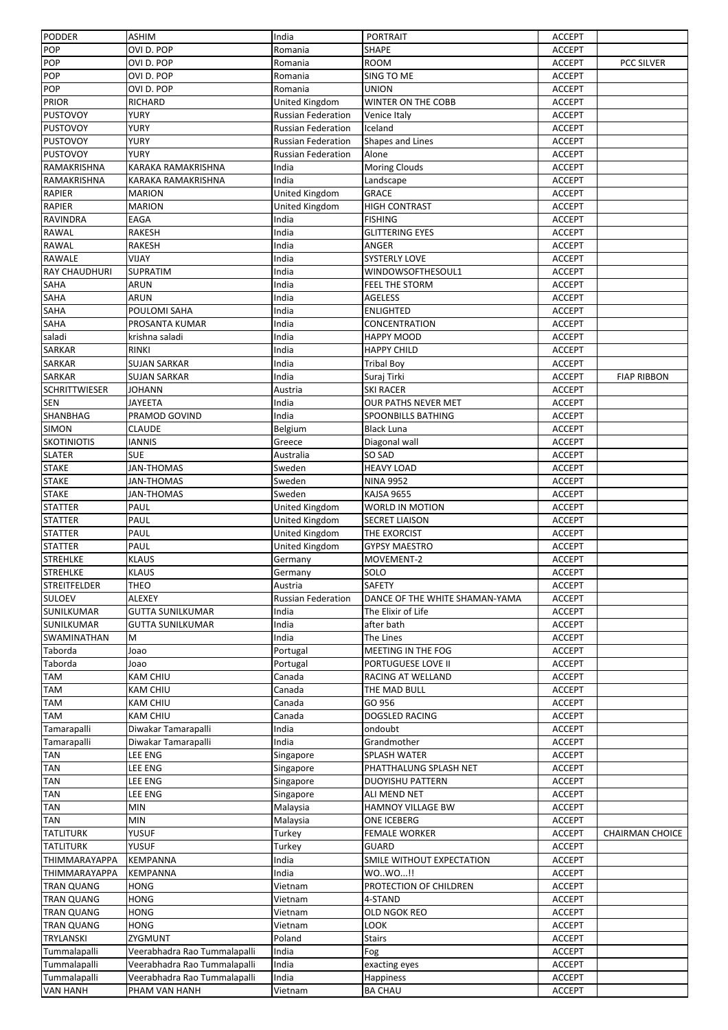| <b>PODDER</b>                      | <b>ASHIM</b>                    | India                     | <b>PORTRAIT</b>                                | <b>ACCEPT</b>                  |                        |
|------------------------------------|---------------------------------|---------------------------|------------------------------------------------|--------------------------------|------------------------|
| POP                                | OVI D. POP                      | Romania                   | SHAPE                                          | <b>ACCEPT</b>                  |                        |
| POP                                | OVI D. POP                      | Romania                   | ROOM                                           | <b>ACCEPT</b>                  | <b>PCC SILVER</b>      |
| POP                                | OVI D. POP                      | Romania                   | SING TO ME                                     | <b>ACCEPT</b>                  |                        |
| POP                                | OVI D. POP                      | Romania                   | <b>UNION</b>                                   | <b>ACCEPT</b>                  |                        |
| <b>PRIOR</b>                       | RICHARD                         | United Kingdom            | WINTER ON THE COBB                             | <b>ACCEPT</b>                  |                        |
| <b>PUSTOVOY</b>                    | YURY                            | <b>Russian Federation</b> | Venice Italy                                   | <b>ACCEPT</b>                  |                        |
| <b>PUSTOVOY</b>                    | YURY                            | <b>Russian Federation</b> | Iceland                                        | <b>ACCEPT</b>                  |                        |
| <b>PUSTOVOY</b>                    | <b>YURY</b>                     | <b>Russian Federation</b> | Shapes and Lines                               | <b>ACCEPT</b>                  |                        |
| <b>PUSTOVOY</b>                    | <b>YURY</b>                     | <b>Russian Federation</b> | Alone                                          | <b>ACCEPT</b>                  |                        |
| RAMAKRISHNA                        | KARAKA RAMAKRISHNA              | India                     | <b>Moring Clouds</b>                           | <b>ACCEPT</b>                  |                        |
| RAMAKRISHNA                        | KARAKA RAMAKRISHNA              | India                     | Landscape                                      | <b>ACCEPT</b>                  |                        |
| <b>RAPIER</b>                      | <b>MARION</b>                   | United Kingdom            | <b>GRACE</b>                                   | <b>ACCEPT</b>                  |                        |
| <b>RAPIER</b>                      | <b>MARION</b>                   | United Kingdom            | <b>HIGH CONTRAST</b>                           | <b>ACCEPT</b>                  |                        |
| <b>RAVINDRA</b>                    | EAGA                            | India                     | <b>FISHING</b>                                 | <b>ACCEPT</b>                  |                        |
| <b>RAWAL</b>                       | <b>RAKESH</b>                   | India                     | <b>GLITTERING EYES</b>                         | <b>ACCEPT</b>                  |                        |
| <b>RAWAL</b>                       | <b>RAKESH</b>                   | India                     | ANGER                                          | <b>ACCEPT</b>                  |                        |
| RAWALE                             | VIJAY                           | India                     | <b>SYSTERLY LOVE</b>                           | <b>ACCEPT</b>                  |                        |
| <b>RAY CHAUDHURI</b>               | SUPRATIM                        | India                     | WINDOWSOFTHESOUL1                              | <b>ACCEPT</b>                  |                        |
| <b>SAHA</b>                        | <b>ARUN</b>                     | India                     | FEEL THE STORM                                 | <b>ACCEPT</b>                  |                        |
| SAHA                               | ARUN                            | India                     | <b>AGELESS</b>                                 | <b>ACCEPT</b>                  |                        |
| SAHA                               | POULOMI SAHA                    | India                     | <b>ENLIGHTED</b>                               | <b>ACCEPT</b>                  |                        |
| SAHA                               | PROSANTA KUMAR                  | India                     | CONCENTRATION                                  | <b>ACCEPT</b>                  |                        |
| saladi                             | krishna saladi                  | India                     | HAPPY MOOD                                     | <b>ACCEPT</b>                  |                        |
| <b>SARKAR</b>                      | <b>RINKI</b>                    | India                     | <b>HAPPY CHILD</b>                             | <b>ACCEPT</b>                  |                        |
| <b>SARKAR</b>                      | <b>SUJAN SARKAR</b>             | India<br>India            | <b>Tribal Boy</b>                              | <b>ACCEPT</b>                  |                        |
| <b>SARKAR</b>                      | <b>SUJAN SARKAR</b>             |                           | Suraj Tirki                                    | <b>ACCEPT</b>                  | <b>FIAP RIBBON</b>     |
| <b>SCHRITTWIESER</b><br><b>SEN</b> | <b>JOHANN</b><br><b>JAYEETA</b> | Austria<br>India          | <b>SKI RACER</b><br><b>OUR PATHS NEVER MET</b> | <b>ACCEPT</b><br><b>ACCEPT</b> |                        |
| SHANBHAG                           | PRAMOD GOVIND                   | India                     | SPOONBILLS BATHING                             |                                |                        |
|                                    |                                 |                           |                                                | <b>ACCEPT</b>                  |                        |
| <b>SIMON</b><br><b>SKOTINIOTIS</b> | <b>CLAUDE</b><br><b>IANNIS</b>  | Belgium                   | <b>Black Luna</b>                              | <b>ACCEPT</b><br><b>ACCEPT</b> |                        |
| <b>SLATER</b>                      | <b>SUE</b>                      | Greece<br>Australia       | Diagonal wall<br>SO SAD                        | <b>ACCEPT</b>                  |                        |
| <b>STAKE</b>                       | <b>JAN-THOMAS</b>               | Sweden                    | <b>HEAVY LOAD</b>                              | <b>ACCEPT</b>                  |                        |
| <b>STAKE</b>                       | JAN-THOMAS                      | Sweden                    | <b>NINA 9952</b>                               | <b>ACCEPT</b>                  |                        |
| <b>STAKE</b>                       | JAN-THOMAS                      | Sweden                    | <b>KAJSA 9655</b>                              | <b>ACCEPT</b>                  |                        |
| <b>STATTER</b>                     | PAUL                            | United Kingdom            | WORLD IN MOTION                                | <b>ACCEPT</b>                  |                        |
| <b>STATTER</b>                     | PAUL                            | United Kingdom            | <b>SECRET LIAISON</b>                          | <b>ACCEPT</b>                  |                        |
| <b>STATTER</b>                     | PAUL                            | United Kingdom            | THE EXORCIST                                   | <b>ACCEPT</b>                  |                        |
| <b>STATTER</b>                     | PAUL                            | United Kingdom            | <b>GYPSY MAESTRO</b>                           | <b>ACCEPT</b>                  |                        |
| <b>STREHLKE</b>                    | <b>KLAUS</b>                    | Germany                   | MOVEMENT-2                                     | <b>ACCEPT</b>                  |                        |
| <b>STREHLKE</b>                    | <b>KLAUS</b>                    | Germany                   | SOLO                                           | <b>ACCEPT</b>                  |                        |
| <b>STREITFELDER</b>                | <b>THEO</b>                     | Austria                   | <b>SAFETY</b>                                  | <b>ACCEPT</b>                  |                        |
| <b>SULOEV</b>                      | ALEXEY                          | <b>Russian Federation</b> | DANCE OF THE WHITE SHAMAN-YAMA                 | <b>ACCEPT</b>                  |                        |
| SUNILKUMAR                         | <b>GUTTA SUNILKUMAR</b>         | India                     | The Elixir of Life                             | <b>ACCEPT</b>                  |                        |
| <b>SUNILKUMAR</b>                  | <b>GUTTA SUNILKUMAR</b>         | India                     | after bath                                     | <b>ACCEPT</b>                  |                        |
| <b>SWAMINATHAN</b>                 | M                               | India                     | The Lines                                      | <b>ACCEPT</b>                  |                        |
| Taborda                            | Joao                            | Portugal                  | MEETING IN THE FOG                             | <b>ACCEPT</b>                  |                        |
| Taborda                            | Joao                            | Portugal                  | PORTUGUESE LOVE II                             | ACCEPT                         |                        |
| TAM                                | <b>KAM CHIU</b>                 | Canada                    | RACING AT WELLAND                              | <b>ACCEPT</b>                  |                        |
| TAM                                | <b>KAM CHIU</b>                 | Canada                    | THE MAD BULL                                   | <b>ACCEPT</b>                  |                        |
| TAM                                | <b>KAM CHIU</b>                 | Canada                    | GO 956                                         | <b>ACCEPT</b>                  |                        |
| TAM                                | <b>KAM CHIU</b>                 | Canada                    | DOGSLED RACING                                 | <b>ACCEPT</b>                  |                        |
| Tamarapalli                        | Diwakar Tamarapalli             | India                     | ondoubt                                        | <b>ACCEPT</b>                  |                        |
| Tamarapalli                        | Diwakar Tamarapalli             | India                     | Grandmother                                    | <b>ACCEPT</b>                  |                        |
| TAN                                | LEE ENG                         | Singapore                 | SPLASH WATER                                   | <b>ACCEPT</b>                  |                        |
| TAN                                | LEE ENG                         | Singapore                 | PHATTHALUNG SPLASH NET                         | <b>ACCEPT</b>                  |                        |
| TAN                                | LEE ENG                         | Singapore                 | <b>DUOYISHU PATTERN</b>                        | <b>ACCEPT</b>                  |                        |
| <b>TAN</b>                         | LEE ENG                         | Singapore                 | ALI MEND NET                                   | <b>ACCEPT</b>                  |                        |
| TAN                                | <b>MIN</b>                      | Malaysia                  | HAMNOY VILLAGE BW                              | <b>ACCEPT</b>                  |                        |
| TAN                                | <b>MIN</b>                      | Malaysia                  | ONE ICEBERG                                    | <b>ACCEPT</b>                  |                        |
| <b>TATLITURK</b>                   | YUSUF                           | Turkey                    | <b>FEMALE WORKER</b>                           | <b>ACCEPT</b>                  | <b>CHAIRMAN CHOICE</b> |
| <b>TATLITURK</b>                   | YUSUF                           | Turkey                    | GUARD                                          | ACCEPT                         |                        |
| <b>THIMMARAYAPPA</b>               | KEMPANNA                        | India                     | SMILE WITHOUT EXPECTATION                      | <b>ACCEPT</b>                  |                        |
|                                    |                                 |                           |                                                |                                |                        |
| <b>THIMMARAYAPPA</b>               | <b>KEMPANNA</b>                 | India                     | WOWO!!                                         | <b>ACCEPT</b>                  |                        |
| <b>TRAN QUANG</b>                  | <b>HONG</b>                     | Vietnam                   | PROTECTION OF CHILDREN                         | <b>ACCEPT</b>                  |                        |
| <b>TRAN QUANG</b>                  | HONG                            | Vietnam                   | 4-STAND                                        | <b>ACCEPT</b>                  |                        |
| <b>TRAN QUANG</b>                  | <b>HONG</b>                     | Vietnam                   | OLD NGOK REO                                   | <b>ACCEPT</b>                  |                        |
| <b>TRAN QUANG</b>                  | <b>HONG</b>                     | Vietnam                   | LOOK                                           | <b>ACCEPT</b>                  |                        |
| <b>TRYLANSKI</b>                   | ZYGMUNT                         | Poland                    | <b>Stairs</b>                                  | <b>ACCEPT</b>                  |                        |
| Tummalapalli                       | Veerabhadra Rao Tummalapalli    | India                     | Fog                                            | <b>ACCEPT</b>                  |                        |
| Tummalapalli                       | Veerabhadra Rao Tummalapalli    | India                     | exacting eyes                                  | ACCEPT                         |                        |
| Tummalapalli<br><b>VAN HANH</b>    | Veerabhadra Rao Tummalapalli    | India                     | <b>Happiness</b>                               | <b>ACCEPT</b>                  |                        |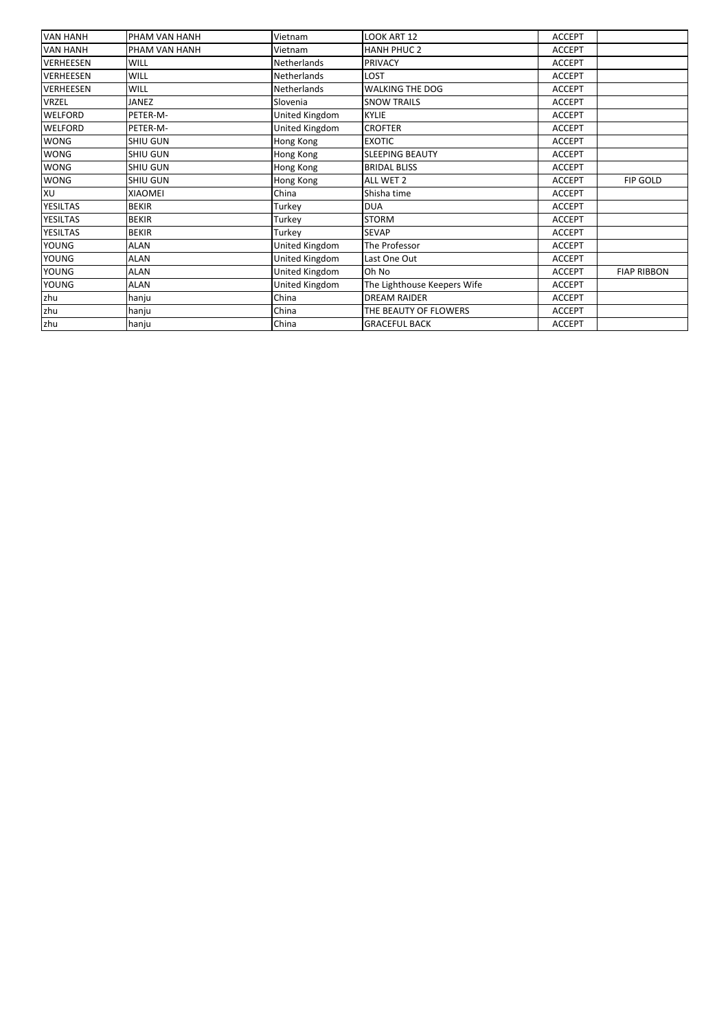| <b>VAN HANH</b>  | PHAM VAN HANH   | Vietnam            | LOOK ART 12                 | <b>ACCEPT</b> |                    |
|------------------|-----------------|--------------------|-----------------------------|---------------|--------------------|
| <b>VAN HANH</b>  | PHAM VAN HANH   | Vietnam            | <b>HANH PHUC 2</b>          | <b>ACCEPT</b> |                    |
| <b>VERHEESEN</b> | <b>WILL</b>     | <b>Netherlands</b> | <b>PRIVACY</b>              | <b>ACCEPT</b> |                    |
| <b>VERHEESEN</b> | <b>WILL</b>     | <b>Netherlands</b> | LOST                        | <b>ACCEPT</b> |                    |
| <b>VERHEESEN</b> | WILL            | Netherlands        | WALKING THE DOG             | <b>ACCEPT</b> |                    |
| <b>VRZEL</b>     | <b>JANEZ</b>    | Slovenia           | <b>SNOW TRAILS</b>          | <b>ACCEPT</b> |                    |
| <b>WELFORD</b>   | PETER-M-        | United Kingdom     | <b>KYLIE</b>                | <b>ACCEPT</b> |                    |
| <b>WELFORD</b>   | PETER-M-        | United Kingdom     | <b>CROFTER</b>              | <b>ACCEPT</b> |                    |
| <b>WONG</b>      | <b>SHIU GUN</b> | Hong Kong          | <b>EXOTIC</b>               | <b>ACCEPT</b> |                    |
| <b>WONG</b>      | <b>SHIU GUN</b> | Hong Kong          | <b>SLEEPING BEAUTY</b>      | <b>ACCEPT</b> |                    |
| <b>WONG</b>      | <b>SHIU GUN</b> | Hong Kong          | <b>BRIDAL BLISS</b>         | <b>ACCEPT</b> |                    |
| <b>WONG</b>      | <b>SHIU GUN</b> | Hong Kong          | ALL WET 2                   | <b>ACCEPT</b> | <b>FIP GOLD</b>    |
| XU               | <b>XIAOMEI</b>  | China              | Shisha time                 | <b>ACCEPT</b> |                    |
| <b>YESILTAS</b>  | <b>BEKIR</b>    | Turkey             | <b>DUA</b>                  | <b>ACCEPT</b> |                    |
| <b>YESILTAS</b>  | <b>BEKIR</b>    | Turkey             | <b>STORM</b>                | <b>ACCEPT</b> |                    |
| <b>YESILTAS</b>  | <b>BEKIR</b>    | Turkey             | <b>SEVAP</b>                | <b>ACCEPT</b> |                    |
| <b>YOUNG</b>     | <b>ALAN</b>     | United Kingdom     | The Professor               | <b>ACCEPT</b> |                    |
| <b>YOUNG</b>     | <b>ALAN</b>     | United Kingdom     | Last One Out                | <b>ACCEPT</b> |                    |
| <b>YOUNG</b>     | <b>ALAN</b>     | United Kingdom     | Oh No                       | <b>ACCEPT</b> | <b>FIAP RIBBON</b> |
| <b>YOUNG</b>     | <b>ALAN</b>     | United Kingdom     | The Lighthouse Keepers Wife | <b>ACCEPT</b> |                    |
| zhu              | hanju           | China              | <b>DREAM RAIDER</b>         | <b>ACCEPT</b> |                    |
| zhu              | hanju           | China              | THE BEAUTY OF FLOWERS       | <b>ACCEPT</b> |                    |
| zhu              | hanju           | China              | <b>GRACEFUL BACK</b>        | <b>ACCEPT</b> |                    |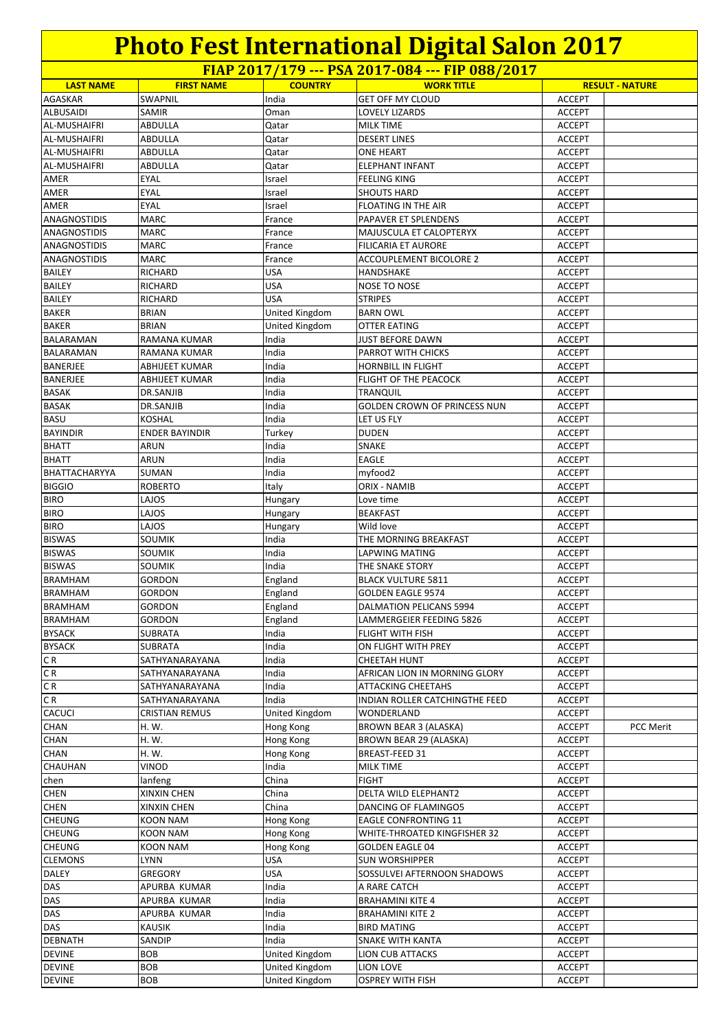**FIAP 2017/179 --- PSA 2017-084 --- FIP 088/2017**

|                     |                       |                       | $11/12017/177$ $13/12017007$ $111000/2017$ |               |                        |
|---------------------|-----------------------|-----------------------|--------------------------------------------|---------------|------------------------|
| <b>LAST NAME</b>    | <b>FIRST NAME</b>     | <b>COUNTRY</b>        | <b>WORK TITLE</b>                          |               | <b>RESULT - NATURE</b> |
| AGASKAR             | <b>SWAPNIL</b>        | India                 | <b>GET OFF MY CLOUD</b>                    | <b>ACCEPT</b> |                        |
| <b>ALBUSAIDI</b>    | SAMIR                 | Oman                  | <b>LOVELY LIZARDS</b>                      | <b>ACCEPT</b> |                        |
| <b>AL-MUSHAIFRI</b> | ABDULLA               | Qatar                 | <b>MILK TIME</b>                           | <b>ACCEPT</b> |                        |
| <b>AL-MUSHAIFRI</b> | ABDULLA               | Qatar                 | <b>DESERT LINES</b>                        | <b>ACCEPT</b> |                        |
| <b>AL-MUSHAIFRI</b> | ABDULLA               | Qatar                 | <b>ONE HEART</b>                           | <b>ACCEPT</b> |                        |
| AL-MUSHAIFRI        | ABDULLA               | Qatar                 | <b>ELEPHANT INFANT</b>                     | <b>ACCEPT</b> |                        |
| AMER                | EYAL                  | Israel                | <b>FEELING KING</b>                        | <b>ACCEPT</b> |                        |
| AMER                | EYAL                  | Israel                | <b>SHOUTS HARD</b>                         | <b>ACCEPT</b> |                        |
| AMER                | EYAL                  | Israel                | FLOATING IN THE AIR                        | <b>ACCEPT</b> |                        |
| <b>ANAGNOSTIDIS</b> | <b>MARC</b>           | France                | PAPAVER ET SPLENDENS                       | <b>ACCEPT</b> |                        |
| <b>ANAGNOSTIDIS</b> | <b>MARC</b>           | France                | MAJUSCULA ET CALOPTERYX                    | <b>ACCEPT</b> |                        |
| ANAGNOSTIDIS        | MARC                  | France                | <b>FILICARIA ET AURORE</b>                 | <b>ACCEPT</b> |                        |
| ANAGNOSTIDIS        | MARC                  | France                | ACCOUPLEMENT BICOLORE 2                    | <b>ACCEPT</b> |                        |
| <b>BAILEY</b>       | RICHARD               | USA                   | HANDSHAKE                                  | <b>ACCEPT</b> |                        |
| <b>BAILEY</b>       | RICHARD               | <b>USA</b>            | NOSE TO NOSE                               | <b>ACCEPT</b> |                        |
| <b>BAILEY</b>       | RICHARD               | <b>USA</b>            | <b>STRIPES</b>                             | <b>ACCEPT</b> |                        |
| <b>BAKER</b>        | <b>BRIAN</b>          | United Kingdom        | <b>BARN OWL</b>                            | <b>ACCEPT</b> |                        |
| <b>BAKER</b>        | <b>BRIAN</b>          | United Kingdom        | <b>OTTER EATING</b>                        | <b>ACCEPT</b> |                        |
| <b>BALARAMAN</b>    | RAMANA KUMAR          | India                 | <b>JUST BEFORE DAWN</b>                    | <b>ACCEPT</b> |                        |
| <b>BALARAMAN</b>    | RAMANA KUMAR          | India                 | PARROT WITH CHICKS                         | <b>ACCEPT</b> |                        |
| <b>BANERJEE</b>     | ABHIJEET KUMAR        | India                 | <b>HORNBILL IN FLIGHT</b>                  | <b>ACCEPT</b> |                        |
| <b>BANERJEE</b>     | ABHIJEET KUMAR        | India                 | FLIGHT OF THE PEACOCK                      | <b>ACCEPT</b> |                        |
| <b>BASAK</b>        |                       |                       |                                            |               |                        |
|                     | DR.SANJIB             | India                 | <b>TRANQUIL</b>                            | <b>ACCEPT</b> |                        |
| <b>BASAK</b>        | DR.SANJIB             | India                 | <b>GOLDEN CROWN OF PRINCESS NUN</b>        | <b>ACCEPT</b> |                        |
| <b>BASU</b>         | KOSHAL                | India                 | LET US FLY                                 | <b>ACCEPT</b> |                        |
| <b>BAYINDIR</b>     | <b>ENDER BAYINDIR</b> | Turkey                | <b>DUDEN</b>                               | ACCEPT        |                        |
| <b>BHATT</b>        | ARUN                  | India                 | <b>SNAKE</b>                               | <b>ACCEPT</b> |                        |
| <b>BHATT</b>        | ARUN                  | India                 | <b>EAGLE</b>                               | <b>ACCEPT</b> |                        |
| BHATTACHARYYA       | SUMAN                 | India                 | myfood2                                    | <b>ACCEPT</b> |                        |
| <b>BIGGIO</b>       | ROBERTO               | Italy                 | ORIX - NAMIB                               | <b>ACCEPT</b> |                        |
| <b>BIRO</b>         | LAJOS                 | Hungary               | Love time                                  | <b>ACCEPT</b> |                        |
| <b>BIRO</b>         | LAJOS                 | Hungary               | <b>BEAKFAST</b>                            | <b>ACCEPT</b> |                        |
| <b>BIRO</b>         | LAJOS                 | Hungary               | Wild love                                  | <b>ACCEPT</b> |                        |
| <b>BISWAS</b>       | <b>SOUMIK</b>         | India                 | THE MORNING BREAKFAST                      | <b>ACCEPT</b> |                        |
| <b>BISWAS</b>       | SOUMIK                | India                 | <b>LAPWING MATING</b>                      | <b>ACCEPT</b> |                        |
| <b>BISWAS</b>       | SOUMIK                | India                 | THE SNAKE STORY                            | <b>ACCEPT</b> |                        |
| <b>BRAMHAM</b>      | GORDON                | England               | <b>BLACK VULTURE 5811</b>                  | ACCEPT        |                        |
| <b>BRAMHAM</b>      | GORDON                | England               | <b>GOLDEN EAGLE 9574</b>                   | <b>ACCEPT</b> |                        |
| <b>BRAMHAM</b>      | GORDON                | England               | <b>DALMATION PELICANS 5994</b>             | <b>ACCEPT</b> |                        |
| <b>BRAMHAM</b>      | GORDON                | England               | LAMMERGEIER FEEDING 5826                   | ACCEPT        |                        |
| <b>BYSACK</b>       | SUBRATA               | India                 | FLIGHT WITH FISH                           | <b>ACCEPT</b> |                        |
| <b>BYSACK</b>       | SUBRATA               | India                 | ON FLIGHT WITH PREY                        | ACCEPT        |                        |
| CR                  | SATHYANARAYANA        | India                 | <b>CHEETAH HUNT</b>                        | ACCEPT        |                        |
| CR                  | SATHYANARAYANA        | India                 | AFRICAN LION IN MORNING GLORY              | <b>ACCEPT</b> |                        |
| C R                 | SATHYANARAYANA        | India                 | <b>ATTACKING CHEETAHS</b>                  | ACCEPT        |                        |
| C R                 | SATHYANARAYANA        | India                 | INDIAN ROLLER CATCHINGTHE FEED             | <b>ACCEPT</b> |                        |
| <b>CACUCI</b>       | CRISTIAN REMUS        | <b>United Kingdom</b> | WONDERLAND                                 | <b>ACCEPT</b> |                        |
| <b>CHAN</b>         | H. W.                 | Hong Kong             | <b>BROWN BEAR 3 (ALASKA)</b>               | <b>ACCEPT</b> | PCC Merit              |
| <b>CHAN</b>         | H. W.                 | <b>Hong Kong</b>      | BROWN BEAR 29 (ALASKA)                     | ACCEPT        |                        |
| <b>CHAN</b>         | H. W.                 | Hong Kong             | BREAST-FEED 31                             | ACCEPT        |                        |
| CHAUHAN             | VINOD                 | India                 | <b>MILK TIME</b>                           | <b>ACCEPT</b> |                        |
| chen                | lanfeng               | China                 | <b>FIGHT</b>                               | ACCEPT        |                        |
| <b>CHEN</b>         | <b>XINXIN CHEN</b>    | China                 | DELTA WILD ELEPHANT2                       | <b>ACCEPT</b> |                        |
|                     |                       |                       |                                            |               |                        |
| <b>CHEN</b>         | XINXIN CHEN           | China                 | DANCING OF FLAMINGO5                       | <b>ACCEPT</b> |                        |
| <b>CHEUNG</b>       | KOON NAM              | Hong Kong             | <b>EAGLE CONFRONTING 11</b>                | ACCEPT        |                        |
| <b>CHEUNG</b>       | KOON NAM              | Hong Kong             | WHITE-THROATED KINGFISHER 32               | ACCEPT        |                        |
| <b>CHEUNG</b>       | <b>KOON NAM</b>       | Hong Kong             | <b>GOLDEN EAGLE 04</b>                     | <b>ACCEPT</b> |                        |
| <b>CLEMONS</b>      | LYNN                  | USA                   | <b>SUN WORSHIPPER</b>                      | ACCEPT        |                        |
| <b>DALEY</b>        | GREGORY               | USA                   | SOSSULVEI AFTERNOON SHADOWS                | ACCEPT        |                        |
| DAS                 | APURBA KUMAR          | India                 | A RARE CATCH                               | ACCEPT        |                        |
| DAS                 | APURBA KUMAR          | India                 | <b>BRAHAMINI KITE 4</b>                    | <b>ACCEPT</b> |                        |
| DAS                 | APURBA KUMAR          | India                 | <b>BRAHAMINI KITE 2</b>                    | ACCEPT        |                        |
| DAS                 | KAUSIK                | India                 | <b>BIRD MATING</b>                         | ACCEPT        |                        |
| <b>DEBNATH</b>      | SANDIP                | India                 | SNAKE WITH KANTA                           | <b>ACCEPT</b> |                        |
| <b>DEVINE</b>       | BOB                   | United Kingdom        | <b>LION CUB ATTACKS</b>                    | ACCEPT        |                        |
| <b>DEVINE</b>       | <b>BOB</b>            | United Kingdom        | LION LOVE                                  | ACCEPT        |                        |
| <b>DEVINE</b>       | <b>BOB</b>            | United Kingdom        | <b>OSPREY WITH FISH</b>                    | <b>ACCEPT</b> |                        |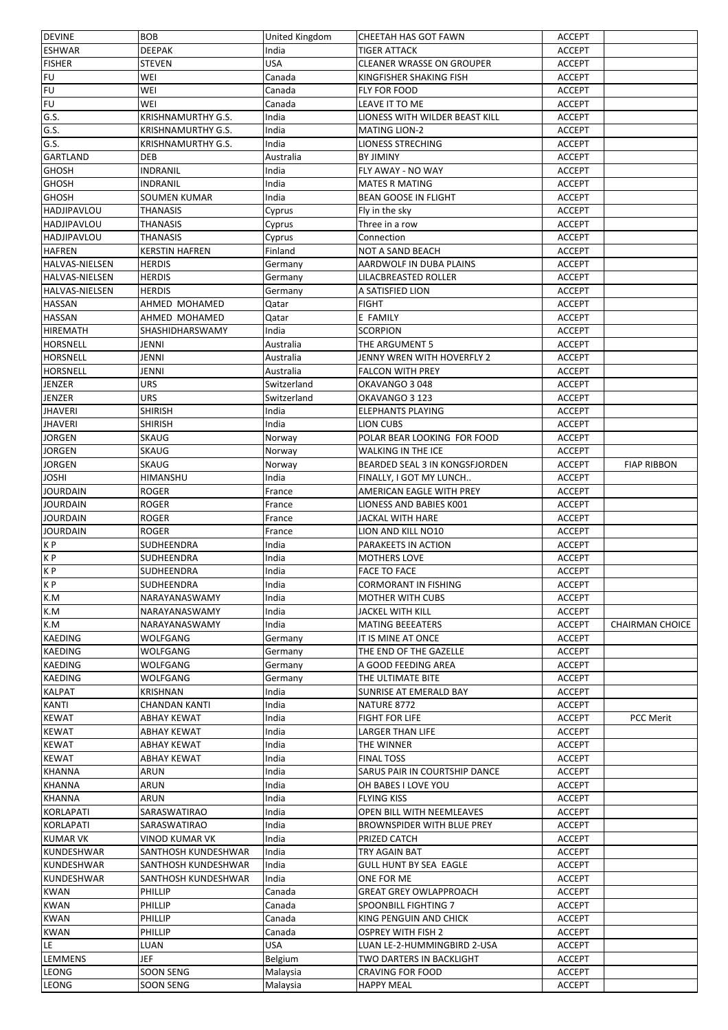| <b>DEVINE</b>         | <b>BOB</b>                              | United Kingdom | CHEETAH HAS GOT FAWN                  | <b>ACCEPT</b>                  |                        |
|-----------------------|-----------------------------------------|----------------|---------------------------------------|--------------------------------|------------------------|
| <b>ESHWAR</b>         | <b>DEEPAK</b>                           | India          | <b>TIGER ATTACK</b>                   | <b>ACCEPT</b>                  |                        |
| <b>FISHER</b>         | <b>STEVEN</b>                           | USA            | <b>CLEANER WRASSE ON GROUPER</b>      | <b>ACCEPT</b>                  |                        |
| <b>FU</b>             | WEI                                     | Canada         | KINGFISHER SHAKING FISH               | <b>ACCEPT</b>                  |                        |
| FU                    | WEI                                     | Canada         | FLY FOR FOOD                          | <b>ACCEPT</b>                  |                        |
| <b>FU</b>             | WEI                                     | Canada         | LEAVE IT TO ME                        | <b>ACCEPT</b>                  |                        |
| G.S.                  | <b>KRISHNAMURTHY G.S.</b>               | India          | LIONESS WITH WILDER BEAST KILL        | <b>ACCEPT</b>                  |                        |
| G.S.                  | <b>KRISHNAMURTHY G.S.</b>               | India          | <b>MATING LION-2</b>                  | <b>ACCEPT</b>                  |                        |
| G.S.                  | <b>KRISHNAMURTHY G.S.</b>               | India          | LIONESS STRECHING                     | <b>ACCEPT</b>                  |                        |
| <b>GARTLAND</b>       | <b>DEB</b>                              | Australia      | <b>BY JIMINY</b>                      | <b>ACCEPT</b>                  |                        |
| <b>GHOSH</b>          | <b>INDRANIL</b>                         | India          | FLY AWAY - NO WAY                     | <b>ACCEPT</b>                  |                        |
| <b>GHOSH</b>          | <b>INDRANIL</b>                         | India          | <b>MATES R MATING</b>                 | <b>ACCEPT</b>                  |                        |
|                       |                                         |                | <b>BEAN GOOSE IN FLIGHT</b>           |                                |                        |
| <b>GHOSH</b>          | <b>SOUMEN KUMAR</b>                     | India          |                                       | <b>ACCEPT</b>                  |                        |
| <b>HADJIPAVLOU</b>    | <b>THANASIS</b>                         | Cyprus         | Fly in the sky                        | <b>ACCEPT</b>                  |                        |
| <b>HADJIPAVLOU</b>    | <b>THANASIS</b>                         | Cyprus         | Three in a row                        | <b>ACCEPT</b>                  |                        |
| <b>HADJIPAVLOU</b>    | <b>THANASIS</b>                         | Cyprus         | Connection                            | <b>ACCEPT</b>                  |                        |
| <b>HAFREN</b>         | <b>KERSTIN HAFREN</b>                   | Finland        | NOT A SAND BEACH                      | <b>ACCEPT</b>                  |                        |
| <b>HALVAS-NIELSEN</b> | <b>HERDIS</b>                           | Germany        | AARDWOLF IN DUBA PLAINS               | <b>ACCEPT</b>                  |                        |
| <b>HALVAS-NIELSEN</b> | <b>HERDIS</b>                           | Germany        | <b>LILACBREASTED ROLLER</b>           | <b>ACCEPT</b>                  |                        |
| HALVAS-NIELSEN        | <b>HERDIS</b>                           | Germany        | A SATISFIED LION                      | <b>ACCEPT</b>                  |                        |
| <b>HASSAN</b>         | AHMED MOHAMED                           | Qatar          | <b>FIGHT</b>                          | <b>ACCEPT</b>                  |                        |
| <b>HASSAN</b>         | AHMED MOHAMED                           | Qatar          | E FAMILY                              | <b>ACCEPT</b>                  |                        |
| <b>HIREMATH</b>       | SHASHIDHARSWAMY                         | India          | <b>SCORPION</b>                       | <b>ACCEPT</b>                  |                        |
| <b>HORSNELL</b>       | JENNI                                   | Australia      | THE ARGUMENT 5                        | <b>ACCEPT</b>                  |                        |
| <b>HORSNELL</b>       | JENNI                                   | Australia      | JENNY WREN WITH HOVERFLY 2            | <b>ACCEPT</b>                  |                        |
| <b>HORSNELL</b>       | JENNI                                   | Australia      | <b>FALCON WITH PREY</b>               | <b>ACCEPT</b>                  |                        |
| <b>JENZER</b>         | <b>URS</b>                              | Switzerland    | OKAVANGO 3048                         | <b>ACCEPT</b>                  |                        |
| JENZER                | <b>URS</b>                              | Switzerland    | OKAVANGO 3 123                        | <b>ACCEPT</b>                  |                        |
| <b>JHAVERI</b>        | <b>SHIRISH</b>                          | India          | <b>ELEPHANTS PLAYING</b>              | <b>ACCEPT</b>                  |                        |
| <b>JHAVERI</b>        | <b>SHIRISH</b>                          | India          | LION CUBS                             | <b>ACCEPT</b>                  |                        |
|                       |                                         |                |                                       |                                |                        |
| <b>JORGEN</b>         | <b>SKAUG</b>                            | Norway         | POLAR BEAR LOOKING FOR FOOD           | <b>ACCEPT</b>                  |                        |
| JORGEN                | <b>SKAUG</b>                            | Norway         | <b>WALKING IN THE ICE</b>             | <b>ACCEPT</b>                  |                        |
| <b>JORGEN</b>         | <b>SKAUG</b>                            | Norway         | BEARDED SEAL 3 IN KONGSFJORDEN        | <b>ACCEPT</b>                  | <b>FIAP RIBBON</b>     |
| <b>JOSHI</b>          | HIMANSHU                                | India          | FINALLY, I GOT MY LUNCH               | <b>ACCEPT</b>                  |                        |
| <b>JOURDAIN</b>       | <b>ROGER</b>                            | France         | AMERICAN EAGLE WITH PREY              | <b>ACCEPT</b>                  |                        |
| <b>JOURDAIN</b>       | <b>ROGER</b>                            | France         | LIONESS AND BABIES K001               | <b>ACCEPT</b>                  |                        |
| <b>JOURDAIN</b>       | <b>ROGER</b>                            | France         | <b>JACKAL WITH HARE</b>               | <b>ACCEPT</b>                  |                        |
| <b>JOURDAIN</b>       | <b>ROGER</b>                            | France         | <b>LION AND KILL NO10</b>             | <b>ACCEPT</b>                  |                        |
| KP                    | SUDHEENDRA                              | India          | PARAKEETS IN ACTION                   | <b>ACCEPT</b>                  |                        |
| KP                    | SUDHEENDRA                              | India          | <b>MOTHERS LOVE</b>                   | <b>ACCEPT</b>                  |                        |
| K P                   | SUDHEENDRA                              | India          | <b>FACE TO FACE</b>                   | <b>ACCEPT</b>                  |                        |
| K P                   | SUDHEENDRA                              | India          | <b>CORMORANT IN FISHING</b>           | <b>ACCEPT</b>                  |                        |
| K.M                   | NARAYANASWAMY                           | India          | <b>MOTHER WITH CUBS</b>               | <b>ACCEPT</b>                  |                        |
| K.M                   | NARAYANASWAMY                           | India          | <b>JACKEL WITH KILL</b>               | <b>ACCEPT</b>                  |                        |
| K.M                   | NARAYANASWAMY                           | India          | <b>MATING BEEEATERS</b>               | <b>ACCEPT</b>                  | <b>CHAIRMAN CHOICE</b> |
| <b>KAEDING</b>        | WOLFGANG                                | Germany        | IT IS MINE AT ONCE                    | <b>ACCEPT</b>                  |                        |
| <b>KAEDING</b>        | WOLFGANG                                | Germany        | THE END OF THE GAZELLE                | <b>ACCEPT</b>                  |                        |
| <b>KAEDING</b>        | WOLFGANG                                | Germany        | A GOOD FEEDING AREA                   | <b>ACCEPT</b>                  |                        |
| <b>KAEDING</b>        | WOLFGANG                                | Germany        | THE ULTIMATE BITE                     | <b>ACCEPT</b>                  |                        |
| <b>KALPAT</b>         |                                         |                |                                       |                                |                        |
| <b>KANTI</b>          | <b>KRISHNAN</b><br><b>CHANDAN KANTI</b> | India<br>India | SUNRISE AT EMERALD BAY<br>NATURE 8772 | <b>ACCEPT</b><br><b>ACCEPT</b> |                        |
|                       |                                         |                |                                       |                                |                        |
| <b>KEWAT</b>          | <b>ABHAY KEWAT</b>                      | India          | <b>FIGHT FOR LIFE</b>                 | <b>ACCEPT</b>                  | PCC Merit              |
| <b>KEWAT</b>          | ABHAY KEWAT                             | India          | <b>LARGER THAN LIFE</b>               | <b>ACCEPT</b>                  |                        |
| <b>KEWAT</b>          | ABHAY KEWAT                             | India          | THE WINNER                            | <b>ACCEPT</b>                  |                        |
| <b>KEWAT</b>          | ABHAY KEWAT                             | India          | <b>FINAL TOSS</b>                     | <b>ACCEPT</b>                  |                        |
| <b>KHANNA</b>         | ARUN                                    | India          | SARUS PAIR IN COURTSHIP DANCE         | <b>ACCEPT</b>                  |                        |
| <b>KHANNA</b>         | ARUN                                    | India          | OH BABES I LOVE YOU                   | <b>ACCEPT</b>                  |                        |
| <b>KHANNA</b>         | ARUN                                    | India          | <b>FLYING KISS</b>                    | <b>ACCEPT</b>                  |                        |
| <b>KORLAPATI</b>      | SARASWATIRAO                            | India          | OPEN BILL WITH NEEMLEAVES             | <b>ACCEPT</b>                  |                        |
| <b>KORLAPATI</b>      | SARASWATIRAO                            | India          | BROWNSPIDER WITH BLUE PREY            | <b>ACCEPT</b>                  |                        |
| <b>KUMAR VK</b>       | <b>VINOD KUMAR VK</b>                   | India          | PRIZED CATCH                          | <b>ACCEPT</b>                  |                        |
| KUNDESHWAR            | SANTHOSH KUNDESHWAR                     | India          | TRY AGAIN BAT                         | <b>ACCEPT</b>                  |                        |
| <b>KUNDESHWAR</b>     | SANTHOSH KUNDESHWAR                     | India          | <b>GULL HUNT BY SEA EAGLE</b>         | <b>ACCEPT</b>                  |                        |
| <b>KUNDESHWAR</b>     | SANTHOSH KUNDESHWAR                     | India          | ONE FOR ME                            | <b>ACCEPT</b>                  |                        |
| <b>KWAN</b>           | PHILLIP                                 | Canada         | <b>GREAT GREY OWLAPPROACH</b>         | <b>ACCEPT</b>                  |                        |
| <b>KWAN</b>           | PHILLIP                                 | Canada         | SPOONBILL FIGHTING 7                  | <b>ACCEPT</b>                  |                        |
| <b>KWAN</b>           | <b>PHILLIP</b>                          | Canada         | KING PENGUIN AND CHICK                | <b>ACCEPT</b>                  |                        |
| <b>KWAN</b>           | PHILLIP                                 |                | <b>OSPREY WITH FISH 2</b>             | <b>ACCEPT</b>                  |                        |
|                       |                                         | Canada         |                                       |                                |                        |
| LE                    | LUAN                                    | USA            | LUAN LE-2-HUMMINGBIRD 2-USA           | <b>ACCEPT</b>                  |                        |
| LEMMENS               | JEF                                     | Belgium        | TWO DARTERS IN BACKLIGHT              | <b>ACCEPT</b>                  |                        |
| <b>LEONG</b>          | SOON SENG                               | Malaysia       | <b>CRAVING FOR FOOD</b>               | <b>ACCEPT</b>                  |                        |
| LEONG                 | SOON SENG                               | Malaysia       | <b>HAPPY MEAL</b>                     | <b>ACCEPT</b>                  |                        |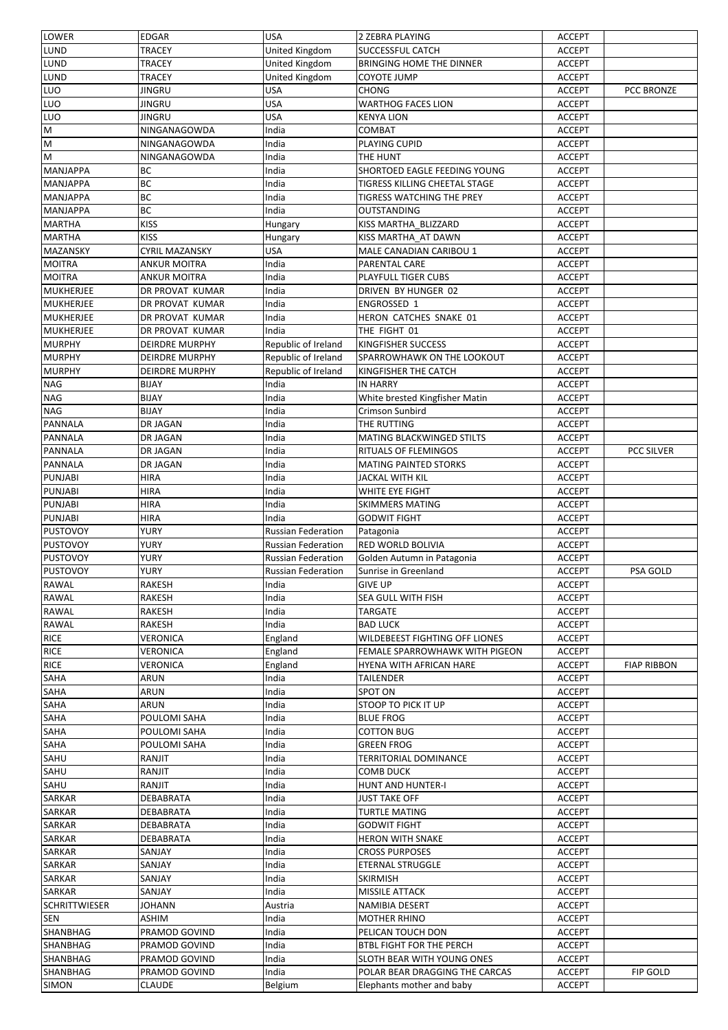| LOWER                | <b>EDGAR</b>          | <b>USA</b>                | 2 ZEBRA PLAYING                | <b>ACCEPT</b> |                    |
|----------------------|-----------------------|---------------------------|--------------------------------|---------------|--------------------|
| <b>LUND</b>          | <b>TRACEY</b>         | United Kingdom            | SUCCESSFUL CATCH               | <b>ACCEPT</b> |                    |
| <b>LUND</b>          | <b>TRACEY</b>         | United Kingdom            | BRINGING HOME THE DINNER       | <b>ACCEPT</b> |                    |
| LUND                 | <b>TRACEY</b>         | United Kingdom            | <b>COYOTE JUMP</b>             | <b>ACCEPT</b> |                    |
| LUO                  | <b>JINGRU</b>         | <b>USA</b>                | <b>CHONG</b>                   | <b>ACCEPT</b> | PCC BRONZE         |
| LUO                  | <b>JINGRU</b>         | <b>USA</b>                | <b>WARTHOG FACES LION</b>      | <b>ACCEPT</b> |                    |
| LUO                  | JINGRU                | <b>USA</b>                | <b>KENYA LION</b>              | <b>ACCEPT</b> |                    |
| M                    | NINGANAGOWDA          | India                     | COMBAT                         | <b>ACCEPT</b> |                    |
|                      |                       | India                     | PLAYING CUPID                  |               |                    |
| M                    | NINGANAGOWDA          |                           |                                | <b>ACCEPT</b> |                    |
| M                    | NINGANAGOWDA          | India                     | THE HUNT                       | <b>ACCEPT</b> |                    |
| <b>MANJAPPA</b>      | BC                    | India                     | SHORTOED EAGLE FEEDING YOUNG   | <b>ACCEPT</b> |                    |
| <b>MANJAPPA</b>      | BC                    | India                     | TIGRESS KILLING CHEETAL STAGE  | <b>ACCEPT</b> |                    |
| <b>MANJAPPA</b>      | BC                    | India                     | TIGRESS WATCHING THE PREY      | <b>ACCEPT</b> |                    |
| <b>MANJAPPA</b>      | BC                    | India                     | <b>OUTSTANDING</b>             | <b>ACCEPT</b> |                    |
| <b>MARTHA</b>        | KISS                  | Hungary                   | KISS MARTHA_BLIZZARD           | <b>ACCEPT</b> |                    |
| <b>MARTHA</b>        | KISS                  | Hungary                   | KISS MARTHA AT DAWN            | <b>ACCEPT</b> |                    |
| <b>MAZANSKY</b>      | <b>CYRIL MAZANSKY</b> | <b>USA</b>                | MALE CANADIAN CARIBOU 1        | <b>ACCEPT</b> |                    |
| <b>MOITRA</b>        | <b>ANKUR MOITRA</b>   | India                     | <b>PARENTAL CARE</b>           | <b>ACCEPT</b> |                    |
| <b>MOITRA</b>        | <b>ANKUR MOITRA</b>   | India                     | <b>PLAYFULL TIGER CUBS</b>     | <b>ACCEPT</b> |                    |
| <b>MUKHERJEE</b>     | DR PROVAT KUMAR       | India                     | DRIVEN BY HUNGER 02            | <b>ACCEPT</b> |                    |
| <b>MUKHERJEE</b>     | DR PROVAT KUMAR       | India                     | ENGROSSED 1                    | <b>ACCEPT</b> |                    |
| <b>MUKHERJEE</b>     | DR PROVAT KUMAR       | India                     | HERON CATCHES SNAKE 01         | <b>ACCEPT</b> |                    |
|                      |                       |                           | THE FIGHT 01                   |               |                    |
| <b>MUKHERJEE</b>     | DR PROVAT KUMAR       | India                     |                                | <b>ACCEPT</b> |                    |
| <b>MURPHY</b>        | <b>DEIRDRE MURPHY</b> | Republic of Ireland       | KINGFISHER SUCCESS             | <b>ACCEPT</b> |                    |
| <b>MURPHY</b>        | <b>DEIRDRE MURPHY</b> | Republic of Ireland       | SPARROWHAWK ON THE LOOKOUT     | <b>ACCEPT</b> |                    |
| <b>MURPHY</b>        | <b>DEIRDRE MURPHY</b> | Republic of Ireland       | KINGFISHER THE CATCH           | <b>ACCEPT</b> |                    |
| <b>NAG</b>           | <b>BIJAY</b>          | India                     | <b>IN HARRY</b>                | <b>ACCEPT</b> |                    |
| <b>NAG</b>           | <b>BIJAY</b>          | India                     | White brested Kingfisher Matin | <b>ACCEPT</b> |                    |
| <b>NAG</b>           | <b>BIJAY</b>          | India                     | Crimson Sunbird                | <b>ACCEPT</b> |                    |
| PANNALA              | DR JAGAN              | India                     | THE RUTTING                    | <b>ACCEPT</b> |                    |
| PANNALA              | DR JAGAN              | India                     | MATING BLACKWINGED STILTS      | <b>ACCEPT</b> |                    |
| PANNALA              | DR JAGAN              | India                     | RITUALS OF FLEMINGOS           | <b>ACCEPT</b> | <b>PCC SILVER</b>  |
| PANNALA              | DR JAGAN              | India                     | <b>MATING PAINTED STORKS</b>   | <b>ACCEPT</b> |                    |
| <b>PUNJABI</b>       | <b>HIRA</b>           | India                     | <b>JACKAL WITH KIL</b>         | <b>ACCEPT</b> |                    |
| <b>PUNJABI</b>       | <b>HIRA</b>           | India                     | WHITE EYE FIGHT                | <b>ACCEPT</b> |                    |
| <b>PUNJABI</b>       | <b>HIRA</b>           | India                     | <b>SKIMMERS MATING</b>         | <b>ACCEPT</b> |                    |
|                      |                       |                           |                                |               |                    |
| <b>PUNJABI</b>       | <b>HIRA</b>           | India                     | <b>GODWIT FIGHT</b>            | <b>ACCEPT</b> |                    |
| <b>PUSTOVOY</b>      | <b>YURY</b>           | <b>Russian Federation</b> | Patagonia                      | <b>ACCEPT</b> |                    |
| <b>PUSTOVOY</b>      | <b>YURY</b>           | <b>Russian Federation</b> | RED WORLD BOLIVIA              | <b>ACCEPT</b> |                    |
| PUSTOVOY             | YURY                  | Russian Federation        | Golden Autumn in Patagonia     | <b>ACCEPT</b> |                    |
| <b>PUSTOVOY</b>      | <b>YURY</b>           | <b>Russian Federation</b> | Sunrise in Greenland           | <b>ACCEPT</b> | PSA GOLD           |
| RAWAL                | RAKESH                | India                     | <b>GIVE UP</b>                 | <b>ACCEPT</b> |                    |
| <b>RAWAL</b>         | RAKESH                | India                     | SEA GULL WITH FISH             | <b>ACCEPT</b> |                    |
| <b>RAWAL</b>         | RAKESH                | India                     | <b>TARGATE</b>                 | <b>ACCEPT</b> |                    |
| RAWAL                | RAKESH                | India                     | <b>BAD LUCK</b>                | <b>ACCEPT</b> |                    |
| <b>RICE</b>          | <b>VERONICA</b>       | England                   | WILDEBEEST FIGHTING OFF LIONES | <b>ACCEPT</b> |                    |
| <b>RICE</b>          | VERONICA              | England                   | FEMALE SPARROWHAWK WITH PIGEON | <b>ACCEPT</b> |                    |
| <b>RICE</b>          | VERONICA              | England                   | HYENA WITH AFRICAN HARE        | <b>ACCEPT</b> | <b>FIAP RIBBON</b> |
| SAHA                 | ARUN                  | India                     | <b>TAILENDER</b>               | <b>ACCEPT</b> |                    |
| SAHA                 | ARUN                  | India                     | SPOT ON                        | <b>ACCEPT</b> |                    |
|                      |                       |                           |                                |               |                    |
| SAHA                 | ARUN                  | India                     | STOOP TO PICK IT UP            | <b>ACCEPT</b> |                    |
| SAHA                 | POULOMI SAHA          | India                     | <b>BLUE FROG</b>               | <b>ACCEPT</b> |                    |
| SAHA                 | POULOMI SAHA          | India                     | <b>COTTON BUG</b>              | <b>ACCEPT</b> |                    |
| SAHA                 | POULOMI SAHA          | India                     | <b>GREEN FROG</b>              | <b>ACCEPT</b> |                    |
| SAHU                 | RANJIT                | India                     | <b>TERRITORIAL DOMINANCE</b>   | <b>ACCEPT</b> |                    |
| SAHU                 | RANJIT                | India                     | <b>COMB DUCK</b>               | <b>ACCEPT</b> |                    |
| SAHU                 | RANJIT                | India                     | <b>HUNT AND HUNTER-I</b>       | <b>ACCEPT</b> |                    |
| <b>SARKAR</b>        | DEBABRATA             | India                     | <b>JUST TAKE OFF</b>           | <b>ACCEPT</b> |                    |
| SARKAR               | DEBABRATA             | India                     | <b>TURTLE MATING</b>           | <b>ACCEPT</b> |                    |
| <b>SARKAR</b>        | DEBABRATA             | India                     | <b>GODWIT FIGHT</b>            | <b>ACCEPT</b> |                    |
| <b>SARKAR</b>        | DEBABRATA             | India                     | <b>HERON WITH SNAKE</b>        | <b>ACCEPT</b> |                    |
| <b>SARKAR</b>        | SANJAY                | India                     | <b>CROSS PURPOSES</b>          | <b>ACCEPT</b> |                    |
| <b>SARKAR</b>        | SANJAY                | India                     | ETERNAL STRUGGLE               | <b>ACCEPT</b> |                    |
| SARKAR               | SANJAY                | India                     | <b>SKIRMISH</b>                | <b>ACCEPT</b> |                    |
| SARKAR               | SANJAY                | India                     |                                | <b>ACCEPT</b> |                    |
|                      |                       |                           | MISSILE ATTACK                 |               |                    |
| <b>SCHRITTWIESER</b> | JOHANN                | Austria                   | NAMIBIA DESERT                 | <b>ACCEPT</b> |                    |
| <b>SEN</b>           | ASHIM                 | India                     | <b>MOTHER RHINO</b>            | <b>ACCEPT</b> |                    |
| <b>SHANBHAG</b>      | PRAMOD GOVIND         | India                     | PELICAN TOUCH DON              | <b>ACCEPT</b> |                    |
| <b>SHANBHAG</b>      | PRAMOD GOVIND         | India                     | BTBL FIGHT FOR THE PERCH       | <b>ACCEPT</b> |                    |
| <b>SHANBHAG</b>      | PRAMOD GOVIND         | India                     | SLOTH BEAR WITH YOUNG ONES     | <b>ACCEPT</b> |                    |
| SHANBHAG             | PRAMOD GOVIND         | India                     | POLAR BEAR DRAGGING THE CARCAS | <b>ACCEPT</b> | FIP GOLD           |
| <b>SIMON</b>         | <b>CLAUDE</b>         |                           |                                | <b>ACCEPT</b> |                    |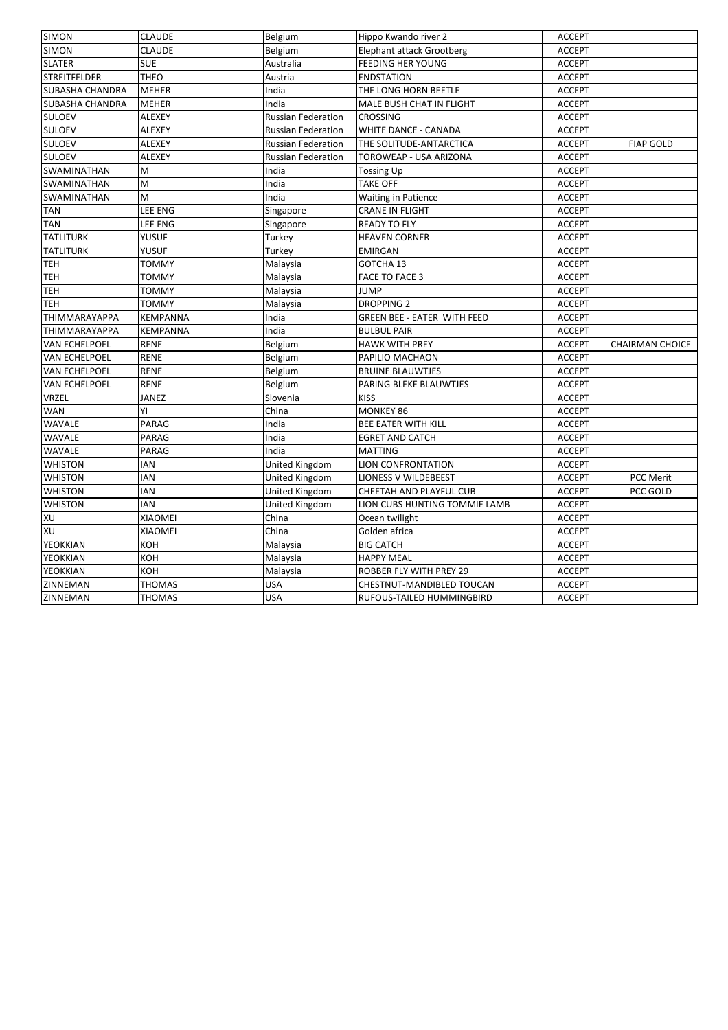| <b>SIMON</b>           | <b>CLAUDE</b>   | Belgium                   | Hippo Kwando river 2               | <b>ACCEPT</b> |                        |
|------------------------|-----------------|---------------------------|------------------------------------|---------------|------------------------|
| <b>SIMON</b>           | <b>CLAUDE</b>   | Belgium                   | <b>Elephant attack Grootberg</b>   | <b>ACCEPT</b> |                        |
| <b>SLATER</b>          | <b>SUE</b>      | Australia                 | <b>FEEDING HER YOUNG</b>           | <b>ACCEPT</b> |                        |
| <b>STREITFELDER</b>    | THEO            | Austria                   | <b>ENDSTATION</b>                  | <b>ACCEPT</b> |                        |
| <b>SUBASHA CHANDRA</b> | <b>MEHER</b>    | India                     | THE LONG HORN BEETLE               | <b>ACCEPT</b> |                        |
| SUBASHA CHANDRA        | <b>MEHER</b>    | India                     | MALE BUSH CHAT IN FLIGHT           | <b>ACCEPT</b> |                        |
| <b>SULOEV</b>          | ALEXEY          | <b>Russian Federation</b> | <b>CROSSING</b>                    | <b>ACCEPT</b> |                        |
| <b>SULOEV</b>          | <b>ALEXEY</b>   | Russian Federation        | WHITE DANCE - CANADA               | <b>ACCEPT</b> |                        |
| <b>SULOEV</b>          | <b>ALEXEY</b>   | Russian Federation        | THE SOLITUDE-ANTARCTICA            | <b>ACCEPT</b> | <b>FIAP GOLD</b>       |
| <b>SULOEV</b>          | <b>ALEXEY</b>   | <b>Russian Federation</b> | TOROWEAP - USA ARIZONA             | <b>ACCEPT</b> |                        |
| SWAMINATHAN            | M               | India                     | <b>Tossing Up</b>                  | <b>ACCEPT</b> |                        |
| SWAMINATHAN            | M               | India                     | <b>TAKE OFF</b>                    | <b>ACCEPT</b> |                        |
| SWAMINATHAN            | M               | India                     | <b>Waiting in Patience</b>         | <b>ACCEPT</b> |                        |
| <b>TAN</b>             | LEE ENG         | Singapore                 | <b>CRANE IN FLIGHT</b>             | <b>ACCEPT</b> |                        |
| <b>TAN</b>             | LEE ENG         | Singapore                 | <b>READY TO FLY</b>                | <b>ACCEPT</b> |                        |
| <b>TATLITURK</b>       | YUSUF           | Turkey                    | <b>HEAVEN CORNER</b>               | <b>ACCEPT</b> |                        |
| <b>TATLITURK</b>       | YUSUF           | Turkey                    | <b>EMIRGAN</b>                     | <b>ACCEPT</b> |                        |
| <b>TEH</b>             | <b>TOMMY</b>    | Malaysia                  | GOTCHA 13                          | <b>ACCEPT</b> |                        |
| TEH                    | TOMMY           | Malaysia                  | FACE TO FACE 3                     | <b>ACCEPT</b> |                        |
| <b>TEH</b>             | <b>TOMMY</b>    | Malaysia                  | <b>JUMP</b>                        | <b>ACCEPT</b> |                        |
| <b>TEH</b>             | <b>TOMMY</b>    | Malaysia                  | <b>DROPPING 2</b>                  | <b>ACCEPT</b> |                        |
| THIMMARAYAPPA          | <b>KEMPANNA</b> | India                     | <b>GREEN BEE - EATER WITH FEED</b> | <b>ACCEPT</b> |                        |
| <b>THIMMARAYAPPA</b>   | KEMPANNA        | India                     | <b>BULBUL PAIR</b>                 | <b>ACCEPT</b> |                        |
| <b>VAN ECHELPOEL</b>   | <b>RENE</b>     | Belgium                   | <b>HAWK WITH PREY</b>              | <b>ACCEPT</b> | <b>CHAIRMAN CHOICE</b> |
| <b>VAN ECHELPOEL</b>   | <b>RENE</b>     | Belgium                   | PAPILIO MACHAON                    | <b>ACCEPT</b> |                        |
| VAN ECHELPOEL          | RENE            | Belgium                   | <b>BRUINE BLAUWTJES</b>            | <b>ACCEPT</b> |                        |
| <b>VAN ECHELPOEL</b>   | <b>RENE</b>     | Belgium                   | PARING BLEKE BLAUWTJES             | <b>ACCEPT</b> |                        |
| VRZEL                  | JANEZ           | Slovenia                  | <b>KISS</b>                        | <b>ACCEPT</b> |                        |
| <b>WAN</b>             | YI              | China                     | <b>MONKEY 86</b>                   | <b>ACCEPT</b> |                        |
| WAVALE                 | PARAG           | India                     | BEE EATER WITH KILL                | <b>ACCEPT</b> |                        |
| WAVALE                 | PARAG           | India                     | <b>EGRET AND CATCH</b>             | <b>ACCEPT</b> |                        |
| WAVALE                 | PARAG           | India                     | <b>MATTING</b>                     | <b>ACCEPT</b> |                        |
| <b>WHISTON</b>         | <b>IAN</b>      | <b>United Kingdom</b>     | <b>LION CONFRONTATION</b>          | <b>ACCEPT</b> |                        |
| <b>WHISTON</b>         | <b>IAN</b>      | United Kingdom            | <b>LIONESS V WILDEBEEST</b>        | <b>ACCEPT</b> | PCC Merit              |
| <b>WHISTON</b>         | <b>IAN</b>      | United Kingdom            | CHEETAH AND PLAYFUL CUB            | <b>ACCEPT</b> | PCC GOLD               |
| <b>WHISTON</b>         | <b>IAN</b>      | United Kingdom            | LION CUBS HUNTING TOMMIE LAMB      | <b>ACCEPT</b> |                        |
| XU                     | <b>XIAOMEI</b>  | China                     | Ocean twilight                     | <b>ACCEPT</b> |                        |
| XU                     | <b>XIAOMEI</b>  | China                     | Golden africa                      | <b>ACCEPT</b> |                        |
| YEOKKIAN               | KOH             | Malaysia                  | <b>BIG CATCH</b>                   | <b>ACCEPT</b> |                        |
| YEOKKIAN               | KOH             | Malaysia                  | <b>HAPPY MEAL</b>                  | <b>ACCEPT</b> |                        |
| YEOKKIAN               | KOH             | Malaysia                  | ROBBER FLY WITH PREY 29            | <b>ACCEPT</b> |                        |
| ZINNEMAN               | <b>THOMAS</b>   | USA                       | CHESTNUT-MANDIBLED TOUCAN          | <b>ACCEPT</b> |                        |
| ZINNEMAN               | <b>THOMAS</b>   | <b>USA</b>                | RUFOUS-TAILED HUMMINGBIRD          | <b>ACCEPT</b> |                        |
|                        |                 |                           |                                    |               |                        |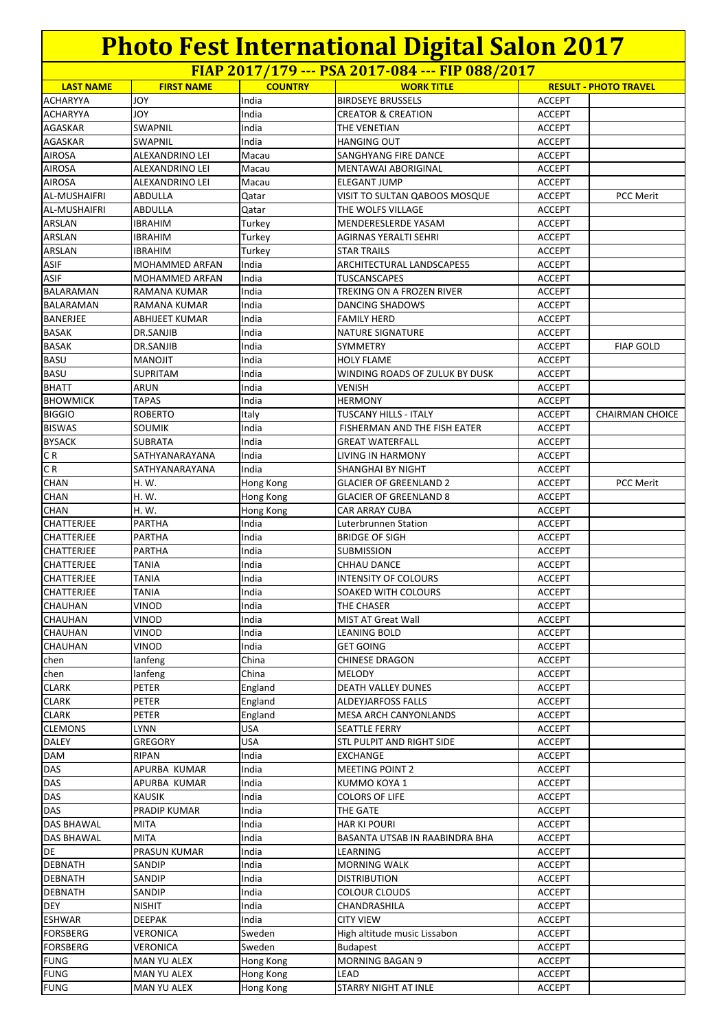**FIAP 2017/179 --- PSA 2017-084 --- FIP 088/2017**

| <b>LAST NAME</b>                    |                       | <b>COUNTRY</b> | <u>THII 2017/179 TURZOI7 001 TH 000/2017</u>       |                                | <b>RESULT - PHOTO TRAVEL</b> |
|-------------------------------------|-----------------------|----------------|----------------------------------------------------|--------------------------------|------------------------------|
|                                     | <b>FIRST NAME</b>     |                | <b>WORK TITLE</b>                                  |                                |                              |
| <b>ACHARYYA</b>                     | <b>JOY</b>            | India          | <b>BIRDSEYE BRUSSELS</b>                           | <b>ACCEPT</b>                  |                              |
| <b>ACHARYYA</b>                     | YOL                   | India          | <b>CREATOR &amp; CREATION</b>                      | <b>ACCEPT</b>                  |                              |
| AGASKAR                             | <b>SWAPNIL</b>        | India          | THE VENETIAN                                       | <b>ACCEPT</b>                  |                              |
| AGASKAR                             | <b>SWAPNIL</b>        | India          | <b>HANGING OUT</b>                                 | <b>ACCEPT</b>                  |                              |
| <b>AIROSA</b>                       | ALEXANDRINO LEI       | Macau          | SANGHYANG FIRE DANCE                               | <b>ACCEPT</b>                  |                              |
| <b>AIROSA</b>                       | ALEXANDRINO LEI       | Macau          | MENTAWAI ABORIGINAL                                | <b>ACCEPT</b>                  |                              |
| <b>AIROSA</b>                       | ALEXANDRINO LEI       | Macau          | <b>ELEGANT JUMP</b>                                | <b>ACCEPT</b>                  |                              |
| <b>AL-MUSHAIFRI</b>                 | <b>ABDULLA</b>        | Qatar          | VISIT TO SULTAN QABOOS MOSQUE                      | <b>ACCEPT</b>                  | PCC Merit                    |
| <b>AL-MUSHAIFRI</b>                 | <b>ABDULLA</b>        | Qatar          | THE WOLFS VILLAGE                                  | <b>ACCEPT</b>                  |                              |
| ARSLAN                              | <b>IBRAHIM</b>        | Turkey         | MENDERESLERDE YASAM                                | <b>ACCEPT</b>                  |                              |
| ARSLAN                              | <b>IBRAHIM</b>        | Turkey         | AGIRNAS YERALTI SEHRI                              | <b>ACCEPT</b>                  |                              |
| ARSLAN                              | <b>IBRAHIM</b>        | Turkey         | <b>STAR TRAILS</b>                                 | <b>ACCEPT</b>                  |                              |
| <b>ASIF</b>                         | MOHAMMED ARFAN        | India          | ARCHITECTURAL LANDSCAPES5                          | <b>ACCEPT</b>                  |                              |
| <b>ASIF</b>                         | MOHAMMED ARFAN        | India          | <b>TUSCANSCAPES</b>                                | <b>ACCEPT</b>                  |                              |
| <b>BALARAMAN</b>                    | RAMANA KUMAR          | India          | TREKING ON A FROZEN RIVER                          | <b>ACCEPT</b>                  |                              |
| BALARAMAN                           | RAMANA KUMAR          | India          | DANCING SHADOWS                                    | <b>ACCEPT</b>                  |                              |
| <b>BANERJEE</b>                     | ABHIJEET KUMAR        | India          | <b>FAMILY HERD</b>                                 | <b>ACCEPT</b>                  |                              |
| BASAK                               | DR.SANJIB             | India          | NATURE SIGNATURE                                   | <b>ACCEPT</b>                  |                              |
| <b>BASAK</b>                        | DR.SANJIB             | India          | SYMMETRY                                           | <b>ACCEPT</b>                  | <b>FIAP GOLD</b>             |
| <b>BASU</b>                         | MANOJIT               | India          | <b>HOLY FLAME</b>                                  | <b>ACCEPT</b>                  |                              |
| <b>BASU</b>                         | <b>SUPRITAM</b>       | India          | WINDING ROADS OF ZULUK BY DUSK                     | <b>ACCEPT</b>                  |                              |
| <b>BHATT</b>                        | ARUN                  | India          | <b>VENISH</b>                                      | <b>ACCEPT</b>                  |                              |
| <b>BHOWMICK</b>                     | <b>TAPAS</b>          | India          | <b>HERMONY</b><br><b>TUSCANY HILLS - ITALY</b>     | <b>ACCEPT</b>                  |                              |
| <b>BIGGIO</b>                       | <b>ROBERTO</b>        | Italy          |                                                    | <b>ACCEPT</b>                  | <b>CHAIRMAN CHOICE</b>       |
| <b>BISWAS</b>                       | <b>SOUMIK</b>         | India          | FISHERMAN AND THE FISH EATER                       | <b>ACCEPT</b>                  |                              |
| <b>BYSACK</b>                       | SUBRATA               | India          | <b>GREAT WATERFALL</b>                             | <b>ACCEPT</b>                  |                              |
| CR                                  | SATHYANARAYANA        | India          | LIVING IN HARMONY                                  | <b>ACCEPT</b>                  |                              |
| CR<br><b>CHAN</b>                   | SATHYANARAYANA        | India          | SHANGHAI BY NIGHT                                  | <b>ACCEPT</b>                  |                              |
|                                     | H. W.                 | Hong Kong      | <b>GLACIER OF GREENLAND 2</b>                      | <b>ACCEPT</b>                  | <b>PCC Merit</b>             |
| CHAN                                | H. W.                 | Hong Kong      | <b>GLACIER OF GREENLAND 8</b>                      | <b>ACCEPT</b>                  |                              |
| <b>CHAN</b>                         | H. W.                 | Hong Kong      | <b>CAR ARRAY CUBA</b>                              | <b>ACCEPT</b>                  |                              |
| <b>CHATTERJEE</b>                   | PARTHA                | India          | Luterbrunnen Station                               | <b>ACCEPT</b>                  |                              |
| <b>CHATTERJEE</b>                   | PARTHA                | India<br>India | <b>BRIDGE OF SIGH</b>                              | <b>ACCEPT</b>                  |                              |
| <b>CHATTERJEE</b>                   | PARTHA                | India          | SUBMISSION                                         | <b>ACCEPT</b>                  |                              |
| <b>CHATTERJEE</b>                   | <b>TANIA</b>          |                | <b>CHHAU DANCE</b>                                 | <b>ACCEPT</b>                  |                              |
| <b>CHATTERJEE</b>                   | <b>TANIA</b>          | India          | <b>INTENSITY OF COLOURS</b><br>SOAKED WITH COLOURS | <b>ACCEPT</b>                  |                              |
| <b>CHATTERJEE</b><br><b>CHAUHAN</b> | <b>TANIA</b><br>VINOD | India<br>India | THE CHASER                                         | <b>ACCEPT</b><br><b>ACCEPT</b> |                              |
|                                     |                       |                |                                                    |                                |                              |
| <b>CHAUHAN</b><br>CHAUHAN           | <b>VINOD</b><br>VINOD | India<br>India | <b>MIST AT Great Wall</b><br><b>LEANING BOLD</b>   | <b>ACCEPT</b>                  |                              |
| <b>CHAUHAN</b>                      | VINOD                 | India          | <b>GET GOING</b>                                   | <b>ACCEPT</b><br><b>ACCEPT</b> |                              |
| chen                                | lanfeng               | China          | <b>CHINESE DRAGON</b>                              | <b>ACCEPT</b>                  |                              |
| chen                                | lanfeng               | China          | <b>MELODY</b>                                      | <b>ACCEPT</b>                  |                              |
| <b>CLARK</b>                        | PETER                 | England        | DEATH VALLEY DUNES                                 | <b>ACCEPT</b>                  |                              |
| <b>CLARK</b>                        | PETER                 | England        | ALDEYJARFOSS FALLS                                 | <b>ACCEPT</b>                  |                              |
| <b>CLARK</b>                        | PETER                 | England        | MESA ARCH CANYONLANDS                              | <b>ACCEPT</b>                  |                              |
| <b>CLEMONS</b>                      | LYNN                  | USA            | <b>SEATTLE FERRY</b>                               | <b>ACCEPT</b>                  |                              |
| DALEY                               | GREGORY               | USA            | STL PULPIT AND RIGHT SIDE                          | <b>ACCEPT</b>                  |                              |
| <b>DAM</b>                          | RIPAN                 | India          | <b>EXCHANGE</b>                                    | <b>ACCEPT</b>                  |                              |
| <b>DAS</b>                          | APURBA KUMAR          | India          | <b>MEETING POINT 2</b>                             | <b>ACCEPT</b>                  |                              |
| DAS                                 | APURBA KUMAR          | India          | KUMMO KOYA 1                                       | <b>ACCEPT</b>                  |                              |
| DAS                                 | <b>KAUSIK</b>         | India          | <b>COLORS OF LIFE</b>                              | <b>ACCEPT</b>                  |                              |
| <b>DAS</b>                          | PRADIP KUMAR          | India          | THE GATE                                           | <b>ACCEPT</b>                  |                              |
| <b>DAS BHAWAL</b>                   | MITA                  | India          | <b>HAR KI POURI</b>                                | <b>ACCEPT</b>                  |                              |
| DAS BHAWAL                          | MITA                  | India          | BASANTA UTSAB IN RAABINDRA BHA                     | <b>ACCEPT</b>                  |                              |
| DE                                  | PRASUN KUMAR          | India          | LEARNING                                           | <b>ACCEPT</b>                  |                              |
| <b>DEBNATH</b>                      | SANDIP                | India          | <b>MORNING WALK</b>                                | <b>ACCEPT</b>                  |                              |
| <b>DEBNATH</b>                      | SANDIP                | India          | <b>DISTRIBUTION</b>                                | <b>ACCEPT</b>                  |                              |
| <b>DEBNATH</b>                      | SANDIP                | India          | <b>COLOUR CLOUDS</b>                               | <b>ACCEPT</b>                  |                              |
| <b>DEY</b>                          | <b>NISHIT</b>         | India          | CHANDRASHILA                                       | <b>ACCEPT</b>                  |                              |
| <b>ESHWAR</b>                       | <b>DEEPAK</b>         | India          | <b>CITY VIEW</b>                                   | <b>ACCEPT</b>                  |                              |
| <b>FORSBERG</b>                     | VERONICA              | Sweden         | High altitude music Lissabon                       | <b>ACCEPT</b>                  |                              |
| <b>FORSBERG</b>                     | VERONICA              | Sweden         | <b>Budapest</b>                                    | <b>ACCEPT</b>                  |                              |
| <b>FUNG</b>                         | MAN YU ALEX           | Hong Kong      | <b>MORNING BAGAN 9</b>                             | <b>ACCEPT</b>                  |                              |
| <b>FUNG</b>                         | MAN YU ALEX           | Hong Kong      | LEAD                                               | <b>ACCEPT</b>                  |                              |
| <b>FUNG</b>                         | MAN YU ALEX           | Hong Kong      | <b>STARRY NIGHT AT INLE</b>                        | <b>ACCEPT</b>                  |                              |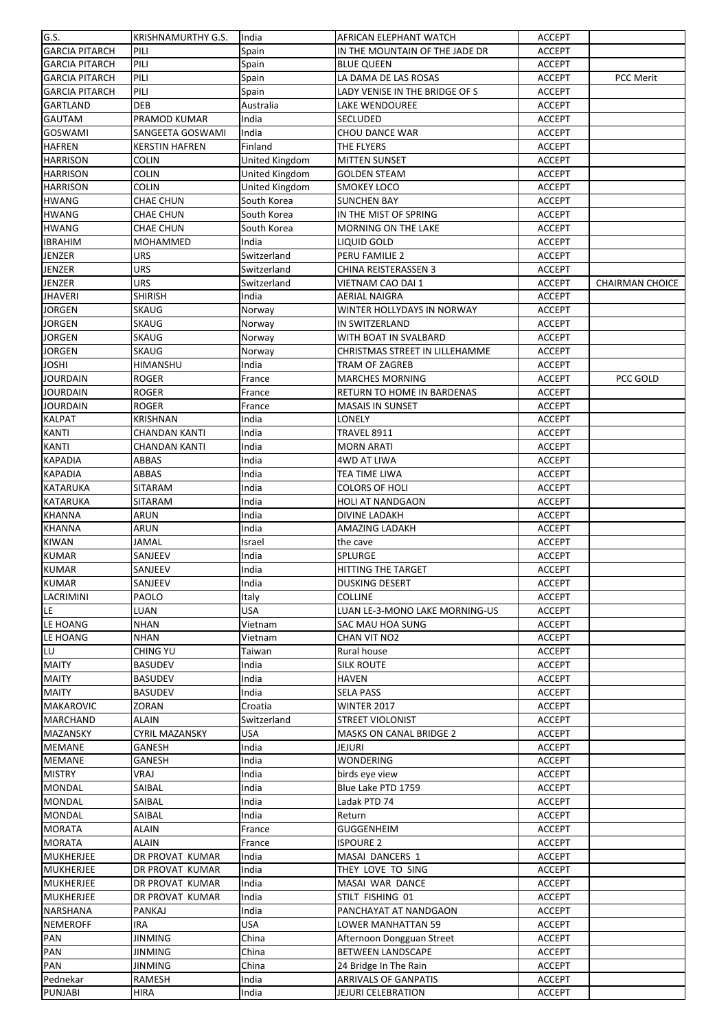| G.S.                  | <b>KRISHNAMURTHY G.S.</b> | India          | AFRICAN ELEPHANT WATCH         | <b>ACCEPT</b> |                        |
|-----------------------|---------------------------|----------------|--------------------------------|---------------|------------------------|
| <b>GARCIA PITARCH</b> | PILI                      | Spain          | IN THE MOUNTAIN OF THE JADE DR | <b>ACCEPT</b> |                        |
| <b>GARCIA PITARCH</b> | PILI                      | Spain          | <b>BLUE QUEEN</b>              | <b>ACCEPT</b> |                        |
| <b>GARCIA PITARCH</b> | PILI                      | Spain          | LA DAMA DE LAS ROSAS           | <b>ACCEPT</b> | PCC Merit              |
| <b>GARCIA PITARCH</b> | PILI                      | Spain          | LADY VENISE IN THE BRIDGE OF S | <b>ACCEPT</b> |                        |
| GARTLAND              | <b>DEB</b>                | Australia      | LAKE WENDOUREE                 | <b>ACCEPT</b> |                        |
| <b>GAUTAM</b>         | PRAMOD KUMAR              | India          | SECLUDED                       | <b>ACCEPT</b> |                        |
| <b>GOSWAMI</b>        | SANGEETA GOSWAMI          | India          | CHOU DANCE WAR                 | <b>ACCEPT</b> |                        |
| <b>HAFREN</b>         | <b>KERSTIN HAFREN</b>     | Finland        | THE FLYERS                     | <b>ACCEPT</b> |                        |
| <b>HARRISON</b>       | <b>COLIN</b>              | United Kingdom | <b>MITTEN SUNSET</b>           | <b>ACCEPT</b> |                        |
| <b>HARRISON</b>       | <b>COLIN</b>              | United Kingdom | <b>GOLDEN STEAM</b>            | <b>ACCEPT</b> |                        |
| <b>HARRISON</b>       | <b>COLIN</b>              | United Kingdom | SMOKEY LOCO                    | <b>ACCEPT</b> |                        |
| <b>HWANG</b>          | CHAE CHUN                 | South Korea    | <b>SUNCHEN BAY</b>             | <b>ACCEPT</b> |                        |
| <b>HWANG</b>          | <b>CHAE CHUN</b>          | South Korea    | IN THE MIST OF SPRING          | <b>ACCEPT</b> |                        |
| <b>HWANG</b>          | <b>CHAE CHUN</b>          | South Korea    | <b>MORNING ON THE LAKE</b>     | <b>ACCEPT</b> |                        |
| <b>IBRAHIM</b>        | MOHAMMED                  | India          | LIQUID GOLD                    | <b>ACCEPT</b> |                        |
| <b>JENZER</b>         | <b>URS</b>                | Switzerland    | PERU FAMILIE 2                 | <b>ACCEPT</b> |                        |
| <b>JENZER</b>         | <b>URS</b>                |                | CHINA REISTERASSEN 3           | <b>ACCEPT</b> |                        |
|                       |                           | Switzerland    |                                |               |                        |
| JENZER                | <b>URS</b>                | Switzerland    | VIETNAM CAO DAI 1              | <b>ACCEPT</b> | <b>CHAIRMAN CHOICE</b> |
| JHAVERI               | <b>SHIRISH</b>            | India          | AERIAL NAIGRA                  | <b>ACCEPT</b> |                        |
| <b>JORGEN</b>         | <b>SKAUG</b>              | Norway         | WINTER HOLLYDAYS IN NORWAY     | <b>ACCEPT</b> |                        |
| <b>JORGEN</b>         | <b>SKAUG</b>              | Norway         | IN SWITZERLAND                 | <b>ACCEPT</b> |                        |
| <b>JORGEN</b>         | <b>SKAUG</b>              | Norway         | WITH BOAT IN SVALBARD          | <b>ACCEPT</b> |                        |
| <b>JORGEN</b>         | <b>SKAUG</b>              | Norway         | CHRISTMAS STREET IN LILLEHAMME | <b>ACCEPT</b> |                        |
| JOSHI                 | HIMANSHU                  | India          | TRAM OF ZAGREB                 | <b>ACCEPT</b> |                        |
| <b>JOURDAIN</b>       | <b>ROGER</b>              | France         | <b>MARCHES MORNING</b>         | <b>ACCEPT</b> | PCC GOLD               |
| <b>JOURDAIN</b>       | <b>ROGER</b>              | France         | RETURN TO HOME IN BARDENAS     | <b>ACCEPT</b> |                        |
| <b>JOURDAIN</b>       | <b>ROGER</b>              | France         | <b>MASAIS IN SUNSET</b>        | <b>ACCEPT</b> |                        |
| <b>KALPAT</b>         | <b>KRISHNAN</b>           | India          | LONELY                         | <b>ACCEPT</b> |                        |
| <b>KANTI</b>          | <b>CHANDAN KANTI</b>      | India          | TRAVEL 8911                    | <b>ACCEPT</b> |                        |
| <b>KANTI</b>          | <b>CHANDAN KANTI</b>      | India          | <b>MORN ARATI</b>              | <b>ACCEPT</b> |                        |
| <b>KAPADIA</b>        | ABBAS                     | India          | <b>4WD AT LIWA</b>             | <b>ACCEPT</b> |                        |
| <b>KAPADIA</b>        | ABBAS                     | India          | TEA TIME LIWA                  | <b>ACCEPT</b> |                        |
| KATARUKA              | SITARAM                   | India          | COLORS OF HOLI                 | <b>ACCEPT</b> |                        |
| <b>KATARUKA</b>       | <b>SITARAM</b>            | India          | <b>HOLI AT NANDGAON</b>        | <b>ACCEPT</b> |                        |
| <b>KHANNA</b>         | ARUN                      | India          | <b>DIVINE LADAKH</b>           | <b>ACCEPT</b> |                        |
| <b>KHANNA</b>         | ARUN                      | India          | AMAZING LADAKH                 | <b>ACCEPT</b> |                        |
| <b>KIWAN</b>          | <b>JAMAL</b>              | Israel         | the cave                       | <b>ACCEPT</b> |                        |
| <b>KUMAR</b>          | SANJEEV                   | India          | <b>SPLURGE</b>                 | <b>ACCEPT</b> |                        |
| <b>KUMAR</b>          | SANJEEV                   | India          | HITTING THE TARGET             | <b>ACCEPT</b> |                        |
| KUMAR                 | SANJEEV                   | India          | DUSKING DESERT                 | <b>ACCEPT</b> |                        |
| LACRIMINI             | PAOLO                     | Italy          | <b>COLLINE</b>                 | <b>ACCEPT</b> |                        |
| LE                    | LUAN                      | <b>USA</b>     | LUAN LE-3-MONO LAKE MORNING-US | <b>ACCEPT</b> |                        |
| LE HOANG              | <b>NHAN</b>               | Vietnam        | SAC MAU HOA SUNG               | <b>ACCEPT</b> |                        |
| LE HOANG              | <b>NHAN</b>               | Vietnam        | CHAN VIT NO2                   | <b>ACCEPT</b> |                        |
| LU                    | <b>CHING YU</b>           | Taiwan         | Rural house                    | <b>ACCEPT</b> |                        |
| <b>MAITY</b>          | <b>BASUDEV</b>            | India          | <b>SILK ROUTE</b>              | <b>ACCEPT</b> |                        |
| <b>MAITY</b>          | <b>BASUDEV</b>            | India          | <b>HAVEN</b>                   | <b>ACCEPT</b> |                        |
| <b>MAITY</b>          | <b>BASUDEV</b>            | India          | SELA PASS                      | <b>ACCEPT</b> |                        |
| <b>MAKAROVIC</b>      | ZORAN                     | Croatia        | <b>WINTER 2017</b>             | <b>ACCEPT</b> |                        |
| MARCHAND              | <b>ALAIN</b>              | Switzerland    | <b>STREET VIOLONIST</b>        | <b>ACCEPT</b> |                        |
|                       |                           |                | <b>MASKS ON CANAL BRIDGE 2</b> |               |                        |
| <b>MAZANSKY</b>       | <b>CYRIL MAZANSKY</b>     | <b>USA</b>     |                                | <b>ACCEPT</b> |                        |
| <b>MEMANE</b>         | GANESH                    | India          | JEJURI                         | <b>ACCEPT</b> |                        |
| <b>MEMANE</b>         | GANESH                    | India          | WONDERING                      | <b>ACCEPT</b> |                        |
| <b>MISTRY</b>         | VRAJ                      | India          | birds eye view                 | <b>ACCEPT</b> |                        |
| MONDAL                | SAIBAL                    | India          | Blue Lake PTD 1759             | <b>ACCEPT</b> |                        |
| <b>MONDAL</b>         | SAIBAL                    | India          | Ladak PTD 74                   | <b>ACCEPT</b> |                        |
| <b>MONDAL</b>         | SAIBAL                    | India          | Return                         | ACCEPT        |                        |
| <b>MORATA</b>         | <b>ALAIN</b>              | France         | GUGGENHEIM                     | <b>ACCEPT</b> |                        |
| <b>MORATA</b>         | <b>ALAIN</b>              | France         | <b>ISPOURE 2</b>               | <b>ACCEPT</b> |                        |
| <b>MUKHERJEE</b>      | DR PROVAT KUMAR           | India          | MASAI DANCERS 1                | <b>ACCEPT</b> |                        |
| MUKHERJEE             | DR PROVAT KUMAR           | India          | THEY LOVE TO SING              | <b>ACCEPT</b> |                        |
| <b>MUKHERJEE</b>      | DR PROVAT KUMAR           | India          | MASAI WAR DANCE                | <b>ACCEPT</b> |                        |
| <b>MUKHERJEE</b>      | DR PROVAT KUMAR           | India          | STILT FISHING 01               | <b>ACCEPT</b> |                        |
| NARSHANA              | PANKAJ                    | India          | PANCHAYAT AT NANDGAON          | <b>ACCEPT</b> |                        |
| <b>NEMEROFF</b>       | IRA                       | <b>USA</b>     | LOWER MANHATTAN 59             | <b>ACCEPT</b> |                        |
| PAN                   | <b>JINMING</b>            | China          | Afternoon Dongguan Street      | <b>ACCEPT</b> |                        |
| PAN                   | <b>JINMING</b>            | China          | <b>BETWEEN LANDSCAPE</b>       | <b>ACCEPT</b> |                        |
| PAN                   | JINMING                   | China          | 24 Bridge In The Rain          | <b>ACCEPT</b> |                        |
| Pednekar              | RAMESH                    | India          | <b>ARRIVALS OF GANPATIS</b>    | <b>ACCEPT</b> |                        |
| PUNJABI               | <b>HIRA</b>               | India          | JEJURI CELEBRATION             | <b>ACCEPT</b> |                        |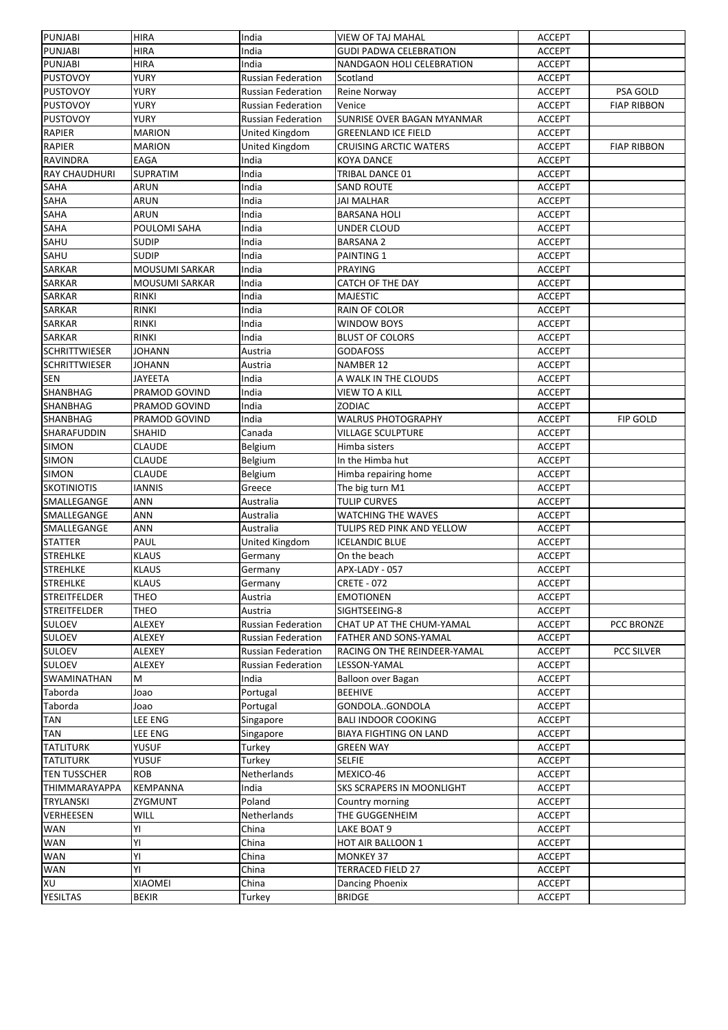| PUNJABI              | <b>HIRA</b>           | India                     | <b>VIEW OF TAJ MAHAL</b>         | <b>ACCEPT</b> |                    |
|----------------------|-----------------------|---------------------------|----------------------------------|---------------|--------------------|
| <b>PUNJABI</b>       | <b>HIRA</b>           | India                     | <b>GUDI PADWA CELEBRATION</b>    | <b>ACCEPT</b> |                    |
| PUNJABI              | <b>HIRA</b>           | India                     | NANDGAON HOLI CELEBRATION        | <b>ACCEPT</b> |                    |
| <b>PUSTOVOY</b>      | <b>YURY</b>           | <b>Russian Federation</b> | Scotland                         | <b>ACCEPT</b> |                    |
| <b>PUSTOVOY</b>      | <b>YURY</b>           | <b>Russian Federation</b> | Reine Norway                     | <b>ACCEPT</b> | PSA GOLD           |
| <b>PUSTOVOY</b>      | <b>YURY</b>           | <b>Russian Federation</b> | Venice                           | <b>ACCEPT</b> | <b>FIAP RIBBON</b> |
| <b>PUSTOVOY</b>      | <b>YURY</b>           | <b>Russian Federation</b> | SUNRISE OVER BAGAN MYANMAR       | <b>ACCEPT</b> |                    |
| <b>RAPIER</b>        | <b>MARION</b>         | United Kingdom            | <b>GREENLAND ICE FIELD</b>       | <b>ACCEPT</b> |                    |
| <b>RAPIER</b>        | <b>MARION</b>         | United Kingdom            | <b>CRUISING ARCTIC WATERS</b>    | <b>ACCEPT</b> | <b>FIAP RIBBON</b> |
| RAVINDRA             | EAGA                  | India                     | <b>KOYA DANCE</b>                | <b>ACCEPT</b> |                    |
| <b>RAY CHAUDHURI</b> | <b>SUPRATIM</b>       | India                     | TRIBAL DANCE 01                  | <b>ACCEPT</b> |                    |
| SAHA                 | ARUN                  | India                     | <b>SAND ROUTE</b>                | <b>ACCEPT</b> |                    |
| <b>SAHA</b>          | <b>ARUN</b>           | India                     | <b>JAI MALHAR</b>                | <b>ACCEPT</b> |                    |
| SAHA                 | <b>ARUN</b>           | India                     | <b>BARSANA HOLI</b>              | <b>ACCEPT</b> |                    |
| SAHA                 | POULOMI SAHA          | India                     | UNDER CLOUD                      | <b>ACCEPT</b> |                    |
|                      |                       |                           |                                  |               |                    |
| SAHU                 | <b>SUDIP</b>          | India                     | <b>BARSANA 2</b>                 | <b>ACCEPT</b> |                    |
| SAHU                 | <b>SUDIP</b>          | India                     | PAINTING 1                       | <b>ACCEPT</b> |                    |
| SARKAR               | MOUSUMI SARKAR        | India                     | <b>PRAYING</b>                   | <b>ACCEPT</b> |                    |
| <b>SARKAR</b>        | <b>MOUSUMI SARKAR</b> | India                     | <b>CATCH OF THE DAY</b>          | <b>ACCEPT</b> |                    |
| <b>SARKAR</b>        | <b>RINKI</b>          | India                     | <b>MAJESTIC</b>                  | <b>ACCEPT</b> |                    |
| <b>SARKAR</b>        | <b>RINKI</b>          | India                     | <b>RAIN OF COLOR</b>             | <b>ACCEPT</b> |                    |
| SARKAR               | <b>RINKI</b>          | India                     | <b>WINDOW BOYS</b>               | <b>ACCEPT</b> |                    |
| <b>SARKAR</b>        | <b>RINKI</b>          | India                     | <b>BLUST OF COLORS</b>           | <b>ACCEPT</b> |                    |
| <b>SCHRITTWIESER</b> | <b>JOHANN</b>         | Austria                   | <b>GODAFOSS</b>                  | <b>ACCEPT</b> |                    |
| <b>SCHRITTWIESER</b> | <b>JOHANN</b>         | Austria                   | <b>NAMBER 12</b>                 | <b>ACCEPT</b> |                    |
| SEN                  | JAYEETA               | India                     | A WALK IN THE CLOUDS             | <b>ACCEPT</b> |                    |
| SHANBHAG             | PRAMOD GOVIND         | India                     | <b>VIEW TO A KILL</b>            | <b>ACCEPT</b> |                    |
| SHANBHAG             | PRAMOD GOVIND         | India                     | <b>ZODIAC</b>                    | <b>ACCEPT</b> |                    |
| SHANBHAG             | PRAMOD GOVIND         | India                     | <b>WALRUS PHOTOGRAPHY</b>        | <b>ACCEPT</b> | FIP GOLD           |
| SHARAFUDDIN          | <b>SHAHID</b>         | Canada                    | <b>VILLAGE SCULPTURE</b>         | <b>ACCEPT</b> |                    |
| <b>SIMON</b>         | <b>CLAUDE</b>         | Belgium                   | Himba sisters                    | <b>ACCEPT</b> |                    |
| <b>SIMON</b>         | <b>CLAUDE</b>         | Belgium                   | In the Himba hut                 | <b>ACCEPT</b> |                    |
| <b>SIMON</b>         | <b>CLAUDE</b>         | Belgium                   | Himba repairing home             | <b>ACCEPT</b> |                    |
|                      |                       |                           |                                  |               |                    |
| <b>SKOTINIOTIS</b>   | <b>IANNIS</b>         | Greece                    | The big turn M1                  | <b>ACCEPT</b> |                    |
| SMALLEGANGE          | ANN                   | Australia                 | <b>TULIP CURVES</b>              | <b>ACCEPT</b> |                    |
| SMALLEGANGE          | ANN                   | Australia                 | <b>WATCHING THE WAVES</b>        | <b>ACCEPT</b> |                    |
| SMALLEGANGE          | ANN                   | Australia                 | TULIPS RED PINK AND YELLOW       | <b>ACCEPT</b> |                    |
| <b>STATTER</b>       | PAUL                  | United Kingdom            | <b>ICELANDIC BLUE</b>            | <b>ACCEPT</b> |                    |
| <b>STREHLKE</b>      | <b>KLAUS</b>          | Germany                   | On the beach                     | <b>ACCEPT</b> |                    |
| <b>STREHLKE</b>      | <b>KLAUS</b>          | Germany                   | APX-LADY - 057                   | <b>ACCEPT</b> |                    |
| <b>STREHLKE</b>      | <b>KLAUS</b>          | Germany                   | <b>CRETE - 072</b>               | <b>ACCEPT</b> |                    |
| <b>STREITFELDER</b>  | <b>THEO</b>           | Austria                   | <b>EMOTIONEN</b>                 | <b>ACCEPT</b> |                    |
| <b>STREITFELDER</b>  | THEO                  | Austria                   | SIGHTSEEING-8                    | <b>ACCEPT</b> |                    |
| <b>SULOEV</b>        | ALEXEY                | Russian Federation        | CHAT UP AT THE CHUM-YAMAL        | <b>ACCEPT</b> | PCC BRONZE         |
| <b>SULOEV</b>        | ALEXEY                | <b>Russian Federation</b> | FATHER AND SONS-YAMAL            | <b>ACCEPT</b> |                    |
| <b>SULOEV</b>        | ALEXEY                | <b>Russian Federation</b> | RACING ON THE REINDEER-YAMAL     | <b>ACCEPT</b> | PCC SILVER         |
| <b>SULOEV</b>        | ALEXEY                | <b>Russian Federation</b> | LESSON-YAMAL                     | <b>ACCEPT</b> |                    |
| SWAMINATHAN          | м                     | India                     | Balloon over Bagan               | <b>ACCEPT</b> |                    |
| Taborda              | Joao                  | Portugal                  | <b>BEEHIVE</b>                   | <b>ACCEPT</b> |                    |
| Taborda              | Joao                  | Portugal                  | GONDOLAGONDOLA                   | <b>ACCEPT</b> |                    |
| <b>TAN</b>           | LEE ENG               | Singapore                 | <b>BALI INDOOR COOKING</b>       | <b>ACCEPT</b> |                    |
| TAN                  | <b>LEE ENG</b>        | Singapore                 | <b>BIAYA FIGHTING ON LAND</b>    | <b>ACCEPT</b> |                    |
| <b>TATLITURK</b>     | YUSUF                 | Turkey                    | <b>GREEN WAY</b>                 | <b>ACCEPT</b> |                    |
| <b>TATLITURK</b>     | YUSUF                 | Turkey                    | SELFIE                           | <b>ACCEPT</b> |                    |
| <b>TEN TUSSCHER</b>  | ROB                   | Netherlands               | MEXICO-46                        | <b>ACCEPT</b> |                    |
| <b>THIMMARAYAPPA</b> | KEMPANNA              | India                     | <b>SKS SCRAPERS IN MOONLIGHT</b> | <b>ACCEPT</b> |                    |
|                      |                       | Poland                    |                                  |               |                    |
| TRYLANSKI            | ZYGMUNT               |                           | Country morning                  | <b>ACCEPT</b> |                    |
| VERHEESEN            | WILL                  | Netherlands               | THE GUGGENHEIM                   | <b>ACCEPT</b> |                    |
| <b>WAN</b>           | YI                    | China                     | LAKE BOAT 9                      | <b>ACCEPT</b> |                    |
| <b>WAN</b>           | YI                    | China                     | HOT AIR BALLOON 1                | <b>ACCEPT</b> |                    |
| <b>WAN</b>           | YI                    | China                     | <b>MONKEY 37</b>                 | <b>ACCEPT</b> |                    |
| <b>WAN</b>           | YI                    | China                     | <b>TERRACED FIELD 27</b>         | <b>ACCEPT</b> |                    |
| XU                   | XIAOMEI               | China                     | Dancing Phoenix                  | <b>ACCEPT</b> |                    |
| <b>YESILTAS</b>      | <b>BEKIR</b>          | Turkey                    | <b>BRIDGE</b>                    | <b>ACCEPT</b> |                    |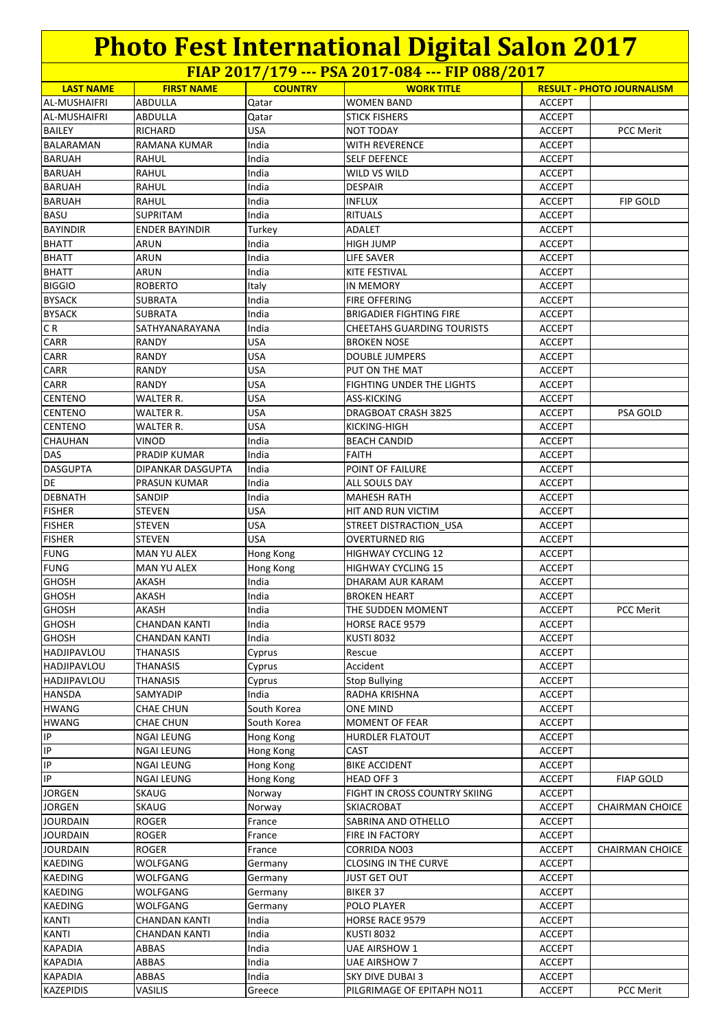**FIAP 2017/179 --- PSA 2017-084 --- FIP 088/2017**

| <b>LAST NAME</b>    | <b>FIRST NAME</b>        | <b>COUNTRY</b> | $\frac{1}{2}$ $\frac{1}{2}$ $\frac{1}{2}$ $\frac{1}{2}$ $\frac{1}{2}$ $\frac{1}{2}$ $\frac{1}{2}$ $\frac{1}{2}$ $\frac{1}{2}$ $\frac{1}{2}$ $\frac{1}{2}$ $\frac{1}{2}$ $\frac{1}{2}$ $\frac{1}{2}$ $\frac{1}{2}$ $\frac{1}{2}$ $\frac{1}{2}$ $\frac{1}{2}$ $\frac{1}{2}$ $\frac{1}{2}$ $\frac{1}{2}$ $\frac{1}{2}$<br><b>WORK TITLE</b> | <b>RESULT - PHOTO JOURNALISM</b> |                        |
|---------------------|--------------------------|----------------|------------------------------------------------------------------------------------------------------------------------------------------------------------------------------------------------------------------------------------------------------------------------------------------------------------------------------------------|----------------------------------|------------------------|
| AL-MUSHAIFRI        | <b>ABDULLA</b>           | Qatar          | <b>WOMEN BAND</b>                                                                                                                                                                                                                                                                                                                        | <b>ACCEPT</b>                    |                        |
|                     | ABDULLA                  |                |                                                                                                                                                                                                                                                                                                                                          | <b>ACCEPT</b>                    |                        |
| <b>AL-MUSHAIFRI</b> |                          | Qatar          | <b>STICK FISHERS</b>                                                                                                                                                                                                                                                                                                                     |                                  |                        |
| <b>BAILEY</b>       | RICHARD                  | <b>USA</b>     | <b>NOT TODAY</b>                                                                                                                                                                                                                                                                                                                         | <b>ACCEPT</b>                    | PCC Merit              |
| BALARAMAN           | RAMANA KUMAR             | India          | WITH REVERENCE                                                                                                                                                                                                                                                                                                                           | <b>ACCEPT</b>                    |                        |
| <b>BARUAH</b>       | RAHUL                    | India          | <b>SELF DEFENCE</b>                                                                                                                                                                                                                                                                                                                      | <b>ACCEPT</b>                    |                        |
| <b>BARUAH</b>       | RAHUL                    | India          | WILD VS WILD                                                                                                                                                                                                                                                                                                                             | <b>ACCEPT</b>                    |                        |
| <b>BARUAH</b>       | RAHUL                    | India          | <b>DESPAIR</b>                                                                                                                                                                                                                                                                                                                           | <b>ACCEPT</b>                    |                        |
| <b>BARUAH</b>       | <b>RAHUL</b>             | India          | <b>INFLUX</b>                                                                                                                                                                                                                                                                                                                            | <b>ACCEPT</b>                    | <b>FIP GOLD</b>        |
| <b>BASU</b>         | <b>SUPRITAM</b>          | India          | <b>RITUALS</b>                                                                                                                                                                                                                                                                                                                           | <b>ACCEPT</b>                    |                        |
| <b>BAYINDIR</b>     | <b>ENDER BAYINDIR</b>    | Turkey         | ADALET                                                                                                                                                                                                                                                                                                                                   | <b>ACCEPT</b>                    |                        |
| <b>BHATT</b>        | ARUN                     | India          | <b>HIGH JUMP</b>                                                                                                                                                                                                                                                                                                                         | <b>ACCEPT</b>                    |                        |
| <b>BHATT</b>        | ARUN                     | India          | LIFE SAVER                                                                                                                                                                                                                                                                                                                               | <b>ACCEPT</b>                    |                        |
| <b>BHATT</b>        | ARUN                     | India          | KITE FESTIVAL                                                                                                                                                                                                                                                                                                                            | <b>ACCEPT</b>                    |                        |
| <b>BIGGIO</b>       | <b>ROBERTO</b>           | Italy          | <b>IN MEMORY</b>                                                                                                                                                                                                                                                                                                                         | <b>ACCEPT</b>                    |                        |
| <b>BYSACK</b>       | SUBRATA                  | India          | <b>FIRE OFFERING</b>                                                                                                                                                                                                                                                                                                                     | <b>ACCEPT</b>                    |                        |
| <b>BYSACK</b>       | <b>SUBRATA</b>           | India          | <b>BRIGADIER FIGHTING FIRE</b>                                                                                                                                                                                                                                                                                                           | <b>ACCEPT</b>                    |                        |
| IC R                | SATHYANARAYANA           | India          | <b>CHEETAHS GUARDING TOURISTS</b>                                                                                                                                                                                                                                                                                                        | ACCEPT                           |                        |
| <b>CARR</b>         | RANDY                    | <b>USA</b>     | <b>BROKEN NOSE</b>                                                                                                                                                                                                                                                                                                                       | ACCEPT                           |                        |
| <b>CARR</b>         | RANDY                    | <b>USA</b>     | <b>DOUBLE JUMPERS</b>                                                                                                                                                                                                                                                                                                                    | <b>ACCEPT</b>                    |                        |
| <b>CARR</b>         | RANDY                    | <b>USA</b>     | PUT ON THE MAT                                                                                                                                                                                                                                                                                                                           | <b>ACCEPT</b>                    |                        |
| CARR                | <b>RANDY</b>             | <b>USA</b>     | <b>FIGHTING UNDER THE LIGHTS</b>                                                                                                                                                                                                                                                                                                         | <b>ACCEPT</b>                    |                        |
| <b>CENTENO</b>      | WALTER R.                | USA            | ASS-KICKING                                                                                                                                                                                                                                                                                                                              | <b>ACCEPT</b>                    |                        |
| <b>CENTENO</b>      | WALTER R.                | USA            | <b>DRAGBOAT CRASH 3825</b>                                                                                                                                                                                                                                                                                                               | <b>ACCEPT</b>                    | PSA GOLD               |
|                     |                          | <b>USA</b>     |                                                                                                                                                                                                                                                                                                                                          |                                  |                        |
| <b>CENTENO</b>      | WALTER R.                |                | KICKING-HIGH                                                                                                                                                                                                                                                                                                                             | <b>ACCEPT</b>                    |                        |
| <b>CHAUHAN</b>      | VINOD                    | India          | <b>BEACH CANDID</b>                                                                                                                                                                                                                                                                                                                      | <b>ACCEPT</b>                    |                        |
| <b>DAS</b>          | PRADIP KUMAR             | India          | FAITH                                                                                                                                                                                                                                                                                                                                    | <b>ACCEPT</b>                    |                        |
| <b>DASGUPTA</b>     | <b>DIPANKAR DASGUPTA</b> | India          | POINT OF FAILURE                                                                                                                                                                                                                                                                                                                         | <b>ACCEPT</b>                    |                        |
| DE                  | PRASUN KUMAR             | India          | ALL SOULS DAY                                                                                                                                                                                                                                                                                                                            | <b>ACCEPT</b>                    |                        |
| <b>DEBNATH</b>      | SANDIP                   | India          | <b>MAHESH RATH</b>                                                                                                                                                                                                                                                                                                                       | <b>ACCEPT</b>                    |                        |
| <b>FISHER</b>       | STEVEN                   | USA            | HIT AND RUN VICTIM                                                                                                                                                                                                                                                                                                                       | ACCEPT                           |                        |
| <b>FISHER</b>       | <b>STEVEN</b>            | <b>USA</b>     | STREET DISTRACTION USA                                                                                                                                                                                                                                                                                                                   | ACCEPT                           |                        |
| <b>FISHER</b>       | STEVEN                   | <b>USA</b>     | <b>OVERTURNED RIG</b>                                                                                                                                                                                                                                                                                                                    | <b>ACCEPT</b>                    |                        |
| <b>FUNG</b>         | <b>MAN YU ALEX</b>       | Hong Kong      | HIGHWAY CYCLING 12                                                                                                                                                                                                                                                                                                                       | <b>ACCEPT</b>                    |                        |
| <b>FUNG</b>         | <b>MAN YU ALEX</b>       | Hong Kong      | HIGHWAY CYCLING 15                                                                                                                                                                                                                                                                                                                       | <b>ACCEPT</b>                    |                        |
| <b>GHOSH</b>        | AKASH                    | India          | DHARAM AUR KARAM                                                                                                                                                                                                                                                                                                                         | <b>ACCEPT</b>                    |                        |
| <b>GHOSH</b>        | AKASH                    | India          | <b>BROKEN HEART</b>                                                                                                                                                                                                                                                                                                                      | <b>ACCEPT</b>                    |                        |
| GHOSH               | AKASH                    | India          | THE SUDDEN MOMENT                                                                                                                                                                                                                                                                                                                        | <b>ACCEPT</b>                    | <b>PCC Merit</b>       |
| GHOSH               | <b>CHANDAN KANTI</b>     | India          | HORSE RACE 9579                                                                                                                                                                                                                                                                                                                          | <b>ACCEPT</b>                    |                        |
| <b>GHOSH</b>        | <b>CHANDAN KANTI</b>     | India          | <b>KUSTI 8032</b>                                                                                                                                                                                                                                                                                                                        | <b>ACCEPT</b>                    |                        |
| HADJIPAVLOU         | <b>THANASIS</b>          | Cyprus         | Rescue                                                                                                                                                                                                                                                                                                                                   | <b>ACCEPT</b>                    |                        |
| <b>HADJIPAVLOU</b>  | THANASIS                 | Cyprus         | Accident                                                                                                                                                                                                                                                                                                                                 | <b>ACCEPT</b>                    |                        |
| <b>HADJIPAVLOU</b>  | <b>THANASIS</b>          | Cyprus         | <b>Stop Bullying</b>                                                                                                                                                                                                                                                                                                                     | <b>ACCEPT</b>                    |                        |
| <b>HANSDA</b>       | SAMYADIP                 | India          | RADHA KRISHNA                                                                                                                                                                                                                                                                                                                            | <b>ACCEPT</b>                    |                        |
| <b>HWANG</b>        | <b>CHAE CHUN</b>         | South Korea    | ONE MIND                                                                                                                                                                                                                                                                                                                                 | <b>ACCEPT</b>                    |                        |
| <b>HWANG</b>        | <b>CHAE CHUN</b>         | South Korea    | <b>MOMENT OF FEAR</b>                                                                                                                                                                                                                                                                                                                    | <b>ACCEPT</b>                    |                        |
| IP.                 | <b>NGAI LEUNG</b>        | Hong Kong      | HURDLER FLATOUT                                                                                                                                                                                                                                                                                                                          | <b>ACCEPT</b>                    |                        |
| IP                  | NGAI LEUNG               | Hong Kong      | CAST                                                                                                                                                                                                                                                                                                                                     | ACCEPT                           |                        |
| IP                  | <b>NGAI LEUNG</b>        | Hong Kong      | <b>BIKE ACCIDENT</b>                                                                                                                                                                                                                                                                                                                     | <b>ACCEPT</b>                    |                        |
| IP                  | NGAI LEUNG               | Hong Kong      | <b>HEAD OFF 3</b>                                                                                                                                                                                                                                                                                                                        | <b>ACCEPT</b>                    | <b>FIAP GOLD</b>       |
| <b>JORGEN</b>       | SKAUG                    | Norway         | FIGHT IN CROSS COUNTRY SKIING                                                                                                                                                                                                                                                                                                            | <b>ACCEPT</b>                    |                        |
| <b>JORGEN</b>       | SKAUG                    |                | SKIACROBAT                                                                                                                                                                                                                                                                                                                               | <b>ACCEPT</b>                    | <b>CHAIRMAN CHOICE</b> |
| <b>JOURDAIN</b>     |                          | Norway         |                                                                                                                                                                                                                                                                                                                                          |                                  |                        |
|                     | <b>ROGER</b>             | France         | SABRINA AND OTHELLO                                                                                                                                                                                                                                                                                                                      | <b>ACCEPT</b>                    |                        |
| <b>JOURDAIN</b>     | <b>ROGER</b>             | France         | FIRE IN FACTORY                                                                                                                                                                                                                                                                                                                          | <b>ACCEPT</b>                    |                        |
| <b>JOURDAIN</b>     | ROGER                    | France         | CORRIDA NO03                                                                                                                                                                                                                                                                                                                             | <b>ACCEPT</b>                    | <b>CHAIRMAN CHOICE</b> |
| KAEDING             | WOLFGANG                 | Germany        | <b>CLOSING IN THE CURVE</b>                                                                                                                                                                                                                                                                                                              | <b>ACCEPT</b>                    |                        |
| <b>KAEDING</b>      | WOLFGANG                 | Germany        | JUST GET OUT                                                                                                                                                                                                                                                                                                                             | ACCEPT                           |                        |
| <b>KAEDING</b>      | WOLFGANG                 | Germany        | BIKER 37                                                                                                                                                                                                                                                                                                                                 | ACCEPT                           |                        |
| <b>KAEDING</b>      | WOLFGANG                 | Germany        | POLO PLAYER                                                                                                                                                                                                                                                                                                                              | ACCEPT                           |                        |
| KANTI               | <b>CHANDAN KANTI</b>     | India          | <b>HORSE RACE 9579</b>                                                                                                                                                                                                                                                                                                                   | ACCEPT                           |                        |
| <b>KANTI</b>        | <b>CHANDAN KANTI</b>     | India          | <b>KUSTI 8032</b>                                                                                                                                                                                                                                                                                                                        | <b>ACCEPT</b>                    |                        |
| <b>KAPADIA</b>      | ABBAS                    | India          | UAE AIRSHOW 1                                                                                                                                                                                                                                                                                                                            | ACCEPT                           |                        |
| <b>KAPADIA</b>      | ABBAS                    | India          | UAE AIRSHOW 7                                                                                                                                                                                                                                                                                                                            | <b>ACCEPT</b>                    |                        |
| <b>KAPADIA</b>      | ABBAS                    | India          | <b>SKY DIVE DUBAI 3</b>                                                                                                                                                                                                                                                                                                                  | <b>ACCEPT</b>                    |                        |
| <b>KAZEPIDIS</b>    | VASILIS                  | Greece         | PILGRIMAGE OF EPITAPH NO11                                                                                                                                                                                                                                                                                                               | <b>ACCEPT</b>                    | PCC Merit              |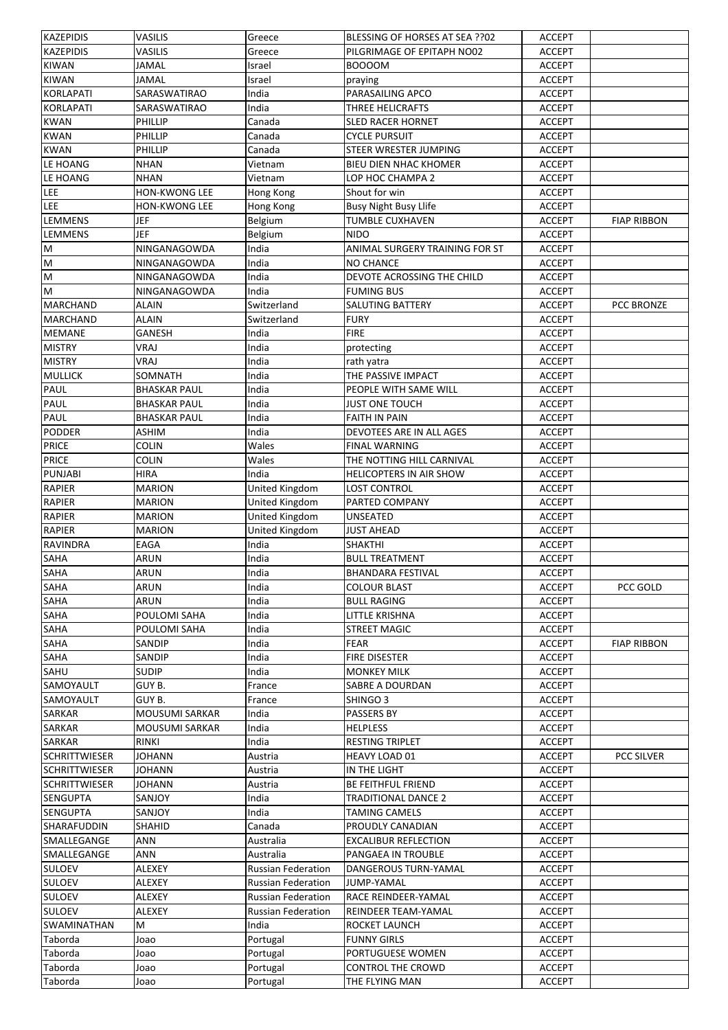| KAZEPIDIS            | <b>VASILIS</b>        | Greece                    | BLESSING OF HORSES AT SEA ??02 | <b>ACCEPT</b> |                    |
|----------------------|-----------------------|---------------------------|--------------------------------|---------------|--------------------|
| <b>KAZEPIDIS</b>     | <b>VASILIS</b>        | Greece                    | PILGRIMAGE OF EPITAPH NO02     | <b>ACCEPT</b> |                    |
| <b>KIWAN</b>         | <b>JAMAL</b>          | Israel                    | <b>BOOOOM</b>                  | <b>ACCEPT</b> |                    |
| <b>KIWAN</b>         | <b>JAMAL</b>          | Israel                    | praying                        | <b>ACCEPT</b> |                    |
| KORLAPATI            | SARASWATIRAO          | India                     | PARASAILING APCO               | <b>ACCEPT</b> |                    |
| <b>KORLAPATI</b>     | SARASWATIRAO          | India                     | <b>THREE HELICRAFTS</b>        | <b>ACCEPT</b> |                    |
| <b>KWAN</b>          | PHILLIP               | Canada                    | <b>SLED RACER HORNET</b>       | <b>ACCEPT</b> |                    |
| <b>KWAN</b>          | PHILLIP               | Canada                    | <b>CYCLE PURSUIT</b>           | <b>ACCEPT</b> |                    |
| <b>KWAN</b>          | PHILLIP               | Canada                    | STEER WRESTER JUMPING          | <b>ACCEPT</b> |                    |
| LE HOANG             | NHAN                  | Vietnam                   | <b>BIEU DIEN NHAC KHOMER</b>   | <b>ACCEPT</b> |                    |
|                      |                       |                           |                                |               |                    |
| LE HOANG             | <b>NHAN</b>           | Vietnam                   | LOP HOC CHAMPA 2               | <b>ACCEPT</b> |                    |
| <b>LEE</b>           | <b>HON-KWONG LEE</b>  | Hong Kong                 | Shout for win                  | <b>ACCEPT</b> |                    |
| LEE                  | <b>HON-KWONG LEE</b>  | Hong Kong                 | <b>Busy Night Busy Llife</b>   | <b>ACCEPT</b> |                    |
| <b>LEMMENS</b>       | <b>JEF</b>            | Belgium                   | <b>TUMBLE CUXHAVEN</b>         | <b>ACCEPT</b> | <b>FIAP RIBBON</b> |
| <b>LEMMENS</b>       | <b>JEF</b>            | <b>Belgium</b>            | <b>NIDO</b>                    | <b>ACCEPT</b> |                    |
| M                    | NINGANAGOWDA          | India                     | ANIMAL SURGERY TRAINING FOR ST | <b>ACCEPT</b> |                    |
| M                    | NINGANAGOWDA          | India                     | <b>NO CHANCE</b>               | <b>ACCEPT</b> |                    |
| M                    | NINGANAGOWDA          | India                     | DEVOTE ACROSSING THE CHILD     | <b>ACCEPT</b> |                    |
| M                    | NINGANAGOWDA          | India                     | <b>FUMING BUS</b>              | <b>ACCEPT</b> |                    |
| <b>MARCHAND</b>      | <b>ALAIN</b>          | Switzerland               | SALUTING BATTERY               | <b>ACCEPT</b> | PCC BRONZE         |
| MARCHAND             | <b>ALAIN</b>          | Switzerland               | <b>FURY</b>                    | <b>ACCEPT</b> |                    |
| <b>MEMANE</b>        | <b>GANESH</b>         | India                     | <b>FIRE</b>                    | <b>ACCEPT</b> |                    |
| <b>MISTRY</b>        | VRAJ                  | India                     | protecting                     | <b>ACCEPT</b> |                    |
| <b>MISTRY</b>        | <b>VRAJ</b>           | India                     | rath yatra                     | <b>ACCEPT</b> |                    |
| <b>MULLICK</b>       | SOMNATH               | India                     | THE PASSIVE IMPACT             | <b>ACCEPT</b> |                    |
| PAUL                 | <b>BHASKAR PAUL</b>   | India                     | PEOPLE WITH SAME WILL          | <b>ACCEPT</b> |                    |
|                      |                       | India                     |                                |               |                    |
| PAUL                 | <b>BHASKAR PAUL</b>   |                           | JUST ONE TOUCH                 | <b>ACCEPT</b> |                    |
| PAUL                 | <b>BHASKAR PAUL</b>   | India                     | <b>FAITH IN PAIN</b>           | <b>ACCEPT</b> |                    |
| PODDER               | ASHIM                 | India                     | DEVOTEES ARE IN ALL AGES       | <b>ACCEPT</b> |                    |
| <b>PRICE</b>         | <b>COLIN</b>          | Wales                     | <b>FINAL WARNING</b>           | <b>ACCEPT</b> |                    |
| <b>PRICE</b>         | <b>COLIN</b>          | Wales                     | THE NOTTING HILL CARNIVAL      | <b>ACCEPT</b> |                    |
| <b>PUNJABI</b>       | <b>HIRA</b>           | India                     | <b>HELICOPTERS IN AIR SHOW</b> | <b>ACCEPT</b> |                    |
| <b>RAPIER</b>        | <b>MARION</b>         | United Kingdom            | <b>LOST CONTROL</b>            | <b>ACCEPT</b> |                    |
| <b>RAPIER</b>        | MARION                | United Kingdom            | PARTED COMPANY                 | <b>ACCEPT</b> |                    |
| <b>RAPIER</b>        | MARION                | United Kingdom            | UNSEATED                       | <b>ACCEPT</b> |                    |
| <b>RAPIER</b>        | <b>MARION</b>         | United Kingdom            | <b>JUST AHEAD</b>              | <b>ACCEPT</b> |                    |
| <b>RAVINDRA</b>      | EAGA                  | India                     | <b>SHAKTHI</b>                 | <b>ACCEPT</b> |                    |
| SAHA                 | ARUN                  | India                     | <b>BULL TREATMENT</b>          | <b>ACCEPT</b> |                    |
| SAHA                 | ARUN                  | India                     | <b>BHANDARA FESTIVAL</b>       | <b>ACCEPT</b> |                    |
| SAHA                 | <b>ARUN</b>           | India                     | <b>COLOUR BLAST</b>            | <b>ACCEPT</b> | PCC GOLD           |
| <b>SAHA</b>          | <b>ARUN</b>           | India                     | <b>BULL RAGING</b>             | <b>ACCEPT</b> |                    |
| <b>SAHA</b>          | POULOMI SAHA          | India                     | LITTLE KRISHNA                 | <b>ACCEPT</b> |                    |
|                      |                       |                           |                                |               |                    |
| SAHA                 | POULOMI SAHA          | India                     | <b>STREET MAGIC</b>            | <b>ACCEPT</b> |                    |
| SAHA                 | SANDIP                | India                     | <b>FEAR</b>                    | <b>ACCEPT</b> | <b>FIAP RIBBON</b> |
| SAHA                 | SANDIP                | India                     | FIRE DISESTER                  | <b>ACCEPT</b> |                    |
| SAHU                 | SUDIP                 | India                     | MONKEY MILK                    | ACCEPT        |                    |
| SAMOYAULT            | GUY B.                | France                    | SABRE A DOURDAN                | ACCEPT        |                    |
| SAMOYAULT            | GUY B.                | France                    | SHINGO 3                       | <b>ACCEPT</b> |                    |
| SARKAR               | <b>MOUSUMI SARKAR</b> | India                     | <b>PASSERS BY</b>              | <b>ACCEPT</b> |                    |
| <b>SARKAR</b>        | <b>MOUSUMI SARKAR</b> | India                     | HELPLESS                       | <b>ACCEPT</b> |                    |
| SARKAR               | RINKI                 | India                     | <b>RESTING TRIPLET</b>         | <b>ACCEPT</b> |                    |
| <b>SCHRITTWIESER</b> | <b>JOHANN</b>         | Austria                   | HEAVY LOAD 01                  | <b>ACCEPT</b> | <b>PCC SILVER</b>  |
| <b>SCHRITTWIESER</b> | <b>JOHANN</b>         | Austria                   | IN THE LIGHT                   | <b>ACCEPT</b> |                    |
| <b>SCHRITTWIESER</b> | <b>JOHANN</b>         | Austria                   | <b>BE FEITHFUL FRIEND</b>      | <b>ACCEPT</b> |                    |
| <b>SENGUPTA</b>      | SANJOY                | India                     | <b>TRADITIONAL DANCE 2</b>     | <b>ACCEPT</b> |                    |
| <b>SENGUPTA</b>      | SANJOY                | India                     | TAMING CAMELS                  | <b>ACCEPT</b> |                    |
| SHARAFUDDIN          | SHAHID                | Canada                    | PROUDLY CANADIAN               |               |                    |
|                      |                       |                           |                                | <b>ACCEPT</b> |                    |
| SMALLEGANGE          | ANN                   | Australia                 | <b>EXCALIBUR REFLECTION</b>    | <b>ACCEPT</b> |                    |
| SMALLEGANGE          | ANN                   | Australia                 | PANGAEA IN TROUBLE             | ACCEPT        |                    |
| <b>SULOEV</b>        | ALEXEY                | <b>Russian Federation</b> | DANGEROUS TURN-YAMAL           | ACCEPT        |                    |
| <b>SULOEV</b>        | ALEXEY                | <b>Russian Federation</b> | JUMP-YAMAL                     | ACCEPT        |                    |
| <b>SULOEV</b>        | <b>ALEXEY</b>         | <b>Russian Federation</b> | RACE REINDEER-YAMAL            | <b>ACCEPT</b> |                    |
| <b>SULOEV</b>        | <b>ALEXEY</b>         | <b>Russian Federation</b> | REINDEER TEAM-YAMAL            | <b>ACCEPT</b> |                    |
| SWAMINATHAN          | M                     | India                     | ROCKET LAUNCH                  | <b>ACCEPT</b> |                    |
| Taborda              | Joao                  | Portugal                  | <b>FUNNY GIRLS</b>             | <b>ACCEPT</b> |                    |
| Taborda              | Joao                  | Portugal                  | PORTUGUESE WOMEN               | <b>ACCEPT</b> |                    |
| Taborda              | Joao                  | Portugal                  | <b>CONTROL THE CROWD</b>       | <b>ACCEPT</b> |                    |
| Taborda              | Joao                  | Portugal                  | THE FLYING MAN                 | <b>ACCEPT</b> |                    |